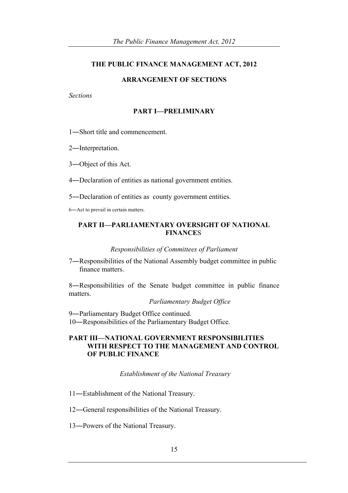#### **THE PUBLIC FINANCE MANAGEMENT ACT, 2012**

## **ARRANGEMENT OF SECTIONS**

#### *Sections*

### **PART I—PRELIMINARY**

- 1―Short title and commencement.
- 2―Interpretation.
- 3―Object of this Act.
- 4―Declaration of entities as national government entities.
- 5―Declaration of entities as county government entities.

6―Act to prevail in certain matters.

## **PART II—PARLIAMENTARY OVERSIGHT OF NATIONAL FINANCE**S

#### *Responsibilities of Committees of Parliament*

7―Responsibilities of the National Assembly budget committee in public finance matters.

8―Responsibilities of the Senate budget committee in public finance matters.

*Parliamentary Budget Office*

9―Parliamentary Budget Office continued. 10―Responsibilities of the Parliamentary Budget Office.

## **PART III—NATIONAL GOVERNMENT RESPONSIBILITIES WITH RESPECT TO THE MANAGEMENT AND CONTROL OF PUBLIC FINANCE**

*Establishment of the National Treasury*

- 11―Establishment of the National Treasury.
- 12―General responsibilities of the National Treasury.
- 13―Powers of the National Treasury.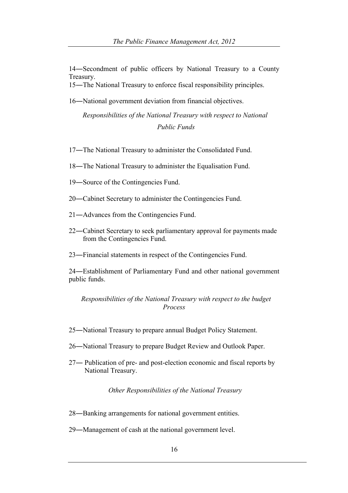―Secondment of public officers by National Treasury to a County Treasury.

―The National Treasury to enforce fiscal responsibility principles.

―National government deviation from financial objectives.

*Responsibilities of the National Treasury with respect to National Public Funds*

- ―The National Treasury to administer the Consolidated Fund.
- ―The National Treasury to administer the Equalisation Fund.
- ―Source of the Contingencies Fund.
- ―Cabinet Secretary to administer the Contingencies Fund.
- ―Advances from the Contingencies Fund.
- ―Cabinet Secretary to seek parliamentary approval for payments made from the Contingencies Fund.
- ―Financial statements in respect of the Contingencies Fund.

―Establishment of Parliamentary Fund and other national government public funds.

## *Responsibilities of the National Treasury with respect to the budget Process*

- ―National Treasury to prepare annual Budget Policy Statement.
- ―National Treasury to prepare Budget Review and Outlook Paper.
- ― Publication of pre- and post-election economic and fiscal reports by National Treasury.

*Other Responsibilities of the National Treasury*

- ―Banking arrangements for national government entities.
- ―Management of cash at the national government level.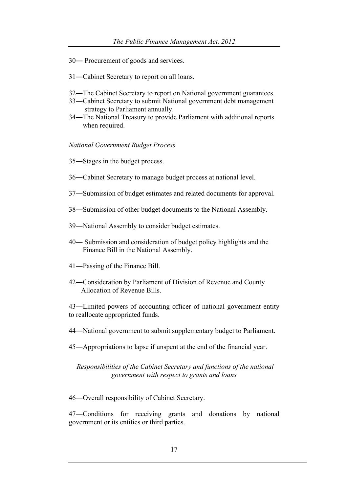- ― Procurement of goods and services.
- ―Cabinet Secretary to report on all loans.
- ―The Cabinet Secretary to report on National government guarantees.
- ―Cabinet Secretary to submit National government debt management strategy to Parliament annually.
- ―The National Treasury to provide Parliament with additional reports when required.

#### *National Government Budget Process*

- ―Stages in the budget process.
- ―Cabinet Secretary to manage budget process at national level.
- ―Submission of budget estimates and related documents for approval.
- ―Submission of other budget documents to the National Assembly.
- ―National Assembly to consider budget estimates.
- ― Submission and consideration of budget policy highlights and the Finance Bill in the National Assembly.
- ―Passing of the Finance Bill.
- ―Consideration by Parliament of Division of Revenue and County Allocation of Revenue Bills.

―Limited powers of accounting officer of national government entity to reallocate appropriated funds.

- ―National government to submit supplementary budget to Parliament.
- ―Appropriations to lapse if unspent at the end of the financial year.

## *Responsibilities of the Cabinet Secretary and functions of the national government with respect to grants and loans*

―Overall responsibility of Cabinet Secretary.

―Conditions for receiving grants and donations by national government or its entities or third parties.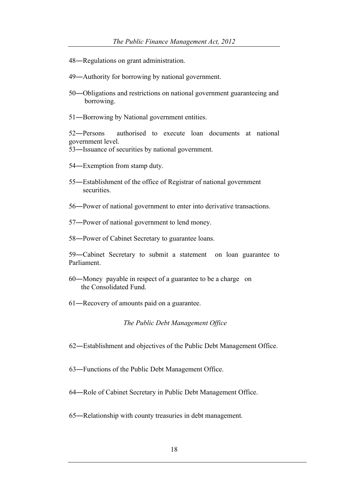- ―Regulations on grant administration.
- ―Authority for borrowing by national government.
- ―Obligations and restrictions on national government guaranteeing and borrowing.
- ―Borrowing by National government entities.

―Persons authorised to execute loan documents at national government level.

―Issuance of securities by national government.

- ―Exemption from stamp duty.
- ―Establishment of the office of Registrar of national government securities.
- ―Power of national government to enter into derivative transactions.
- ―Power of national government to lend money.
- ―Power of Cabinet Secretary to guarantee loans.

―Cabinet Secretary to submit a statement on loan guarantee to Parliament.

- ―Money payable in respect of a guarantee to be a charge on the Consolidated Fund.
- ―Recovery of amounts paid on a guarantee.

*The Public Debt Management Office*

- ―Establishment and objectives of the Public Debt Management Office.
- ―Functions of the Public Debt Management Office.
- ―Role of Cabinet Secretary in Public Debt Management Office.
- ―Relationship with county treasuries in debt management.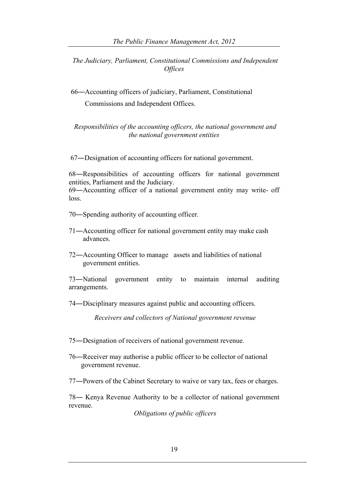*The Judiciary, Parliament, Constitutional Commissions and Independent Offices*

66―Accounting officers of judiciary, Parliament, Constitutional Commissions and Independent Offices.

*Responsibilities of the accounting officers, the national government and the national government entities*

67―Designation of accounting officers for national government.

68―Responsibilities of accounting officers for national government entities, Parliament and the Judiciary.

69―Accounting officer of a national government entity may write- off loss.

- 70―Spending authority of accounting officer.
- 71―Accounting officer for national government entity may make cash advances.
- 72―Accounting Officer to manage assets and liabilities of national government entities.

73―National government entity to maintain internal auditing arrangements.

74―Disciplinary measures against public and accounting officers.

*Receivers and collectors of National government revenue*

75―Designation of receivers of national government revenue.

76―Receiver may authorise a public officer to be collector of national government revenue.

77―Powers of the Cabinet Secretary to waive or vary tax, fees or charges.

78― Kenya Revenue Authority to be a collector of national government revenue.

*Obligations of public officers*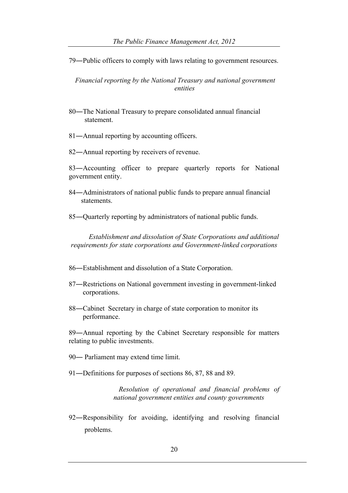79―Public officers to comply with laws relating to government resources.

*Financial reporting by the National Treasury and national government entities*

- 80―The National Treasury to prepare consolidated annual financial statement.
- 81—Annual reporting by accounting officers.
- 82—Annual reporting by receivers of revenue.

83―Accounting officer to prepare quarterly reports for National government entity.

84―Administrators of national public funds to prepare annual financial statements.

85―Quarterly reporting by administrators of national public funds.

 *Establishment and dissolution of State Corporations and additional requirements for state corporations and Government-linked corporations*

86―Establishment and dissolution of a State Corporation.

- 87―Restrictions on National government investing in government-linked corporations.
- 88—Cabinet Secretary in charge of state corporation to monitor its performance.

89―Annual reporting by the Cabinet Secretary responsible for matters relating to public investments.

90― Parliament may extend time limit.

91―Definitions for purposes of sections 86, 87, 88 and 89.

*Resolution of operational and financial problems of national government entities and county governments*

92―Responsibility for avoiding, identifying and resolving financial problems.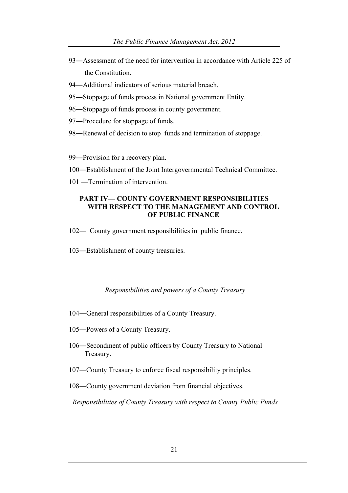- ―Assessment of the need for intervention in accordance with Article 225 of the Constitution.
- ―Additional indicators of serious material breach.
- ―Stoppage of funds process in National government Entity.
- ―Stoppage of funds process in county government.
- ―Procedure for stoppage of funds.
- 98—Renewal of decision to stop funds and termination of stoppage.
- ―Provision for a recovery plan.
- ―Establishment of the Joint Intergovernmental Technical Committee.
- ―Termination of intervention.

## **PART IV— COUNTY GOVERNMENT RESPONSIBILITIES WITH RESPECT TO THE MANAGEMENT AND CONTROL OF PUBLIC FINANCE**

- ― County government responsibilities in public finance.
- ―Establishment of county treasuries.

#### *Responsibilities and powers of a County Treasury*

- ―General responsibilities of a County Treasury.
- ―Powers of a County Treasury.
- ―Secondment of public officers by County Treasury to National Treasury.
- ―County Treasury to enforce fiscal responsibility principles.
- ―County government deviation from financial objectives.

*Responsibilities of County Treasury with respect to County Public Funds*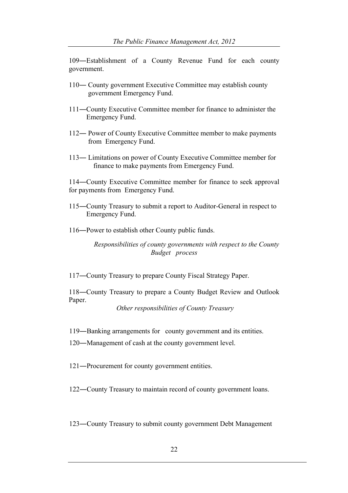109―Establishment of a County Revenue Fund for each county government.

- 110― County government Executive Committee may establish county government Emergency Fund.
- 111―County Executive Committee member for finance to administer the Emergency Fund.
- 112― Power of County Executive Committee member to make payments from Emergency Fund.
- 113― Limitations on power of County Executive Committee member for finance to make payments from Emergency Fund.

114―County Executive Committee member for finance to seek approval for payments from Emergency Fund.

- 115―County Treasury to submit a report to Auditor-General in respect to Emergency Fund.
- 116―Power to establish other County public funds.

 *Responsibilities of county governments with respect to the County Budget process*

117―County Treasury to prepare County Fiscal Strategy Paper.

118―County Treasury to prepare a County Budget Review and Outlook Paper.

*Other responsibilities of County Treasury*

119―Banking arrangements for county government and its entities.

120―Management of cash at the county government level.

121―Procurement for county government entities.

122―County Treasury to maintain record of county government loans.

123―County Treasury to submit county government Debt Management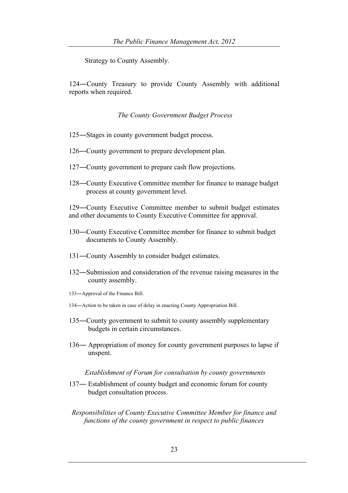Strategy to County Assembly.

124―County Treasury to provide County Assembly with additional reports when required.

*The County Government Budget Process*

- 125―Stages in county government budget process.
- 126―County government to prepare development plan.
- 127―County government to prepare cash flow projections.
- 128―County Executive Committee member for finance to manage budget process at county government level.

129―County Executive Committee member to submit budget estimates and other documents to County Executive Committee for approval.

- 130―County Executive Committee member for finance to submit budget documents to County Assembly.
- 131―County Assembly to consider budget estimates.
- 132―Submission and consideration of the revenue raising measures in the county assembly.
- 133―Approval of the Finance Bill.
- 134―Action to be taken in case of delay in enacting County Appropriation Bill.
- 135―County government to submit to county assembly supplementary budgets in certain circumstances.
- 136― Appropriation of money for county government purposes to lapse if unspent.

#### *Establishment of Forum for consultation by county governments*

- 137― Establishment of county budget and economic forum for county budget consultation process.
- *Responsibilities of County Executive Committee Member for finance and functions of the county government in respect to public finances*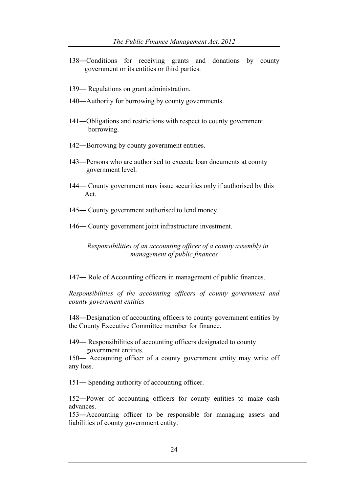- 138―Conditions for receiving grants and donations by county government or its entities or third parties.
- 139― Regulations on grant administration.
- 140―Authority for borrowing by county governments.
- 141―Obligations and restrictions with respect to county government borrowing.
- 142―Borrowing by county government entities.
- 143―Persons who are authorised to execute loan documents at county government level.
- 144― County government may issue securities only if authorised by this Act.
- 145― County government authorised to lend money.
- 146― County government joint infrastructure investment.

 *Responsibilities of an accounting officer of a county assembly in management of public finances*

147― Role of Accounting officers in management of public finances.

*Responsibilities of the accounting officers of county government and county government entities*

148―Designation of accounting officers to county government entities by the County Executive Committee member for finance.

149― Responsibilities of accounting officers designated to county government entities.

150― Accounting officer of a county government entity may write off any loss.

151― Spending authority of accounting officer.

152―Power of accounting officers for county entities to make cash advances.

153―Accounting officer to be responsible for managing assets and liabilities of county government entity.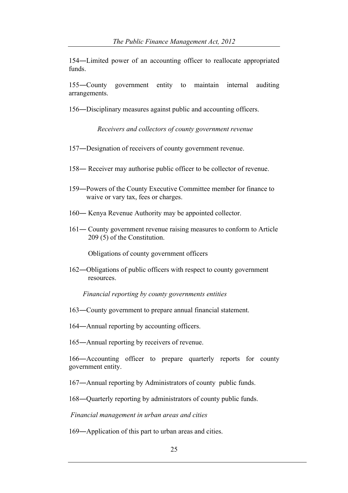―Limited power of an accounting officer to reallocate appropriated funds.

―County government entity to maintain internal auditing arrangements.

―Disciplinary measures against public and accounting officers.

*Receivers and collectors of county government revenue*

- ―Designation of receivers of county government revenue.
- ― Receiver may authorise public officer to be collector of revenue.
- ―Powers of the County Executive Committee member for finance to waive or vary tax, fees or charges.
- ― Kenya Revenue Authority may be appointed collector.
- ― County government revenue raising measures to conform to Article 209 (5) of the Constitution.

Obligations of county government officers

―Obligations of public officers with respect to county government resources.

*Financial reporting by county governments entities*

―County government to prepare annual financial statement.

―Annual reporting by accounting officers.

―Annual reporting by receivers of revenue.

―Accounting officer to prepare quarterly reports for county government entity.

―Annual reporting by Administrators of county public funds.

―Quarterly reporting by administrators of county public funds.

*Financial management in urban areas and cities*

―Application of this part to urban areas and cities.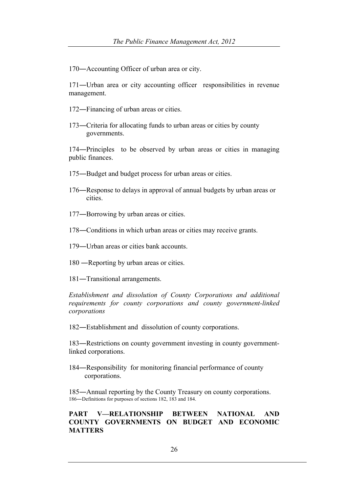170―Accounting Officer of urban area or city.

171―Urban area or city accounting officer responsibilities in revenue management.

- 172―Financing of urban areas or cities.
- 173―Criteria for allocating funds to urban areas or cities by county governments.

174―Principles to be observed by urban areas or cities in managing public finances.

- 175―Budget and budget process for urban areas or cities.
- 176―Response to delays in approval of annual budgets by urban areas or cities.
- 177―Borrowing by urban areas or cities.
- 178―Conditions in which urban areas or cities may receive grants.
- 179―Urban areas or cities bank accounts.
- 180 ―Reporting by urban areas or cities.
- 181―Transitional arrangements.

*Establishment and dissolution of County Corporations and additional requirements for county corporations and county government-linked corporations*

182―Establishment and dissolution of county corporations.

183―Restrictions on county government investing in county governmentlinked corporations.

184―Responsibility for monitoring financial performance of county corporations.

185―Annual reporting by the County Treasury on county corporations. 186―Definitions for purposes of sections 182, 183 and 184.

## **PART V—RELATIONSHIP BETWEEN NATIONAL AND COUNTY GOVERNMENTS ON BUDGET AND ECONOMIC MATTERS**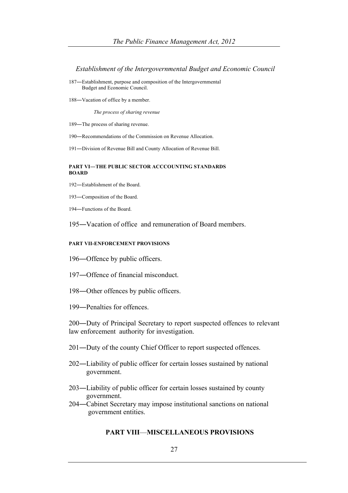*Establishment of the Intergovernmental Budget and Economic Council*

- ―Establishment, purpose and composition of the Intergovernmental Budget and Economic Council.
- ―Vacation of office by a member.

 *The process of sharing revenue*

―The process of sharing revenue.

―Recommendations of the Commission on Revenue Allocation.

―Division of Revenue Bill and County Allocation of Revenue Bill.

#### **PART VI―THE PUBLIC SECTOR ACCCOUNTING STANDARDS BOARD**

- ―Establishment of the Board.
- ―Composition of the Board.
- ―Functions of the Board.

―Vacation of office and remuneration of Board members.

#### **PART VII-ENFORCEMENT PROVISIONS**

―Offence by public officers.

- ―Offence of financial misconduct.
- ―Other offences by public officers.
- ―Penalties for offences.

―Duty of Principal Secretary to report suspected offences to relevant law enforcement authority for investigation.

- ―Duty of the county Chief Officer to report suspected offences.
- ―Liability of public officer for certain losses sustained by national government.
- ―Liability of public officer for certain losses sustained by county government.
- ―Cabinet Secretary may impose institutional sanctions on national government entities.

#### **PART VIII**—**MISCELLANEOUS PROVISIONS**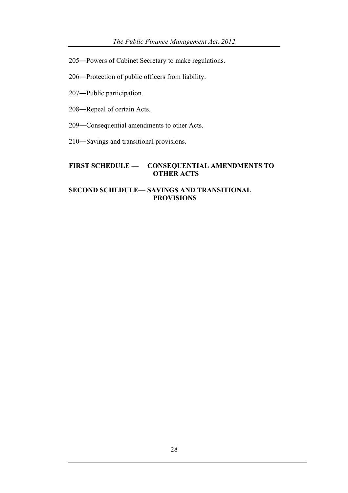205―Powers of Cabinet Secretary to make regulations.

206―Protection of public officers from liability.

207―Public participation.

208―Repeal of certain Acts.

209―Consequential amendments to other Acts.

210―Savings and transitional provisions.

## **FIRST SCHEDULE — CONSEQUENTIAL AMENDMENTS TO OTHER ACTS**

## **SECOND SCHEDULE— SAVINGS AND TRANSITIONAL PROVISIONS**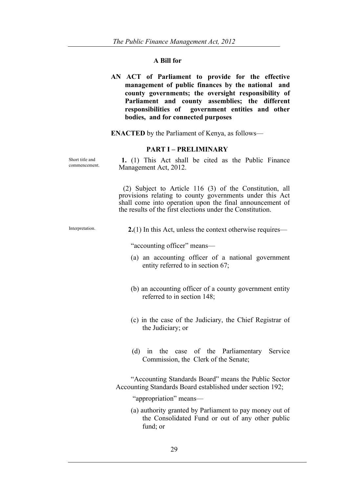# **A Bill for**

|                                  | AN ACT of Parliament to provide for the effective<br>management of public finances by the national and<br>county governments; the oversight responsibility of<br>Parliament and county assemblies; the different<br>responsibilities of government entities and other<br>bodies, and for connected purposes |
|----------------------------------|-------------------------------------------------------------------------------------------------------------------------------------------------------------------------------------------------------------------------------------------------------------------------------------------------------------|
|                                  | <b>ENACTED</b> by the Parliament of Kenya, as follows—                                                                                                                                                                                                                                                      |
|                                  | <b>PART I - PRELIMINARY</b>                                                                                                                                                                                                                                                                                 |
| Short title and<br>commencement. | 1. (1) This Act shall be cited as the Public Finance<br>Management Act, 2012.                                                                                                                                                                                                                               |
|                                  | (2) Subject to Article 116 (3) of the Constitution, all<br>provisions relating to county governments under this Act<br>shall come into operation upon the final announcement of<br>the results of the first elections under the Constitution.                                                               |
| Interpretation.                  | $2(1)$ In this Act, unless the context otherwise requires—                                                                                                                                                                                                                                                  |
|                                  | "accounting officer" means—                                                                                                                                                                                                                                                                                 |
|                                  | (a) an accounting officer of a national government<br>entity referred to in section 67;                                                                                                                                                                                                                     |
|                                  | (b) an accounting officer of a county government entity<br>referred to in section 148;                                                                                                                                                                                                                      |
|                                  | (c) in the case of the Judiciary, the Chief Registrar of<br>the Judiciary; or                                                                                                                                                                                                                               |
|                                  | (d) in the case of the Parliamentary<br>Service<br>Commission, the Clerk of the Senate;                                                                                                                                                                                                                     |
|                                  | "Accounting Standards Board" means the Public Sector<br>Accounting Standards Board established under section 192;                                                                                                                                                                                           |
|                                  | "appropriation" means-                                                                                                                                                                                                                                                                                      |
|                                  | (a) authority granted by Parliament to pay money out of<br>the Consolidated Fund or out of any other public<br>fund; or                                                                                                                                                                                     |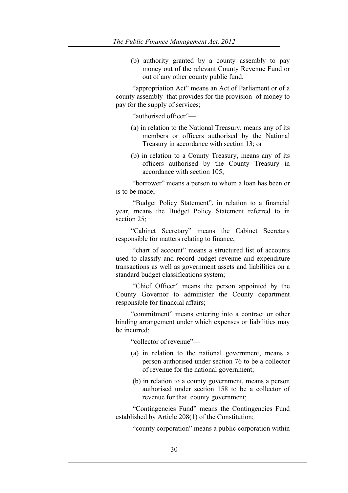(b) authority granted by a county assembly to pay money out of the relevant County Revenue Fund or out of any other county public fund;

"appropriation Act" means an Act of Parliament or of a county assembly that provides for the provision of money to pay for the supply of services;

"authorised officer"—

- (a) in relation to the National Treasury, means any of its members or officers authorised by the National Treasury in accordance with section 13; or
- (b) in relation to a County Treasury, means any of its officers authorised by the County Treasury in accordance with section 105;

"borrower" means a person to whom a loan has been or is to be made;

"Budget Policy Statement", in relation to a financial year, means the Budget Policy Statement referred to in section  $25$ 

"Cabinet Secretary" means the Cabinet Secretary responsible for matters relating to finance;

"chart of account" means a structured list of accounts used to classify and record budget revenue and expenditure transactions as well as government assets and liabilities on a standard budget classifications system;

"Chief Officer" means the person appointed by the County Governor to administer the County department responsible for financial affairs;

"commitment" means entering into a contract or other binding arrangement under which expenses or liabilities may be incurred;

"collector of revenue"—

- (a) in relation to the national government, means a person authorised under section 76 to be a collector of revenue for the national government;
- (b) in relation to a county government, means a person authorised under section 158 to be a collector of revenue for that county government;

"Contingencies Fund" means the Contingencies Fund established by Article 208(1) of the Constitution;

"county corporation" means a public corporation within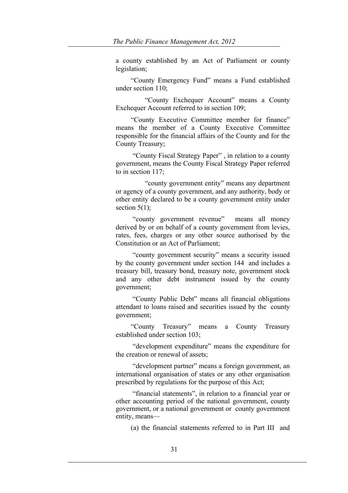a county established by an Act of Parliament or county legislation;

"County Emergency Fund" means a Fund established under section 110;

 "County Exchequer Account" means a County Exchequer Account referred to in section 109:

"County Executive Committee member for finance" means the member of a County Executive Committee responsible for the financial affairs of the County and for the County Treasury;

"County Fiscal Strategy Paper" , in relation to a county government, means the County Fiscal Strategy Paper referred to in section 117;

 "county government entity" means any department or agency of a county government, and any authority, body or other entity declared to be a county government entity under section  $5(1)$ ;

"county government revenue" means all money derived by or on behalf of a county government from levies, rates, fees, charges or any other source authorised by the Constitution or an Act of Parliament;

"county government security" means a security issued by the county government under section 144 and includes a treasury bill, treasury bond, treasury note, government stock and any other debt instrument issued by the county government;

"County Public Debt" means all financial obligations attendant to loans raised and securities issued by the county government;

"County Treasury" means a County Treasury established under section 103;

"development expenditure" means the expenditure for the creation or renewal of assets;

"development partner" means a foreign government, an international organisation of states or any other organisation prescribed by regulations for the purpose of this Act;

"financial statements", in relation to a financial year or other accounting period of the national government, county government, or a national government or county government entity, means—

(a) the financial statements referred to in Part III and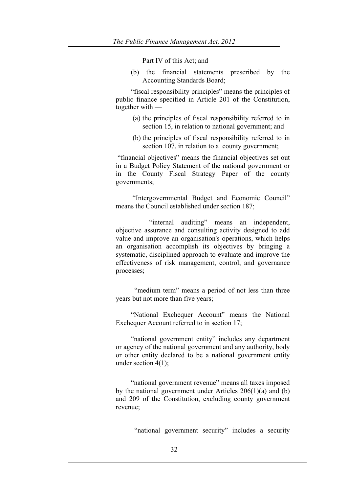Part IV of this Act; and

(b) the financial statements prescribed by the Accounting Standards Board;

"fiscal responsibility principles" means the principles of public finance specified in Article 201 of the Constitution, together with —

- (a) the principles of fiscal responsibility referred to in section 15, in relation to national government; and
- (b) the principles of fiscal responsibility referred to in section 107, in relation to a county government;

"financial objectives" means the financial objectives set out in a Budget Policy Statement of the national government or in the County Fiscal Strategy Paper of the county governments;

"Intergovernmental Budget and Economic Council" means the Council established under section 187;

 "internal auditing" means an independent, objective assurance and consulting activity designed to add value and improve an organisation's operations, which helps an organisation accomplish its objectives by bringing a systematic, disciplined approach to evaluate and improve the effectiveness of risk management, control, and governance processes;

"medium term" means a period of not less than three years but not more than five years;

"National Exchequer Account" means the National Exchequer Account referred to in section 17;

"national government entity" includes any department or agency of the national government and any authority, body or other entity declared to be a national government entity under section 4(1);

"national government revenue" means all taxes imposed by the national government under Articles 206(1)(a) and (b) and 209 of the Constitution, excluding county government revenue;

"national government security" includes a security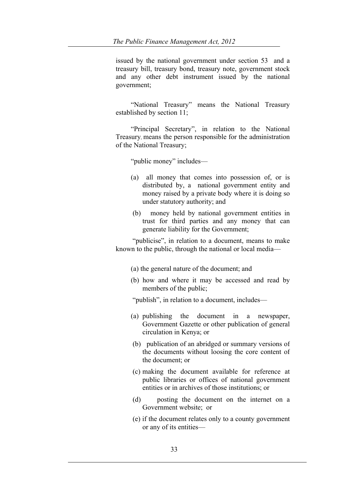issued by the national government under section 53 and a treasury bill, treasury bond, treasury note, government stock and any other debt instrument issued by the national government;

"National Treasury" means the National Treasury established by section 11;

"Principal Secretary", in relation to the National Treasury, means the person responsible for the administration of the National Treasury;

"public money" includes—

- (a) all money that comes into possession of, or is distributed by, a national government entity and money raised by a private body where it is doing so under statutory authority; and
- (b) money held by national government entities in trust for third parties and any money that can generate liability for the Government;

"publicise", in relation to a document, means to make known to the public, through the national or local media—

- (a) the general nature of the document; and
- (b) how and where it may be accessed and read by members of the public;

"publish", in relation to a document, includes—

- (a) publishing the document in a newspaper, Government Gazette or other publication of general circulation in Kenya; or
- (b) publication of an abridged or summary versions of the documents without loosing the core content of the document; or
- (c) making the document available for reference at public libraries or offices of national government entities or in archives of those institutions; or
- (d) posting the document on the internet on a Government website; or
- (e) if the document relates only to a county government or any of its entities—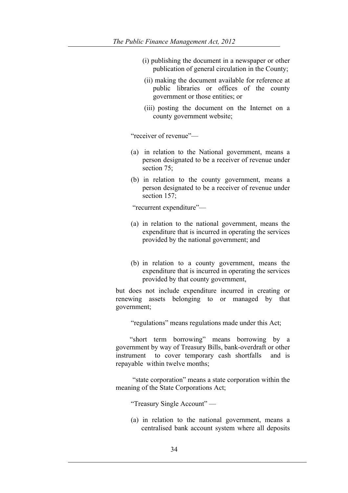- (i) publishing the document in a newspaper or other publication of general circulation in the County;
- (ii) making the document available for reference at public libraries or offices of the county government or those entities; or
- (iii) posting the document on the Internet on a county government website;

"receiver of revenue"—

- (a) in relation to the National government, means a person designated to be a receiver of revenue under section 75:
- (b) in relation to the county government, means a person designated to be a receiver of revenue under section 157:

"recurrent expenditure"—

- (a) in relation to the national government, means the expenditure that is incurred in operating the services provided by the national government; and
- (b) in relation to a county government, means the expenditure that is incurred in operating the services provided by that county government,

but does not include expenditure incurred in creating or renewing assets belonging to or managed by that government;

"regulations" means regulations made under this Act;

 "short term borrowing" means borrowing by a government by way of Treasury Bills, bank-overdraft or other instrument to cover temporary cash shortfalls and is repayable within twelve months;

"state corporation" means a state corporation within the meaning of the State Corporations Act;

"Treasury Single Account" —

(a) in relation to the national government, means a centralised bank account system where all deposits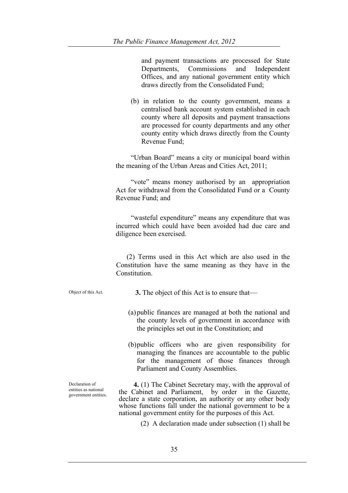and payment transactions are processed for State Departments, Commissions and Independent Offices, and any national government entity which draws directly from the Consolidated Fund;

(b) in relation to the county government, means a centralised bank account system established in each county where all deposits and payment transactions are processed for county departments and any other county entity which draws directly from the County Revenue Fund;

"Urban Board" means a city or municipal board within the meaning of the Urban Areas and Cities Act, 2011;

"vote" means money authorised by an appropriation Act for withdrawal from the Consolidated Fund or a County Revenue Fund; and

"wasteful expenditure" means any expenditure that was incurred which could have been avoided had due care and diligence been exercised.

 (2) Terms used in this Act which are also used in the Constitution have the same meaning as they have in the **Constitution** 

Declaration of entities as national government entities.

Object of this Act. **3.** The object of this Act is to ensure that—

- (a)public finances are managed at both the national and the county levels of government in accordance with the principles set out in the Constitution; and
- (b)public officers who are given responsibility for managing the finances are accountable to the public for the management of those finances through Parliament and County Assemblies.

 **4.** (1) The Cabinet Secretary may, with the approval of the Cabinet and Parliament, by order in the Gazette, declare a state corporation, an authority or any other body whose functions fall under the national government to be a national government entity for the purposes of this Act.

(2) A declaration made under subsection (1) shall be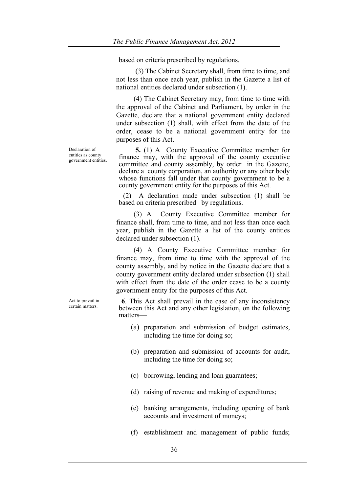based on criteria prescribed by regulations.

 (3) The Cabinet Secretary shall, from time to time, and not less than once each year, publish in the Gazette a list of national entities declared under subsection (1).

 (4) The Cabinet Secretary may, from time to time with the approval of the Cabinet and Parliament, by order in the Gazette, declare that a national government entity declared under subsection (1) shall, with effect from the date of the order, cease to be a national government entity for the purposes of this Act.

 **5.** (1) A County Executive Committee member for finance may, with the approval of the county executive committee and county assembly, by order in the Gazette, declare a county corporation, an authority or any other body whose functions fall under that county government to be a county government entity for the purposes of this Act.

(2) A declaration made under subsection (1) shall be based on criteria prescribed by regulations.

 (3) A County Executive Committee member for finance shall, from time to time, and not less than once each year, publish in the Gazette a list of the county entities declared under subsection (1).

 (4) A County Executive Committee member for finance may, from time to time with the approval of the county assembly, and by notice in the Gazette declare that a county government entity declared under subsection (1) shall with effect from the date of the order cease to be a county government entity for the purposes of this Act.

**6**. This Act shall prevail in the case of any inconsistency between this Act and any other legislation, on the following matters—

- (a) preparation and submission of budget estimates, including the time for doing so;
- (b) preparation and submission of accounts for audit, including the time for doing so;
- (c) borrowing, lending and loan guarantees;
- (d) raising of revenue and making of expenditures;
- (e) banking arrangements, including opening of bank accounts and investment of moneys;
- (f) establishment and management of public funds;

Declaration of entities as county government entities.

Act to prevail in certain matters.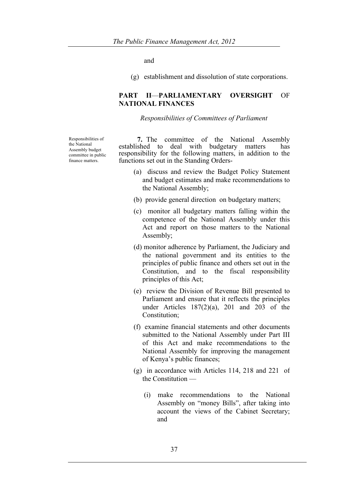and

(g) establishment and dissolution of state corporations.

#### **PART II**—**PARLIAMENTARY OVERSIGHT** OF **NATIONAL FINANCES**

#### *Responsibilities of Committees of Parliament*

Responsibilities of the National Assembly budget committee in public finance matters.

**7.** The committee of the National Assembly established to deal with budgetary matters has deal with budgetary matters has responsibility for the following matters, in addition to the functions set out in the Standing Orders-

- (a) discuss and review the Budget Policy Statement and budget estimates and make recommendations to the National Assembly;
- (b) provide general direction on budgetary matters;
- (c) monitor all budgetary matters falling within the competence of the National Assembly under this Act and report on those matters to the National Assembly;
- (d) monitor adherence by Parliament, the Judiciary and the national government and its entities to the principles of public finance and others set out in the Constitution, and to the fiscal responsibility principles of this Act;
- (e) review the Division of Revenue Bill presented to Parliament and ensure that it reflects the principles under Articles 187(2)(a), 201 and 203 of the Constitution;
- (f) examine financial statements and other documents submitted to the National Assembly under Part III of this Act and make recommendations to the National Assembly for improving the management of Kenya's public finances;
- (g) in accordance with Articles 114, 218 and 221 of the Constitution —
	- (i) make recommendations to the National Assembly on "money Bills", after taking into account the views of the Cabinet Secretary; and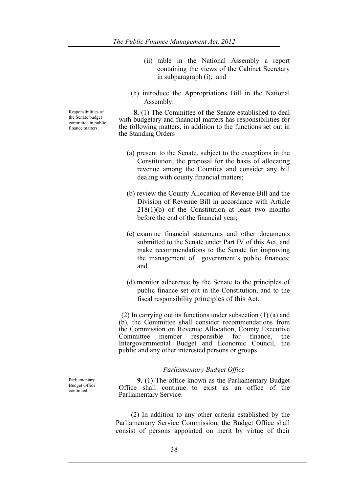- (ii) table in the National Assembly a report containing the views of the Cabinet Secretary in subparagraph (i); and
- (h) introduce the Appropriations Bill in the National Assembly.

 **8.** (1) The Committee of the Senate established to deal with budgetary and financial matters has responsibilities for the following matters, in addition to the functions set out in the Standing Orders—

- (a) present to the Senate, subject to the exceptions in the Constitution, the proposal for the basis of allocating revenue among the Counties and consider any bill dealing with county financial matters;
- (b) review the County Allocation of Revenue Bill and the Division of Revenue Bill in accordance with Article 218(1)(b) of the Constitution at least two months before the end of the financial year;
- (c) examine financial statements and other documents submitted to the Senate under Part IV of this Act, and make recommendations to the Senate for improving the management of government's public finances; and
- (d) monitor adherence by the Senate to the principles of public finance set out in the Constitution, and to the fiscal responsibility principles of this Act.

(2) In carrying out its functions under subsection (1) (a) and (b), the Committee shall consider recommendations from the Commission on Revenue Allocation, County Executive<br>Committee member responsible for finance, the responsible for finance, the Intergovernmental Budget and Economic Council, the public and any other interested persons or groups.

#### *Parliamentary Budget Office*

 **9.** (1) The office known as the Parliamentary Budget Office shall continue to exist as an office of the Parliamentary Service.

 (2) In addition to any other criteria established by the Parliamentary Service Commission, the Budget Office shall consist of persons appointed on merit by virtue of their

Parliamentary Budget Office continued.

Responsibilities of the Senate budget committee in public finance matters.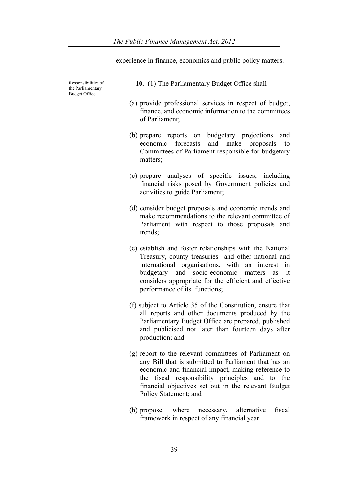experience in finance, economics and public policy matters.

Responsibilities of the Parliamentary Budget Office.

- **10.** (1) The Parliamentary Budget Office shall-
- (a) provide professional services in respect of budget, finance, and economic information to the committees of Parliament;
- (b) prepare reports on budgetary projections and economic forecasts and make proposals to Committees of Parliament responsible for budgetary matters;
- (c) prepare analyses of specific issues, including financial risks posed by Government policies and activities to guide Parliament;
- (d) consider budget proposals and economic trends and make recommendations to the relevant committee of Parliament with respect to those proposals and trends;
- (e) establish and foster relationships with the National Treasury, county treasuries and other national and international organisations, with an interest in budgetary and socio-economic matters as it considers appropriate for the efficient and effective performance of its functions;
- (f) subject to Article 35 of the Constitution, ensure that all reports and other documents produced by the Parliamentary Budget Office are prepared, published and publicised not later than fourteen days after production; and
- (g) report to the relevant committees of Parliament on any Bill that is submitted to Parliament that has an economic and financial impact, making reference to the fiscal responsibility principles and to the financial objectives set out in the relevant Budget Policy Statement; and
- (h) propose, where necessary, alternative fiscal framework in respect of any financial year.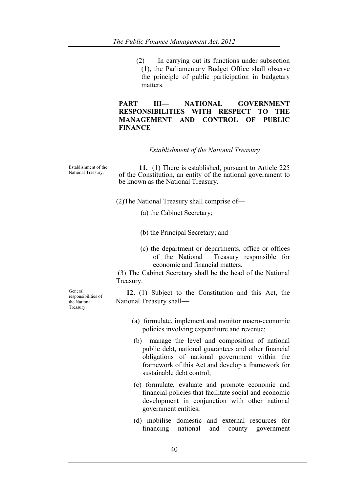(2) In carrying out its functions under subsection (1), the Parliamentary Budget Office shall observe the principle of public participation in budgetary matters.

### **PART III— NATIONAL GOVERNMENT RESPONSIBILITIES WITH RESPECT TO THE MANAGEMENT AND CONTROL OF PUBLIC FINANCE**

#### *Establishment of the National Treasury*

Establishment of the

Establishment of the **11.** (1) There is established, pursuant to Article 225 National Treasury. of the Constitution, an entity of the national government to be known as the National Treasury.

(2)The National Treasury shall comprise of—

(a) the Cabinet Secretary;

(b) the Principal Secretary; and

 (c) the department or departments, office or offices of the National Treasury responsible for economic and financial matters.

(3) The Cabinet Secretary shall be the head of the National Treasury.

 **12.** (1) Subject to the Constitution and this Act, the National Treasury shall—

- (a) formulate, implement and monitor macro-economic policies involving expenditure and revenue;
- (b) manage the level and composition of national public debt, national guarantees and other financial obligations of national government within the framework of this Act and develop a framework for sustainable debt control;
- (c) formulate, evaluate and promote economic and financial policies that facilitate social and economic development in conjunction with other national government entities;
- (d) mobilise domestic and external resources for financing national and county government

General responsibilities of the National Treasury.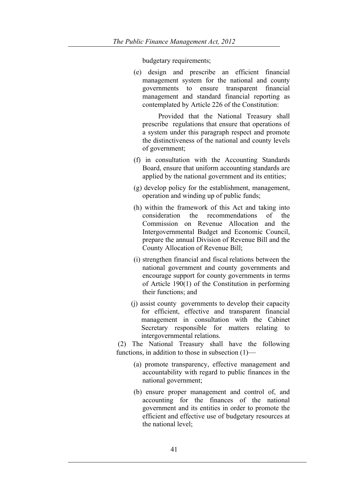budgetary requirements;

(e) design and prescribe an efficient financial management system for the national and county governments to ensure transparent financial management and standard financial reporting as contemplated by Article 226 of the Constitution:

 Provided that the National Treasury shall prescribe regulations that ensure that operations of a system under this paragraph respect and promote the distinctiveness of the national and county levels of government;

- (f) in consultation with the Accounting Standards Board, ensure that uniform accounting standards are applied by the national government and its entities;
- (g) develop policy for the establishment, management, operation and winding up of public funds;
- (h) within the framework of this Act and taking into consideration the recommendations of the Commission on Revenue Allocation and the Intergovernmental Budget and Economic Council, prepare the annual Division of Revenue Bill and the County Allocation of Revenue Bill;
- (i) strengthen financial and fiscal relations between the national government and county governments and encourage support for county governments in terms of Article 190(1) of the Constitution in performing their functions; and
- (j) assist county governments to develop their capacity for efficient, effective and transparent financial management in consultation with the Cabinet Secretary responsible for matters relating to intergovernmental relations.

(2) The National Treasury shall have the following functions, in addition to those in subsection (1)—

- (a) promote transparency, effective management and accountability with regard to public finances in the national government;
- (b) ensure proper management and control of, and accounting for the finances of the national government and its entities in order to promote the efficient and effective use of budgetary resources at the national level;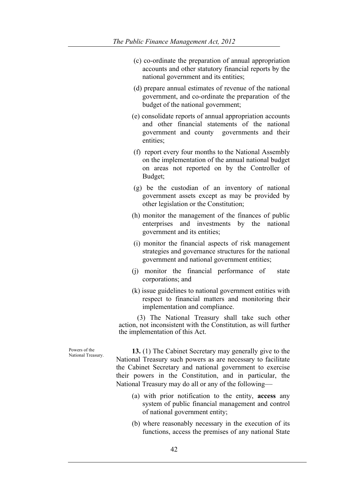- (c) co-ordinate the preparation of annual appropriation accounts and other statutory financial reports by the national government and its entities;
- (d) prepare annual estimates of revenue of the national government, and co-ordinate the preparation of the budget of the national government;
- (e) consolidate reports of annual appropriation accounts and other financial statements of the national government and county governments and their entities;
- (f) report every four months to the National Assembly on the implementation of the annual national budget on areas not reported on by the Controller of Budget;
- (g) be the custodian of an inventory of national government assets except as may be provided by other legislation or the Constitution;
- (h) monitor the management of the finances of public enterprises and investments by the national government and its entities;
- (i) monitor the financial aspects of risk management strategies and governance structures for the national government and national government entities;
- (j) monitor the financial performance of state corporations; and
- (k) issue guidelines to national government entities with respect to financial matters and monitoring their implementation and compliance.

 (3) The National Treasury shall take such other action, not inconsistent with the Constitution, as will further the implementation of this Act.

Powers of the<br>National Treasury.

**13.** (1) The Cabinet Secretary may generally give to the National Treasury such powers as are necessary to facilitate the Cabinet Secretary and national government to exercise their powers in the Constitution, and in particular, the National Treasury may do all or any of the following—

- (a) with prior notification to the entity, **access** any system of public financial management and control of national government entity;
- (b) where reasonably necessary in the execution of its functions, access the premises of any national State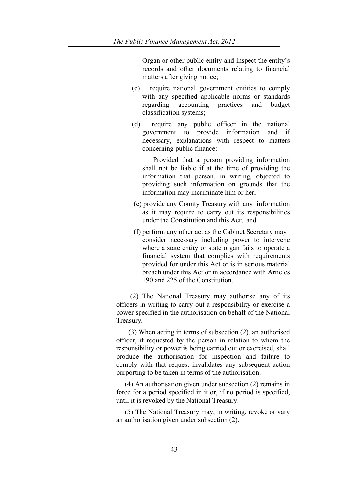Organ or other public entity and inspect the entity's records and other documents relating to financial matters after giving notice;

- (c) require national government entities to comply with any specified applicable norms or standards regarding accounting practices and budget classification systems;
- (d) require any public officer in the national government to provide information and if necessary, explanations with respect to matters concerning public finance:

 Provided that a person providing information shall not be liable if at the time of providing the information that person, in writing, objected to providing such information on grounds that the information may incriminate him or her;

- (e) provide any County Treasury with any information as it may require to carry out its responsibilities under the Constitution and this Act; and
- (f) perform any other act as the Cabinet Secretary may consider necessary including power to intervene where a state entity or state organ fails to operate a financial system that complies with requirements provided for under this Act or is in serious material breach under this Act or in accordance with Articles 190 and 225 of the Constitution.

 (2) The National Treasury may authorise any of its officers in writing to carry out a responsibility or exercise a power specified in the authorisation on behalf of the National Treasury.

 (3) When acting in terms of subsection (2), an authorised officer, if requested by the person in relation to whom the responsibility or power is being carried out or exercised, shall produce the authorisation for inspection and failure to comply with that request invalidates any subsequent action purporting to be taken in terms of the authorisation.

 (4) An authorisation given under subsection (2) remains in force for a period specified in it or, if no period is specified, until it is revoked by the National Treasury.

 (5) The National Treasury may, in writing, revoke or vary an authorisation given under subsection (2).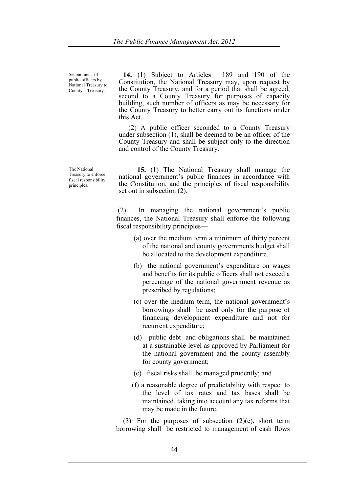Secondment of public officers by National Treasury to County Treasury.

**14.** (1) Subject to Article**s** 189 and 190 of the Constitution, the National Treasury may, upon request by the County Treasury, and for a period that shall be agreed, second to a County Treasury for purposes of capacity building, such number of officers as may be necessary for the County Treasury to better carry out its functions under this Act.

 (2) A public officer seconded to a County Treasury under subsection (1), shall be deemed to be an officer of the County Treasury and shall be subject only to the direction and control of the County Treasury.

The National Treasury to enforce fiscal responsibility principles.

 **15.** (1) The National Treasury shall manage the national government's public finances in accordance with the Constitution, and the principles of fiscal responsibility set out in subsection (2).

(2) In managing the national government's public finances, the National Treasury shall enforce the following fiscal responsibility principles—

- (a) over the medium term a minimum of thirty percent of the national and county governments budget shall be allocated to the development expenditure.
- (b) the national government's expenditure on wages and benefits for its public officers shall not exceed a percentage of the national government revenue as prescribed by regulations;
- (c) over the medium term, the national government's borrowings shall be used only for the purpose of financing development expenditure and not for recurrent expenditure;
- (d) public debt and obligations shall be maintained at a sustainable level as approved by Parliament for the national government and the county assembly for county government;
- (e) fiscal risks shall be managed prudently; and
- (f) a reasonable degree of predictability with respect to the level of tax rates and tax bases shall be maintained, taking into account any tax reforms that may be made in the future.

(3) For the purposes of subsection  $(2)(c)$ , short term borrowing shall be restricted to management of cash flows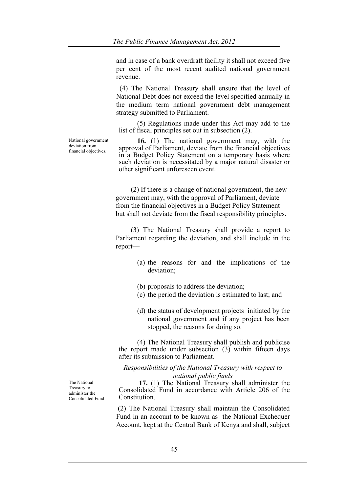and in case of a bank overdraft facility it shall not exceed five per cent of the most recent audited national government revenue.

 (4) The National Treasury shall ensure that the level of National Debt does not exceed the level specified annually in the medium term national government debt management strategy submitted to Parliament.

 (5) Regulations made under this Act may add to the list of fiscal principles set out in subsection (2).

National government deviation from financial objectives.

 **16.** (1) The national government may, with the approval of Parliament, deviate from the financial objectives in a Budget Policy Statement on a temporary basis where such deviation is necessitated by a major natural disaster or other significant unforeseen event.

(2) If there is a change of national government, the new government may, with the approval of Parliament, deviate from the financial objectives in a Budget Policy Statement but shall not deviate from the fiscal responsibility principles.

(3) The National Treasury shall provide a report to Parliament regarding the deviation, and shall include in the report—

- (a) the reasons for and the implications of the deviation;
- (b) proposals to address the deviation;
- (c) the period the deviation is estimated to last; and
- (d) the status of development projects initiated by the national government and if any project has been stopped, the reasons for doing so.

 (4) The National Treasury shall publish and publicise the report made under subsection  $(3)$  within fifteen days after its submission to Parliament.

*Responsibilities of the National Treasury with respect to national public funds*

 **17.** (1) The National Treasury shall administer the Consolidated Fund in accordance with Article 206 of the Constitution.

(2) The National Treasury shall maintain the Consolidated Fund in an account to be known as the National Exchequer Account, kept at the Central Bank of Kenya and shall, subject

The National Treasury to administer the Consolidated Fund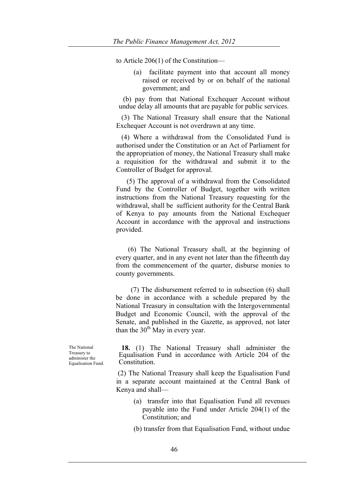to Article 206(1) of the Constitution—

(a) facilitate payment into that account all money raised or received by or on behalf of the national government; and

(b) pay from that National Exchequer Account without undue delay all amounts that are payable for public services.

 (3) The National Treasury shall ensure that the National Exchequer Account is not overdrawn at any time.

 (4) Where a withdrawal from the Consolidated Fund is authorised under the Constitution or an Act of Parliament for the appropriation of money, the National Treasury shall make a requisition for the withdrawal and submit it to the Controller of Budget for approval.

 (5) The approval of a withdrawal from the Consolidated Fund by the Controller of Budget, together with written instructions from the National Treasury requesting for the withdrawal, shall be sufficient authority for the Central Bank of Kenya to pay amounts from the National Exchequer Account in accordance with the approval and instructions provided.

 (6) The National Treasury shall, at the beginning of every quarter, and in any event not later than the fifteenth day from the commencement of the quarter, disburse monies to county governments.

(7) The disbursement referred to in subsection (6) shall be done in accordance with a schedule prepared by the National Treasury in consultation with the Intergovernmental Budget and Economic Council, with the approval of the Senate, and published in the Gazette, as approved, not later than the  $30<sup>th</sup>$  May in every year.

The National Treasury to administer the Equalisation Fund.

**18.** (1) The National Treasury shall administer the Equalisation Fund in accordance with Article 204 of the Constitution.

(2) The National Treasury shall keep the Equalisation Fund in a separate account maintained at the Central Bank of Kenya and shall—

- (a) transfer into that Equalisation Fund all revenues payable into the Fund under Article 204(1) of the Constitution; and
- (b) transfer from that Equalisation Fund, without undue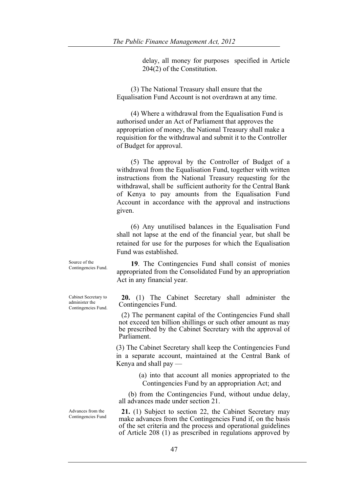delay, all money for purposes specified in Article 204(2) of the Constitution.

(3) The National Treasury shall ensure that the Equalisation Fund Account is not overdrawn at any time.

(4) Where a withdrawal from the Equalisation Fund is authorised under an Act of Parliament that approves the appropriation of money, the National Treasury shall make a requisition for the withdrawal and submit it to the Controller of Budget for approval.

(5) The approval by the Controller of Budget of a withdrawal from the Equalisation Fund, together with written instructions from the National Treasury requesting for the withdrawal, shall be sufficient authority for the Central Bank of Kenya to pay amounts from the Equalisation Fund Account in accordance with the approval and instructions given.

(6) Any unutilised balances in the Equalisation Fund shall not lapse at the end of the financial year, but shall be retained for use for the purposes for which the Equalisation Fund was established.

**19**. The Contingencies Fund shall consist of monies appropriated from the Consolidated Fund by an appropriation Act in any financial year.

**20.** (1) The Cabinet Secretary shall administer the Contingencies Fund.

(2) The permanent capital of the Contingencies Fund shall not exceed ten billion shillings or such other amount as may be prescribed by the Cabinet Secretary with the approval of Parliament.

(3) The Cabinet Secretary shall keep the Contingencies Fund in a separate account, maintained at the Central Bank of Kenya and shall pay —

> (a) into that account all monies appropriated to the Contingencies Fund by an appropriation Act; and

 (b) from the Contingencies Fund, without undue delay, all advances made under section 21.

**21.** (1) Subject to section 22, the Cabinet Secretary may make advances from the Contingencies Fund if, on the basis of the set criteria and the process and operational guidelines of Article 208 (1) as prescribed in regulations approved by

Cabinet Secretary to administer the Contingencies Fund.

Source of the Contingencies Fund.

Advances from the Contingencies Fund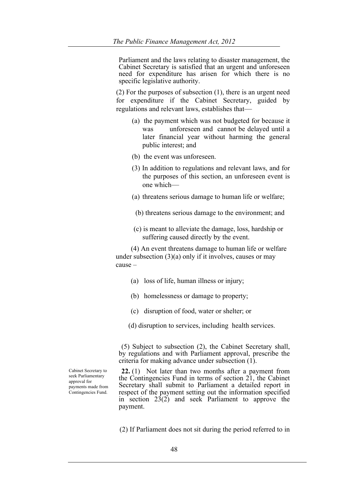Parliament and the laws relating to disaster management, the Cabinet Secretary is satisfied that an urgent and unforeseen need for expenditure has arisen for which there is no specific legislative authority.

(2) For the purposes of subsection (1), there is an urgent need for expenditure if the Cabinet Secretary, guided by regulations and relevant laws, establishes that—

- (a) the payment which was not budgeted for because it was unforeseen and cannot be delayed until a later financial year without harming the general public interest; and
- (b) the event was unforeseen.
- (3) In addition to regulations and relevant laws, and for the purposes of this section, an unforeseen event is one which—
- (a) threatens serious damage to human life or welfare;
- (b) threatens serious damage to the environment; and
- (c) is meant to alleviate the damage, loss, hardship or suffering caused directly by the event.

(4) An event threatens damage to human life or welfare under subsection  $(3)(a)$  only if it involves, causes or may cause –

- (a) loss of life, human illness or injury;
- (b) homelessness or damage to property;
- (c) disruption of food, water or shelter; or
- (d) disruption to services, including health services.

(5) Subject to subsection (2), the Cabinet Secretary shall, by regulations and with Parliament approval, prescribe the criteria for making advance under subsection (1).

**22.** (1) Not later than two months after a payment from the Contingencies Fund in terms of section 21, the Cabinet Secretary shall submit to Parliament a detailed report in respect of the payment setting out the information specified in section 23(2) and seek Parliament to approve the payment.

(2) If Parliament does not sit during the period referred to in

Cabinet Secretary to seek Parliamentary approval for payments made from Contingencies Fund.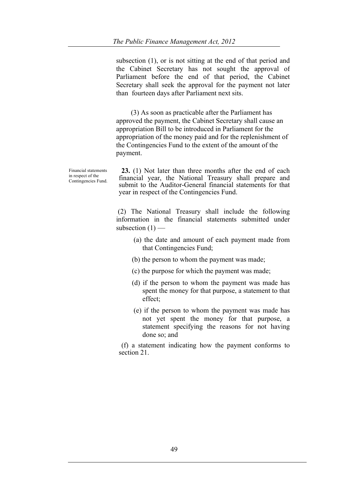subsection (1), or is not sitting at the end of that period and the Cabinet Secretary has not sought the approval of Parliament before the end of that period, the Cabinet Secretary shall seek the approval for the payment not later than fourteen days after Parliament next sits.

(3) As soon as practicable after the Parliament has approved the payment, the Cabinet Secretary shall cause an appropriation Bill to be introduced in Parliament for the appropriation of the money paid and for the replenishment of the Contingencies Fund to the extent of the amount of the payment.

Financial statements in respect of the Contingencies Fund.

**23.** (1) Not later than three months after the end of each financial year, the National Treasury shall prepare and submit to the Auditor-General financial statements for that year in respect of the Contingencies Fund.

(2) The National Treasury shall include the following information in the financial statements submitted under subsection  $(1)$  —

- (a) the date and amount of each payment made from that Contingencies Fund;
- (b) the person to whom the payment was made;
- (c) the purpose for which the payment was made;
- (d) if the person to whom the payment was made has spent the money for that purpose, a statement to that effect;
- (e) if the person to whom the payment was made has not yet spent the money for that purpose, a statement specifying the reasons for not having done so; and

(f) a statement indicating how the payment conforms to section 21.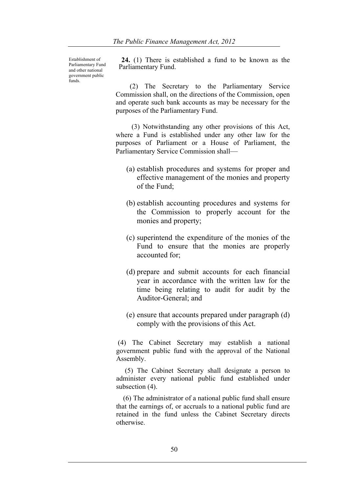Establishment of Parliamentary Fund and other national government public funds.

**24.** (1) There is established a fund to be known as the Parliamentary Fund.

 (2) The Secretary to the Parliamentary Service Commission shall, on the directions of the Commission, open and operate such bank accounts as may be necessary for the purposes of the Parliamentary Fund.

 (3) Notwithstanding any other provisions of this Act, where a Fund is established under any other law for the purposes of Parliament or a House of Parliament, the Parliamentary Service Commission shall—

- (a) establish procedures and systems for proper and effective management of the monies and property of the Fund;
- (b) establish accounting procedures and systems for the Commission to properly account for the monies and property;
- (c) superintend the expenditure of the monies of the Fund to ensure that the monies are properly accounted for;
- (d) prepare and submit accounts for each financial year in accordance with the written law for the time being relating to audit for audit by the Auditor-General; and
- (e) ensure that accounts prepared under paragraph (d) comply with the provisions of this Act.

(4) The Cabinet Secretary may establish a national government public fund with the approval of the National Assembly.

 (5) The Cabinet Secretary shall designate a person to administer every national public fund established under subsection  $(4)$ .

 (6) The administrator of a national public fund shall ensure that the earnings of, or accruals to a national public fund are retained in the fund unless the Cabinet Secretary directs otherwise.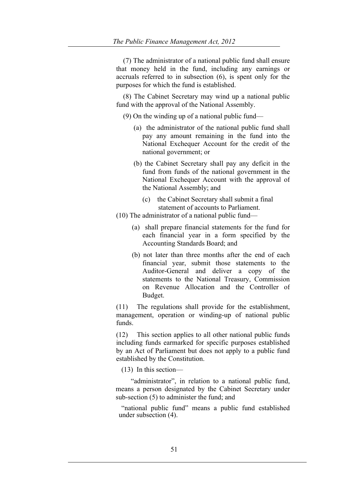(7) The administrator of a national public fund shall ensure that money held in the fund, including any earnings or accruals referred to in subsection (6), is spent only for the purposes for which the fund is established.

 (8) The Cabinet Secretary may wind up a national public fund with the approval of the National Assembly.

- (9) On the winding up of a national public fund—
	- (a) the administrator of the national public fund shall pay any amount remaining in the fund into the National Exchequer Account for the credit of the national government; or
	- (b) the Cabinet Secretary shall pay any deficit in the fund from funds of the national government in the National Exchequer Account with the approval of the National Assembly; and
		- (c) the Cabinet Secretary shall submit a final statement of accounts to Parliament.
- (10) The administrator of a national public fund—
	- (a) shall prepare financial statements for the fund for each financial year in a form specified by the Accounting Standards Board; and
	- (b) not later than three months after the end of each financial year, submit those statements to the Auditor-General and deliver a copy of the statements to the National Treasury, Commission on Revenue Allocation and the Controller of Budget.

(11) The regulations shall provide for the establishment, management, operation or winding-up of national public funds.

(12) This section applies to all other national public funds including funds earmarked for specific purposes established by an Act of Parliament but does not apply to a public fund established by the Constitution.

(13) In this section—

"administrator", in relation to a national public fund, means a person designated by the Cabinet Secretary under sub-section (5) to administer the fund; and

"national public fund" means a public fund established under subsection (4).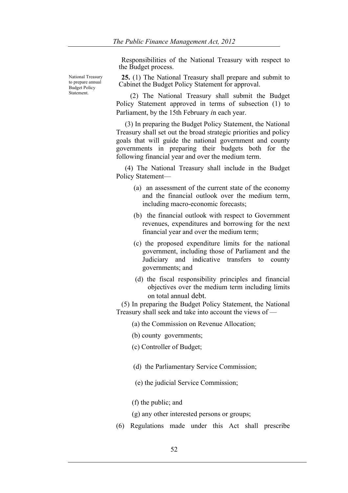Responsibilities of the National Treasury with respect to the Budget process.

National Treasury to prepare annual Budget Policy Statement.

**25.** (1) The National Treasury shall prepare and submit to Cabinet the Budget Policy Statement for approval.

 (2) The National Treasury shall submit the Budget Policy Statement approved in terms of subsection (1) to Parliament, by the 15th February *i*n each year.

 (3) In preparing the Budget Policy Statement, the National Treasury shall set out the broad strategic priorities and policy goals that will guide the national government and county governments in preparing their budgets both for the following financial year and over the medium term.

 (4) The National Treasury shall include in the Budget Policy Statement—

- (a) an assessment of the current state of the economy and the financial outlook over the medium term, including macro-economic forecasts;
- (b) the financial outlook with respect to Government revenues, expenditures and borrowing for the next financial year and over the medium term;
- (c) the proposed expenditure limits for the national government, including those of Parliament and the Judiciary and indicative transfers to county governments; and
- (d) the fiscal responsibility principles and financial objectives over the medium term including limits on total annual debt.

 (5) In preparing the Budget Policy Statement, the National Treasury shall seek and take into account the views of —

- (a) the Commission on Revenue Allocation;
- (b) county governments;
- (c) Controller of Budget;
- (d)the Parliamentary Service Commission;
- (e) the judicial Service Commission;
- (f) the public; and
- (g) any other interested persons or groups;
- (6) Regulations made under this Act shall prescribe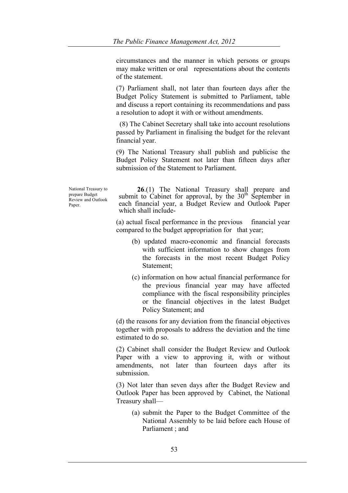circumstances and the manner in which persons or groups may make written or oral representations about the contents of the statement.

(7) Parliament shall, not later than fourteen days after the Budget Policy Statement is submitted to Parliament, table and discuss a report containing its recommendations and pass a resolution to adopt it with or without amendments.

 (8) The Cabinet Secretary shall take into account resolutions passed by Parliament in finalising the budget for the relevant financial year.

(9) The National Treasury shall publish and publicise the Budget Policy Statement not later than fifteen days after submission of the Statement to Parliament.

National Treasury to prepare Budget Review and Outlook Paper.

**26.**(1) The National Treasury shall prepare and submit to Cabinet for approval, by the  $30<sup>th</sup>$  September in each financial year, a Budget Review and Outlook Paper which shall include-

(a) actual fiscal performance in the previous financial year compared to the budget appropriation for that year;

- (b) updated macro-economic and financial forecasts with sufficient information to show changes from the forecasts in the most recent Budget Policy Statement;
- (c) information on how actual financial performance for the previous financial year may have affected compliance with the fiscal responsibility principles or the financial objectives in the latest Budget Policy Statement; and

(d) the reasons for any deviation from the financial objectives together with proposals to address the deviation and the time estimated to do so.

(2) Cabinet shall consider the Budget Review and Outlook Paper with a view to approving it, with or without amendments, not later than fourteen days after its submission.

(3) Not later than seven days after the Budget Review and Outlook Paper has been approved by Cabinet, the National Treasury shall—

(a) submit the Paper to the Budget Committee of the National Assembly to be laid before each House of Parliament ; and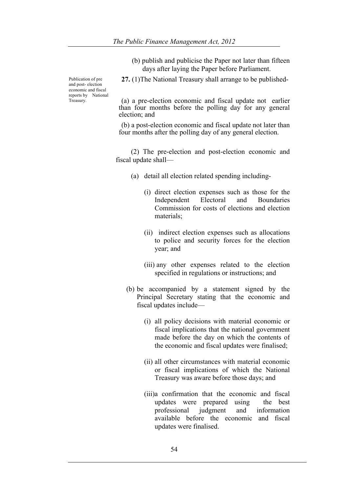(b) publish and publicise the Paper not later than fifteen days after laying the Paper before Parliament.

Publication of pre and post- election economic and fiscal reports by National Treasury.

**27.** (1)The National Treasury shall arrange to be published-

(a) a pre-election economic and fiscal update not earlier than four months before the polling day for any general election; and

(b) a post-election economic and fiscal update not later than four months after the polling day of any general election.

(2) The pre-election and post-election economic and fiscal update shall—

- (a) detail all election related spending including-
	- (i) direct election expenses such as those for the Independent Electoral and Boundaries Commission for costs of elections and election materials;
	- (ii) indirect election expenses such as allocations to police and security forces for the election year; and
	- (iii) any other expenses related to the election specified in regulations or instructions; and
- (b) be accompanied by a statement signed by the Principal Secretary stating that the economic and fiscal updates include—
	- (i) all policy decisions with material economic or fiscal implications that the national government made before the day on which the contents of the economic and fiscal updates were finalised;
	- (ii) all other circumstances with material economic or fiscal implications of which the National Treasury was aware before those days; and
	- (iii)a confirmation that the economic and fiscal updates were prepared using the best professional judgment and information available before the economic and fiscal updates were finalised.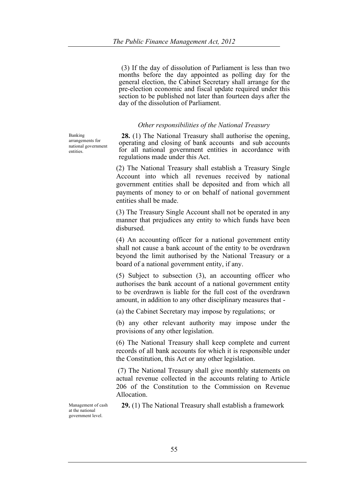(3) If the day of dissolution of Parliament is less than two months before the day appointed as polling day for the general election, the Cabinet Secretary shall arrange for the pre-election economic and fiscal update required under this section to be published not later than fourteen days after the day of the dissolution of Parliament.

## *Other responsibilities of the National Treasury*

**28.** (1) The National Treasury shall authorise the opening, operating and closing of bank accounts and sub accounts for all national government entities in accordance with regulations made under this Act.

(2) The National Treasury shall establish a Treasury Single Account into which all revenues received by national government entities shall be deposited and from which all payments of money to or on behalf of national government entities shall be made.

(3) The Treasury Single Account shall not be operated in any manner that prejudices any entity to which funds have been disbursed.

(4) An accounting officer for a national government entity shall not cause a bank account of the entity to be overdrawn beyond the limit authorised by the National Treasury or a board of a national government entity, if any.

(5) Subject to subsection (3), an accounting officer who authorises the bank account of a national government entity to be overdrawn is liable for the full cost of the overdrawn amount, in addition to any other disciplinary measures that -

(a) the Cabinet Secretary may impose by regulations; or

(b) any other relevant authority may impose under the provisions of any other legislation.

(6) The National Treasury shall keep complete and current records of all bank accounts for which it is responsible under the Constitution, this Act or any other legislation.

(7) The National Treasury shall give monthly statements on actual revenue collected in the accounts relating to Article 206 of the Constitution to the Commission on Revenue Allocation.

Management of cash at the national government level.

**29.** (1) The National Treasury shall establish a framework

Banking arrangements for national government entities.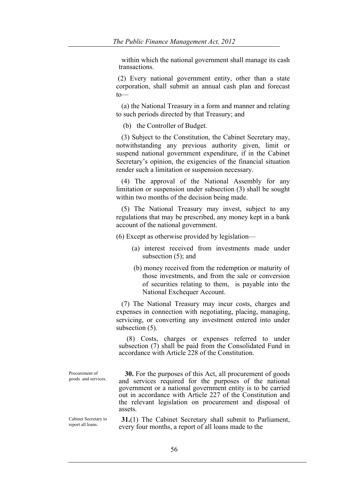within which the national government shall manage its cash transactions.

(2) Every national government entity, other than a state corporation, shall submit an annual cash plan and forecast  $to$ 

 (a) the National Treasury in a form and manner and relating to such periods directed by that Treasury; and

(b) the Controller of Budget.

 (3) Subject to the Constitution, the Cabinet Secretary may, notwithstanding any previous authority given, limit or suspend national government expenditure, if in the Cabinet Secretary's opinion, the exigencies of the financial situation render such a limitation or suspension necessary.

 (4) The approval of the National Assembly for any limitation or suspension under subsection (3) shall be sought within two months of the decision being made.

 (5) The National Treasury may invest, subject to any regulations that may be prescribed, any money kept in a bank account of the national government.

(6) Except as otherwise provided by legislation—

- (a) interest received from investments made under subsection (5); and
- (b) money received from the redemption or maturity of those investments, and from the sale or conversion of securities relating to them, is payable into the National Exchequer Account.

 (7) The National Treasury may incur costs, charges and expenses in connection with negotiating, placing, managing, servicing, or converting any investment entered into under subsection  $(5)$ .

 (8) Costs, charges or expenses referred to under subsection (7) shall be paid from the Consolidated Fund in accordance with Article 228 of the Constitution.

Procurement of

Procurement of **30.** For the purposes of this Act, all procurement of goods and services and services required for the purposes of the national government or a national government entity is to be carried out in accordance with Article 227 of the Constitution and the relevant legislation on procurement and disposal of assets.

Cabinet Secretary to report all loans.

**31.**(1) The Cabinet Secretary shall submit to Parliament, every four months, a report of all loans made to the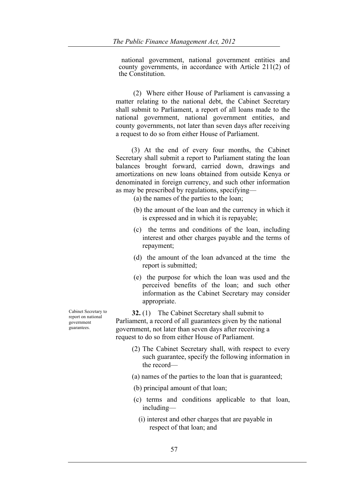national government, national government entities and county governments, in accordance with Article 211(2) of the Constitution.

 (2) Where either House of Parliament is canvassing a matter relating to the national debt, the Cabinet Secretary shall submit to Parliament, a report of all loans made to the national government, national government entities, and county governments, not later than seven days after receiving a request to do so from either House of Parliament.

 (3) At the end of every four months, the Cabinet Secretary shall submit a report to Parliament stating the loan balances brought forward, carried down, drawings and amortizations on new loans obtained from outside Kenya or denominated in foreign currency, and such other information as may be prescribed by regulations, specifying—

(a) the names of the parties to the loan;

- (b) the amount of the loan and the currency in which it is expressed and in which it is repayable;
- (c) the terms and conditions of the loan, including interest and other charges payable and the terms of repayment;
- (d) the amount of the loan advanced at the time the report is submitted;
- (e) the purpose for which the loan was used and the perceived benefits of the loan; and such other information as the Cabinet Secretary may consider appropriate.

**32.** (1) The Cabinet Secretary shall submit to Parliament, a record of all guarantees given by the national government, not later than seven days after receiving a request to do so from either House of Parliament.

- (2) The Cabinet Secretary shall, with respect to every such guarantee, specify the following information in the record—
- (a) names of the parties to the loan that is guaranteed;
- (b) principal amount of that loan;
- (c) terms and conditions applicable to that loan, including—
	- (i) interest and other charges that are payable in respect of that loan; and

Cabinet Secretary to report on national government guarantees.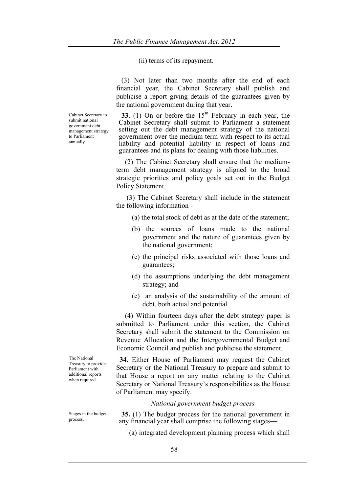(ii) terms of its repayment.

 (3) Not later than two months after the end of each financial year, the Cabinet Secretary shall publish and publicise a report giving details of the guarantees given by the national government during that year.

**33.** (1) On or before the  $15<sup>th</sup>$  February in each year, the Cabinet Secretary shall submit to Parliament a statement setting out the debt management strategy of the national government over the medium term with respect to its actual liability and potential liability in respect of loans and guarantees and its plans for dealing with those liabilities.

 (2) The Cabinet Secretary shall ensure that the mediumterm debt management strategy is aligned to the broad strategic priorities and policy goals set out in the Budget Policy Statement.

 (3) The Cabinet Secretary shall include in the statement the following information -

- (a) the total stock of debt as at the date of the statement;
- (b) the sources of loans made to the national government and the nature of guarantees given by the national government;
- (c) the principal risks associated with those loans and guarantees;
- (d) the assumptions underlying the debt management strategy; and
- (e) an analysis of the sustainability of the amount of debt, both actual and potential.

 (4) Within fourteen days after the debt strategy paper is submitted to Parliament under this section, the Cabinet Secretary shall submit the statement to the Commission on Revenue Allocation and the Intergovernmental Budget and Economic Council and publish and publicise the statement.

 **34.** Either House of Parliament may request the Cabinet Secretary or the National Treasury to prepare and submit to that House a report on any matter relating to the Cabinet Secretary or National Treasury's responsibilities as the House of Parliament may specify.

## *National government budget process*

**35.** (1) The budget process for the national government in any financial year shall comprise the following stages—

(a) integrated development planning process which shall

The National Treasury to provide Parliament with additional reports when required.

Cabinet Secretary to submit national government debt management strategy to Parliament annually.

Stages in the budget process.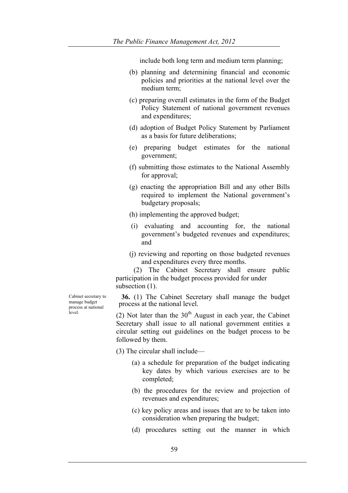include both long term and medium term planning;

- (b) planning and determining financial and economic policies and priorities at the national level over the medium term;
- (c) preparing overall estimates in the form of the Budget Policy Statement of national government revenues and expenditures;
- (d) adoption of Budget Policy Statement by Parliament as a basis for future deliberations;
- (e) preparing budget estimates for the national government;
- (f) submitting those estimates to the National Assembly for approval;
- (g) enacting the appropriation Bill and any other Bills required to implement the National government's budgetary proposals;
- (h) implementing the approved budget;
- (i) evaluating and accounting for, the national government's budgeted revenues and expenditures; and
- (j) reviewing and reporting on those budgeted revenues and expenditures every three months.

(2) The Cabinet Secretary shall ensure public participation in the budget process provided for under subsection  $(1)$ .

**36.** (1) The Cabinet Secretary shall manage the budget process at the national level.

(2) Not later than the  $30<sup>th</sup>$  August in each year, the Cabinet Secretary shall issue to all national government entities a circular setting out guidelines on the budget process to be followed by them.

(3) The circular shall include—

- (a) a schedule for preparation of the budget indicating key dates by which various exercises are to be completed;
- (b) the procedures for the review and projection of revenues and expenditures;
- (c) key policy areas and issues that are to be taken into consideration when preparing the budget;
- (d) procedures setting out the manner in which

Cabinet secretary to manage budget process at national level.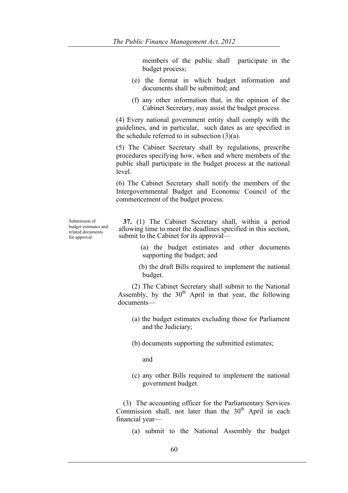members of the public shall participate in the budget process;

- (e) the format in which budget information and documents shall be submitted; and
- (f) any other information that, in the opinion of the Cabinet Secretary, may assist the budget process.

(4) Every national government entity shall comply with the guidelines, and in particular, such dates as are specified in the schedule referred to in subsection (3)(a).

(5) The Cabinet Secretary shall by regulations, prescribe procedures specifying how, when and where members of the public shall participate in the budget process at the national level.

(6) The Cabinet Secretary shall notify the members of the Intergovernmental Budget and Economic Council of the commencement of the budget process.

Submission of budget estimates and related documents for approval.

**37.** (1) The Cabinet Secretary shall, within a period allowing time to meet the deadlines specified in this section, submit to the Cabinet for its approval—

- (a) the budget estimates and other documents supporting the budget; and
- (b) the draft Bills required to implement the national budget.

(2) The Cabinet Secretary shall submit to the National Assembly, by the  $30<sup>th</sup>$  April in that year, the following documents—

- (a) the budget estimates excluding those for Parliament and the Judiciary;
- (b) documents supporting the submitted estimates;

and

(c) any other Bills required to implement the national government budget.

 (3) The accounting officer for the Parliamentary Services Commission shall, not later than the  $30<sup>th</sup>$  April in each financial year—

(a) submit to the National Assembly the budget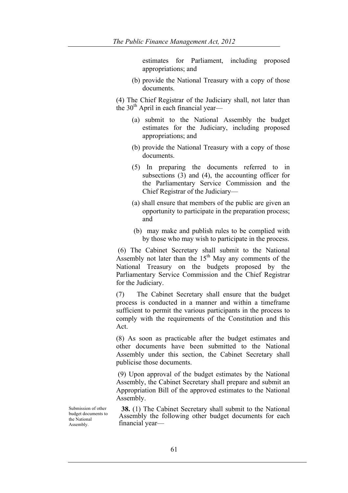estimates for Parliament, including proposed appropriations; and

(b) provide the National Treasury with a copy of those documents.

(4) The Chief Registrar of the Judiciary shall, not later than the  $30<sup>th</sup>$  April in each financial year—

- (a) submit to the National Assembly the budget estimates for the Judiciary, including proposed appropriations; and
- (b) provide the National Treasury with a copy of those documents.
- (5) In preparing the documents referred to in subsections (3) and (4), the accounting officer for the Parliamentary Service Commission and the Chief Registrar of the Judiciary—
- (a) shall ensure that members of the public are given an opportunity to participate in the preparation process; and
- (b) may make and publish rules to be complied with by those who may wish to participate in the process.

(6) The Cabinet Secretary shall submit to the National Assembly not later than the  $15<sup>th</sup>$  May any comments of the National Treasury on the budgets proposed by the Parliamentary Service Commission and the Chief Registrar for the Judiciary.

(7) The Cabinet Secretary shall ensure that the budget process is conducted in a manner and within a timeframe sufficient to permit the various participants in the process to comply with the requirements of the Constitution and this Act.

(8) As soon as practicable after the budget estimates and other documents have been submitted to the National Assembly under this section, the Cabinet Secretary shall publicise those documents.

(9) Upon approval of the budget estimates by the National Assembly, the Cabinet Secretary shall prepare and submit an Appropriation Bill of the approved estimates to the National Assembly.

Submission of other budget documents to the National Assembly.

**38.** (1) The Cabinet Secretary shall submit to the National Assembly the following other budget documents for each financial year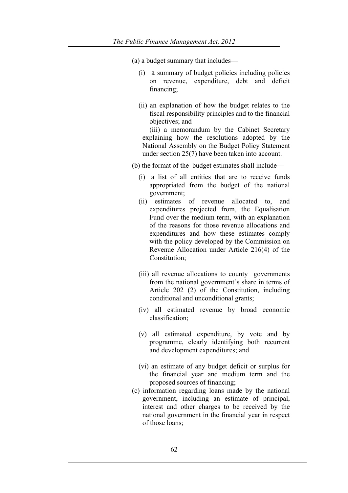(a) a budget summary that includes—

- (i) a summary of budget policies including policies on revenue, expenditure, debt and deficit financing;
- (ii) an explanation of how the budget relates to the fiscal responsibility principles and to the financial objectives; and

 (iii) a memorandum by the Cabinet Secretary explaining how the resolutions adopted by the National Assembly on the Budget Policy Statement under section 25(7) have been taken into account.

(b) the format of the budget estimates shall include—

- (i) a list of all entities that are to receive funds appropriated from the budget of the national government;
- (ii) estimates of revenue allocated to, and expenditures projected from, the Equalisation Fund over the medium term, with an explanation of the reasons for those revenue allocations and expenditures and how these estimates comply with the policy developed by the Commission on Revenue Allocation under Article 216(4) of the Constitution;
- (iii) all revenue allocations to county governments from the national government's share in terms of Article 202 (2) of the Constitution, including conditional and unconditional grants;
- (iv) all estimated revenue by broad economic classification;
- (v) all estimated expenditure, by vote and by programme, clearly identifying both recurrent and development expenditures; and
- (vi) an estimate of any budget deficit or surplus for the financial year and medium term and the proposed sources of financing;
- (c) information regarding loans made by the national government, including an estimate of principal, interest and other charges to be received by the national government in the financial year in respect of those loans;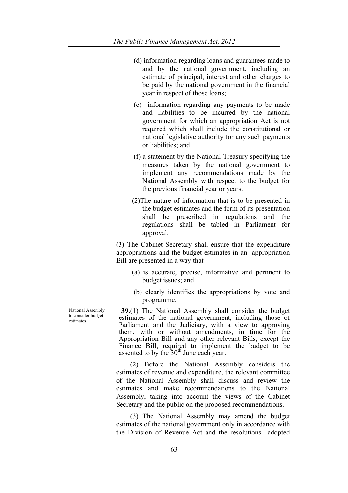- (d) information regarding loans and guarantees made to and by the national government, including an estimate of principal, interest and other charges to be paid by the national government in the financial year in respect of those loans;
- (e) information regarding any payments to be made and liabilities to be incurred by the national government for which an appropriation Act is not required which shall include the constitutional or national legislative authority for any such payments or liabilities; and
- (f) a statement by the National Treasury specifying the measures taken by the national government to implement any recommendations made by the National Assembly with respect to the budget for the previous financial year or years.
- (2)The nature of information that is to be presented in the budget estimates and the form of its presentation shall be prescribed in regulations and the regulations shall be tabled in Parliament for approval.

(3) The Cabinet Secretary shall ensure that the expenditure appropriations and the budget estimates in an appropriation Bill are presented in a way that—

- (a) is accurate, precise, informative and pertinent to budget issues; and
- (b) clearly identifies the appropriations by vote and programme.

**39.**(1) The National Assembly shall consider the budget estimates of the national government, including those of Parliament and the Judiciary, with a view to approving them, with or without amendments, in time for the Appropriation Bill and any other relevant Bills, except the Finance Bill, required to implement the budget to be assented to by the  $30<sup>th</sup>$  June each year.

 (2) Before the National Assembly considers the estimates of revenue and expenditure, the relevant committee of the National Assembly shall discuss and review the estimates and make recommendations to the National Assembly, taking into account the views of the Cabinet Secretary and the public on the proposed recommendations.

 (3) The National Assembly may amend the budget estimates of the national government only in accordance with the Division of Revenue Act and the resolutions adopted

National Assembly to consider budget estimates.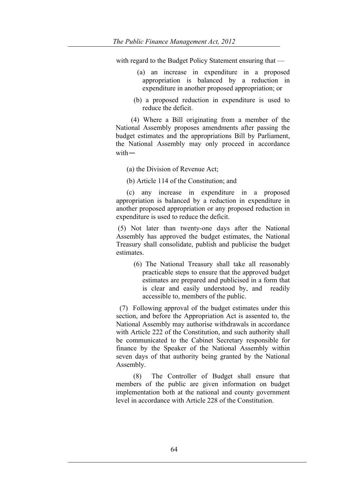with regard to the Budget Policy Statement ensuring that —

- (a) an increase in expenditure in a proposed appropriation is balanced by a reduction in expenditure in another proposed appropriation; or
- (b) a proposed reduction in expenditure is used to reduce the deficit.

(4) Where a Bill originating from a member of the National Assembly proposes amendments after passing the budget estimates and the appropriations Bill by Parliament, the National Assembly may only proceed in accordance with—

(a) the Division of Revenue Act;

(b) Article 114 of the Constitution; and

 (c) any increase in expenditure in a proposed appropriation is balanced by a reduction in expenditure in another proposed appropriation or any proposed reduction in expenditure is used to reduce the deficit.

(5) Not later than twenty-one days after the National Assembly has approved the budget estimates, the National Treasury shall consolidate, publish and publicise the budget estimates.

(6) The National Treasury shall take all reasonably practicable steps to ensure that the approved budget estimates are prepared and publicised in a form that is clear and easily understood by, and readily accessible to, members of the public.

 (7) Following approval of the budget estimates under this section, and before the Appropriation Act is assented to, the National Assembly may authorise withdrawals in accordance with Article 222 of the Constitution, and such authority shall be communicated to the Cabinet Secretary responsible for finance by the Speaker of the National Assembly within seven days of that authority being granted by the National Assembly.

 (8) The Controller of Budget shall ensure that members of the public are given information on budget implementation both at the national and county government level in accordance with Article 228 of the Constitution.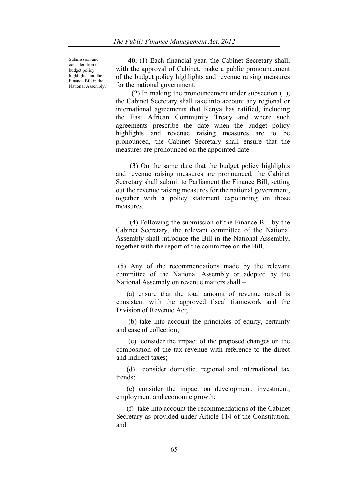Submission and consideration of budget policy highlights and the Finance Bill in the National Assembly.

 **40.** (1) Each financial year, the Cabinet Secretary shall, with the approval of Cabinet, make a public pronouncement of the budget policy highlights and revenue raising measures for the national government.

 (2) In making the pronouncement under subsection (1), the Cabinet Secretary shall take into account any regional or international agreements that Kenya has ratified, including the East African Community Treaty and where such agreements prescribe the date when the budget policy highlights and revenue raising measures are to be pronounced, the Cabinet Secretary shall ensure that the measures are pronounced on the appointed date.

 (3) On the same date that the budget policy highlights and revenue raising measures are pronounced, the Cabinet Secretary shall submit to Parliament the Finance Bill, setting out the revenue raising measures for the national government, together with a policy statement expounding on those measures.

 (4) Following the submission of the Finance Bill by the Cabinet Secretary, the relevant committee of the National Assembly shall introduce the Bill in the National Assembly, together with the report of the committee on the Bill.

(5) Any of the recommendations made by the relevant committee of the National Assembly or adopted by the National Assembly on revenue matters shall –

 (a) ensure that the total amount of revenue raised is consistent with the approved fiscal framework and the Division of Revenue Act;

 (b) take into account the principles of equity, certainty and ease of collection;

 (c) consider the impact of the proposed changes on the composition of the tax revenue with reference to the direct and indirect taxes;

 (d) consider domestic, regional and international tax trends;

 (e) consider the impact on development, investment, employment and economic growth;

 (f) take into account the recommendations of the Cabinet Secretary as provided under Article 114 of the Constitution; and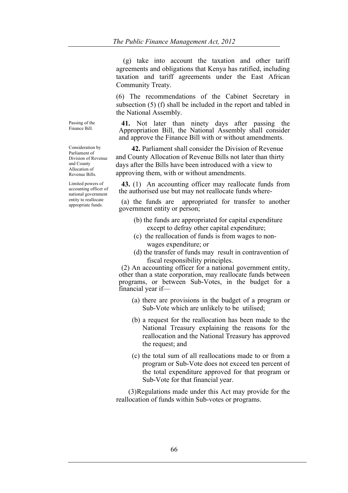(g) take into account the taxation and other tariff agreements and obligations that Kenya has ratified, including taxation and tariff agreements under the East African Community Treaty.

(6) The recommendations of the Cabinet Secretary in subsection (5) (f) shall be included in the report and tabled in the National Assembly.

**41.** Not later than ninety days after passing the Appropriation Bill, the National Assembly shall consider and approve the Finance Bill with or without amendments.

 **42.** Parliament shall consider the Division of Revenue and County Allocation of Revenue Bills not later than thirty days after the Bills have been introduced with a view to approving them, with or without amendments.

**43.** (1) An accounting officer may reallocate funds from the authorised use but may not reallocate funds where-

(a) the funds are appropriated for transfer to another government entity or person;

- (b) the funds are appropriated for capital expenditure except to defray other capital expenditure;
- (c) the reallocation of funds is from wages to nonwages expenditure; or
- (d) the transfer of funds may result in contravention of fiscal responsibility principles.

(2) An accounting officer for a national government entity, other than a state corporation, may reallocate funds between programs, or between Sub-Votes, in the budget for a financial year if—

- (a) there are provisions in the budget of a program or Sub-Vote which are unlikely to be utilised;
- (b) a request for the reallocation has been made to the National Treasury explaining the reasons for the reallocation and the National Treasury has approved the request; and
- (c) the total sum of all reallocations made to or from a program or Sub-Vote does not exceed ten percent of the total expenditure approved for that program or Sub-Vote for that financial year.

 (3)Regulations made under this Act may provide for the reallocation of funds within Sub-votes or programs.

Passing of the Finance Bill.

Consideration by Parliament of Division of Revenue and County Allocation of Revenue Bills.

Limited powers of accounting officer of national government entity to reallocate appropriate funds.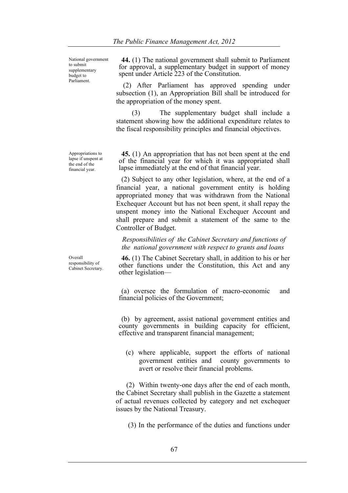National government to submit supplementary budget to Parliament.

Appropriations to lapse if unspent at the end of the financial year.

Overall responsibility of Cabinet Secretary.

**44.** (1) The national government shall submit to Parliament for approval, a supplementary budget in support of money spent under Article 223 of the Constitution.

 (2) After Parliament has approved spending under subsection (1), an Appropriation Bill shall be introduced for the appropriation of the money spent.

 (3) The supplementary budget shall include a statement showing how the additional expenditure relates to the fiscal responsibility principles and financial objectives.

**45.** (1) An appropriation that has not been spent at the end of the financial year for which it was appropriated shall lapse immediately at the end of that financial year.

 (2) Subject to any other legislation, where, at the end of a financial year, a national government entity is holding appropriated money that was withdrawn from the National Exchequer Account but has not been spent, it shall repay the unspent money into the National Exchequer Account and shall prepare and submit a statement of the same to the Controller of Budget.

*Responsibilities of the Cabinet Secretary and functions of the national government with respect to grants and loans*

**46.** (1) The Cabinet Secretary shall, in addition to his or her other functions under the Constitution, this Act and any other legislation—

(a) oversee the formulation of macro-economic and financial policies of the Government;

(b) by agreement, assist national government entities and county governments in building capacity for efficient, effective and transparent financial management;

(c) where applicable, support the efforts of national government entities and county governments to avert or resolve their financial problems.

 (2) Within twenty-one days after the end of each month, the Cabinet Secretary shall publish in the Gazette a statement of actual revenues collected by category and net exchequer issues by the National Treasury.

(3) In the performance of the duties and functions under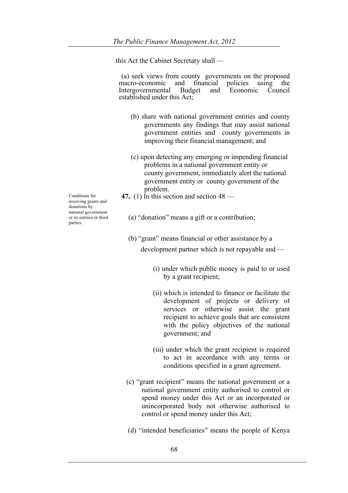this Act the Cabinet Secretary shall —

(a) seek views from county governments on the proposed macro-economic and financial policies using the macro-economic and financial policies using the Intergovernmental Budget and Economic Council established under this Act;

- (b) share with national government entities and county governments any findings that may assist national government entities and county governments in improving their financial management; and
- (c) upon detecting any emerging or impending financial problems in a national government entity or county government, immediately alert the national government entity or county government of the problem.
- **47.** (1) In this section and section  $48$  —

(a) "donation" means a gift or a contribution;

- (b) "grant" means financial or other assistance by a development partner which is not repayable and —
	- (i) under which public money is paid to or used by a grant recipient;
	- (ii) which is intended to finance or facilitate the development of projects or delivery of services or otherwise assist the grant recipient to achieve goals that are consistent with the policy objectives of the national government; and
	- (iii) under which the grant recipient is required to act in accordance with any terms or conditions specified in a grant agreement.
- (c) "grant recipient" means the national government or a national government entity authorised to control or spend money under this Act or an incorporated or unincorporated body not otherwise authorised to control or spend money under this Act;
- (d) "intended beneficiaries" means the people of Kenya

Conditions for receiving grants and donations by national government or its entities or third parties.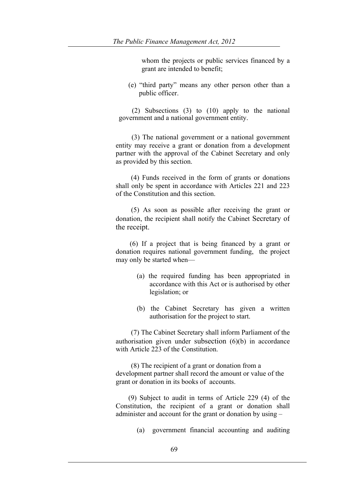whom the projects or public services financed by a grant are intended to benefit;

(e) "third party" means any other person other than a public officer.

 (2) Subsections (3) to (10) apply to the national government and a national government entity.

(3) The national government or a national government entity may receive a grant or donation from a development partner with the approval of the Cabinet Secretary and only as provided by this section.

(4) Funds received in the form of grants or donations shall only be spent in accordance with Articles 221 and 223 of the Constitution and this section.

(5) As soon as possible after receiving the grant or donation, the recipient shall notify the Cabinet Secretary of the receipt.

(6) If a project that is being financed by a grant or donation requires national government funding, the project may only be started when—

- (a) the required funding has been appropriated in accordance with this Act or is authorised by other legislation; or
- (b) the Cabinet Secretary has given a written authorisation for the project to start.

(7) The Cabinet Secretary shall inform Parliament of the authorisation given under subsection (6)(b) in accordance with Article 223 of the Constitution.

(8) The recipient of a grant or donation from a development partner shall record the amount or value of the grant or donation in its books of accounts.

(9) Subject to audit in terms of Article 229 (4) of the Constitution, the recipient of a grant or donation shall administer and account for the grant or donation by using –

(a) government financial accounting and auditing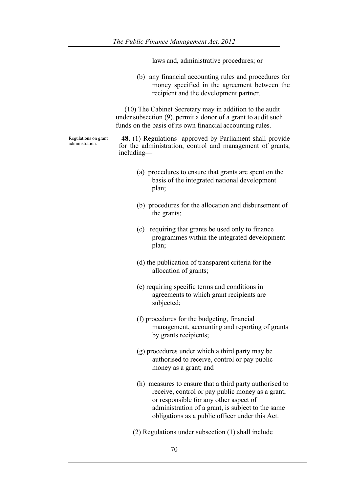|                                         | laws and, administrative procedures; or                                                                                                                                                                                                                       |
|-----------------------------------------|---------------------------------------------------------------------------------------------------------------------------------------------------------------------------------------------------------------------------------------------------------------|
|                                         | (b) any financial accounting rules and procedures for<br>money specified in the agreement between the<br>recipient and the development partner.                                                                                                               |
|                                         | (10) The Cabinet Secretary may in addition to the audit<br>under subsection (9), permit a donor of a grant to audit such<br>funds on the basis of its own financial accounting rules.                                                                         |
| Regulations on grant<br>administration. | <b>48.</b> (1) Regulations approved by Parliament shall provide<br>for the administration, control and management of grants,<br>including—                                                                                                                    |
|                                         | (a) procedures to ensure that grants are spent on the<br>basis of the integrated national development<br>plan;                                                                                                                                                |
|                                         | (b) procedures for the allocation and disbursement of<br>the grants;                                                                                                                                                                                          |
|                                         | (c)<br>requiring that grants be used only to finance<br>programmes within the integrated development<br>plan;                                                                                                                                                 |
|                                         | (d) the publication of transparent criteria for the<br>allocation of grants;                                                                                                                                                                                  |
|                                         | (e) requiring specific terms and conditions in<br>agreements to which grant recipients are<br>subjected;                                                                                                                                                      |
|                                         | (f) procedures for the budgeting, financial<br>management, accounting and reporting of grants<br>by grants recipients;                                                                                                                                        |
|                                         | (g) procedures under which a third party may be<br>authorised to receive, control or pay public<br>money as a grant; and                                                                                                                                      |
|                                         | (h) measures to ensure that a third party authorised to<br>receive, control or pay public money as a grant,<br>or responsible for any other aspect of<br>administration of a grant, is subject to the same<br>obligations as a public officer under this Act. |
|                                         | (2) Regulations under subsection (1) shall include                                                                                                                                                                                                            |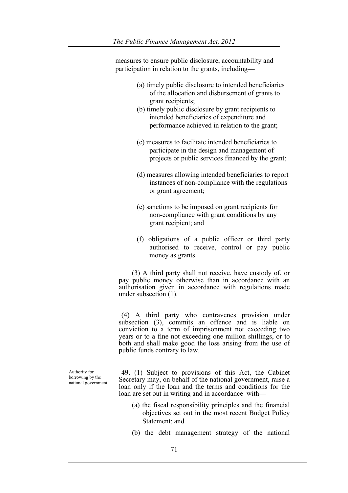measures to ensure public disclosure, accountability and participation in relation to the grants, including**—**

- (a) timely public disclosure to intended beneficiaries of the allocation and disbursement of grants to grant recipients;
- (b) timely public disclosure by grant recipients to intended beneficiaries of expenditure and performance achieved in relation to the grant;
- (c) measures to facilitate intended beneficiaries to participate in the design and management of projects or public services financed by the grant;
- (d) measures allowing intended beneficiaries to report instances of non-compliance with the regulations or grant agreement;
- (e) sanctions to be imposed on grant recipients for non-compliance with grant conditions by any grant recipient; and
- (f) obligations of a public officer or third party authorised to receive, control or pay public money as grants.

 (3) A third party shall not receive, have custody of, or pay public money otherwise than in accordance with an authorisation given in accordance with regulations made under subsection (1).

(4) A third party who contravenes provision under subsection (3), commits an offence and is liable on conviction to a term of imprisonment not exceeding two years or to a fine not exceeding one million shillings, or to both and shall make good the loss arising from the use of public funds contrary to law.

Authority for borrowing by the national government.

**49.** (1) Subject to provisions of this Act, the Cabinet Secretary may, on behalf of the national government, raise a loan only if the loan and the terms and conditions for the loan are set out in writing and in accordance with—

- (a) the fiscal responsibility principles and the financial objectives set out in the most recent Budget Policy Statement; and
- (b) the debt management strategy of the national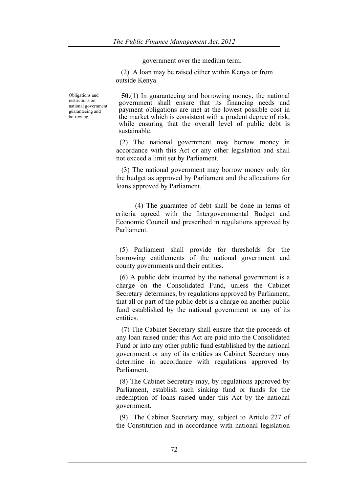government over the medium term.

 (2) A loan may be raised either within Kenya or from outside Kenya.

Obligations and restrictions on national government guaranteeing and borrowing.

**50.**(1) In guaranteeing and borrowing money, the national government shall ensure that its financing needs and payment obligations are met at the lowest possible cost in the market which is consistent with a prudent degree of risk, while ensuring that the overall level of public debt is sustainable.

 (2) The national government may borrow money in accordance with this Act or any other legislation and shall not exceed a limit set by Parliament.

 (3) The national government may borrow money only for the budget as approved by Parliament and the allocations for loans approved by Parliament.

 (4) The guarantee of debt shall be done in terms of criteria agreed with the Intergovernmental Budget and Economic Council and prescribed in regulations approved by Parliament.

 (5) Parliament shall provide for thresholds for the borrowing entitlements of the national government and county governments and their entities.

 (6) A public debt incurred by the national government is a charge on the Consolidated Fund, unless the Cabinet Secretary determines, by regulations approved by Parliament, that all or part of the public debt is a charge on another public fund established by the national government or any of its entities.

 (7) The Cabinet Secretary shall ensure that the proceeds of any loan raised under this Act are paid into the Consolidated Fund or into any other public fund established by the national government or any of its entities as Cabinet Secretary may determine in accordance with regulations approved by Parliament.

 (8) The Cabinet Secretary may, by regulations approved by Parliament, establish such sinking fund or funds for the redemption of loans raised under this Act by the national government.

 (9) The Cabinet Secretary may, subject to Article 227 of the Constitution and in accordance with national legislation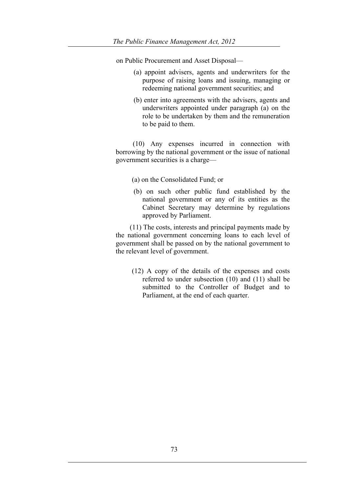on Public Procurement and Asset Disposal—

- (a) appoint advisers, agents and underwriters for the purpose of raising loans and issuing, managing or redeeming national government securities; and
- (b) enter into agreements with the advisers, agents and underwriters appointed under paragraph (a) on the role to be undertaken by them and the remuneration to be paid to them.

(10) Any expenses incurred in connection with borrowing by the national government or the issue of national government securities is a charge—

- (a) on the Consolidated Fund; or
- (b) on such other public fund established by the national government or any of its entities as the Cabinet Secretary may determine by regulations approved by Parliament.

 (11) The costs, interests and principal payments made by the national government concerning loans to each level of government shall be passed on by the national government to the relevant level of government.

(12) A copy of the details of the expenses and costs referred to under subsection (10) and (11) shall be submitted to the Controller of Budget and to Parliament, at the end of each quarter.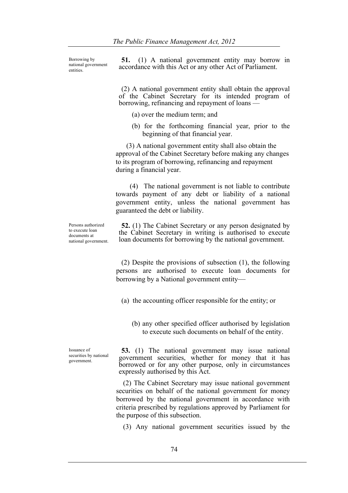Borrowing by national government entities.

**51.** (1) A national government entity may borrow in accordance with this Act or any other Act of Parliament.

(2) A national government entity shall obtain the approval of the Cabinet Secretary for its intended program of borrowing, refinancing and repayment of loans —

- (a) over the medium term; and
- (b) for the forthcoming financial year, prior to the beginning of that financial year.

 (3) A national government entity shall also obtain the approval of the Cabinet Secretary before making any changes to its program of borrowing, refinancing and repayment during a financial year.

 (4) The national government is not liable to contribute towards payment of any debt or liability of a national government entity, unless the national government has guaranteed the debt or liability.

Persons authorized to execute loan documents at national government.

**52.** (1) The Cabinet Secretary or any person designated by the Cabinet Secretary in writing is authorised to execute loan documents for borrowing by the national government.

 (2) Despite the provisions of subsection (1), the following persons are authorised to execute loan documents for borrowing by a National government entity—

(a) the accounting officer responsible for the entity; or

(b) any other specified officer authorised by legislation to execute such documents on behalf of the entity.

Issuance of securities by national government.

**53.** (1) The national government may issue national government securities, whether for money that it has borrowed or for any other purpose, only in circumstances expressly authorised by this Act.

 (2) The Cabinet Secretary may issue national government securities on behalf of the national government for money borrowed by the national government in accordance with criteria prescribed by regulations approved by Parliament for the purpose of this subsection.

(3) Any national government securities issued by the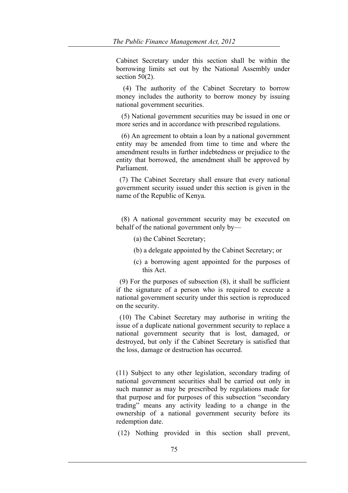Cabinet Secretary under this section shall be within the borrowing limits set out by the National Assembly under section 50(2).

 (4) The authority of the Cabinet Secretary to borrow money includes the authority to borrow money by issuing national government securities.

 (5) National government securities may be issued in one or more series and in accordance with prescribed regulations.

 (6) An agreement to obtain a loan by a national government entity may be amended from time to time and where the amendment results in further indebtedness or prejudice to the entity that borrowed, the amendment shall be approved by Parliament.

 (7) The Cabinet Secretary shall ensure that every national government security issued under this section is given in the name of the Republic of Kenya.

 (8) A national government security may be executed on behalf of the national government only by—

- (a) the Cabinet Secretary;
- (b) a delegate appointed by the Cabinet Secretary; or
- (c) a borrowing agent appointed for the purposes of this Act.

 (9) For the purposes of subsection (8), it shall be sufficient if the signature of a person who is required to execute a national government security under this section is reproduced on the security.

 (10) The Cabinet Secretary may authorise in writing the issue of a duplicate national government security to replace a national government security that is lost, damaged, or destroyed, but only if the Cabinet Secretary is satisfied that the loss, damage or destruction has occurred.

(11) Subject to any other legislation, secondary trading of national government securities shall be carried out only in such manner as may be prescribed by regulations made for that purpose and for purposes of this subsection "secondary trading" means any activity leading to a change in the ownership of a national government security before its redemption date.

(12) Nothing provided in this section shall prevent,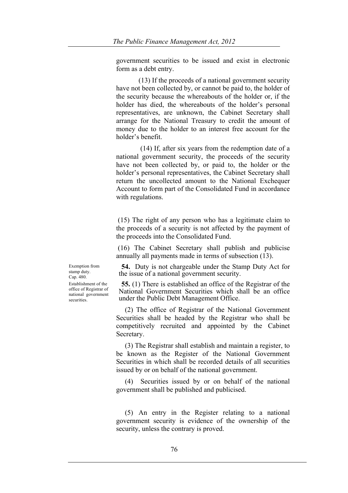government securities to be issued and exist in electronic form as a debt entry.

(13) If the proceeds of a national government security have not been collected by, or cannot be paid to, the holder of the security because the whereabouts of the holder or, if the holder has died, the whereabouts of the holder's personal representatives, are unknown, the Cabinet Secretary shall arrange for the National Treasury to credit the amount of money due to the holder to an interest free account for the holder's benefit.

 (14) If, after six years from the redemption date of a national government security, the proceeds of the security have not been collected by, or paid to, the holder or the holder's personal representatives, the Cabinet Secretary shall return the uncollected amount to the National Exchequer Account to form part of the Consolidated Fund in accordance with regulations.

(15) The right of any person who has a legitimate claim to the proceeds of a security is not affected by the payment of the proceeds into the Consolidated Fund.

(16) The Cabinet Secretary shall publish and publicise annually all payments made in terms of subsection (13).

**54.** Duty is not chargeable under the Stamp Duty Act for the issue of a national government security.

**55.** (1) There is established an office of the Registrar of the National Government Securities which shall be an office under the Public Debt Management Office.

 (2) The office of Registrar of the National Government Securities shall be headed by the Registrar who shall be competitively recruited and appointed by the Cabinet Secretary.

 (3) The Registrar shall establish and maintain a register, to be known as the Register of the National Government Securities in which shall be recorded details of all securities issued by or on behalf of the national government.

 (4) Securities issued by or on behalf of the national government shall be published and publicised.

 (5) An entry in the Register relating to a national government security is evidence of the ownership of the security, unless the contrary is proved.

Exemption from stamp duty. Cap. 480. Establishment of the office of Registrar of national government securities.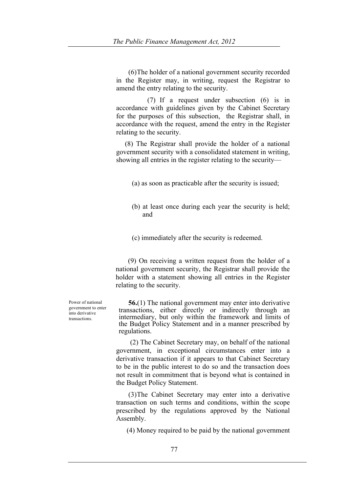(6)The holder of a national government security recorded in the Register may, in writing, request the Registrar to amend the entry relating to the security.

 (7) If a request under subsection (6) is in accordance with guidelines given by the Cabinet Secretary for the purposes of this subsection, the Registrar shall, in accordance with the request, amend the entry in the Register relating to the security.

 (8) The Registrar shall provide the holder of a national government security with a consolidated statement in writing, showing all entries in the register relating to the security—

(a) as soon as practicable after the security is issued;

- (b) at least once during each year the security is held; and
- (c) immediately after the security is redeemed.

 (9) On receiving a written request from the holder of a national government security, the Registrar shall provide the holder with a statement showing all entries in the Register relating to the security.

 **56.**(1) The national government may enter into derivative transactions, either directly or indirectly through an intermediary, but only within the framework and limits of the Budget Policy Statement and in a manner prescribed by regulations.

 (2) The Cabinet Secretary may, on behalf of the national government, in exceptional circumstances enter into a derivative transaction if it appears to that Cabinet Secretary to be in the public interest to do so and the transaction does not result in commitment that is beyond what is contained in the Budget Policy Statement.

 (3)The Cabinet Secretary may enter into a derivative transaction on such terms and conditions, within the scope prescribed by the regulations approved by the National Assembly.

(4) Money required to be paid by the national government

Power of national government to enter into derivative transactions.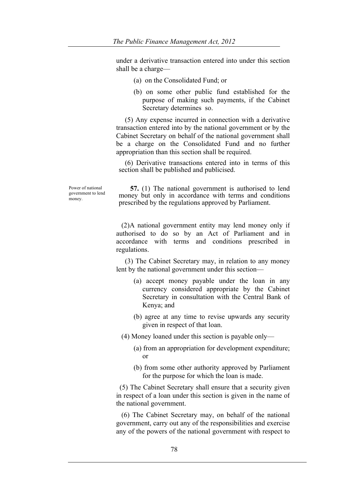under a derivative transaction entered into under this section shall be a charge—

- (a) on the Consolidated Fund; or
- (b) on some other public fund established for the purpose of making such payments, if the Cabinet Secretary determines so.

 (5) Any expense incurred in connection with a derivative transaction entered into by the national government or by the Cabinet Secretary on behalf of the national government shall be a charge on the Consolidated Fund and no further appropriation than this section shall be required.

 (6) Derivative transactions entered into in terms of this section shall be published and publicised.

Power of national government to lend money.

 **57.** (1) The national government is authorised to lend money but only in accordance with terms and conditions prescribed by the regulations approved by Parliament.

 (2)A national government entity may lend money only if authorised to do so by an Act of Parliament and in accordance with terms and conditions prescribed in regulations.

 (3) The Cabinet Secretary may, in relation to any money lent by the national government under this section—

- (a) accept money payable under the loan in any currency considered appropriate by the Cabinet Secretary in consultation with the Central Bank of Kenya; and
- (b) agree at any time to revise upwards any security given in respect of that loan.

(4) Money loaned under this section is payable only—

- (a) from an appropriation for development expenditure; or
- (b) from some other authority approved by Parliament for the purpose for which the loan is made.

 (5) The Cabinet Secretary shall ensure that a security given in respect of a loan under this section is given in the name of the national government.

 (6) The Cabinet Secretary may, on behalf of the national government, carry out any of the responsibilities and exercise any of the powers of the national government with respect to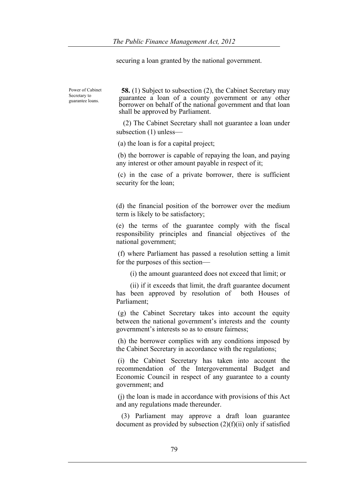securing a loan granted by the national government.

Power of Cabinet Secretary to guarantee loans.

**58.** (1) Subject to subsection (2), the Cabinet Secretary may guarantee a loan of a county government or any other borrower on behalf of the national government and that loan shall be approved by Parliament.

 (2) The Cabinet Secretary shall not guarantee a loan under subsection (1) unless—

(a) the loan is for a capital project;

(b) the borrower is capable of repaying the loan, and paying any interest or other amount payable in respect of it;

(c) in the case of a private borrower, there is sufficient security for the loan;

(d) the financial position of the borrower over the medium term is likely to be satisfactory;

(e) the terms of the guarantee comply with the fiscal responsibility principles and financial objectives of the national government;

(f) where Parliament has passed a resolution setting a limit for the purposes of this section—

(i) the amount guaranteed does not exceed that limit; or

 (ii) if it exceeds that limit, the draft guarantee document has been approved by resolution of both Houses of Parliament;

(g) the Cabinet Secretary takes into account the equity between the national government's interests and the county government's interests so as to ensure fairness;

(h) the borrower complies with any conditions imposed by the Cabinet Secretary in accordance with the regulations;

(i) the Cabinet Secretary has taken into account the recommendation of the Intergovernmental Budget and Economic Council in respect of any guarantee to a county government; and

(j) the loan is made in accordance with provisions of this Act and any regulations made thereunder.

 (3) Parliament may approve a draft loan guarantee document as provided by subsection (2)(f)(ii) only if satisfied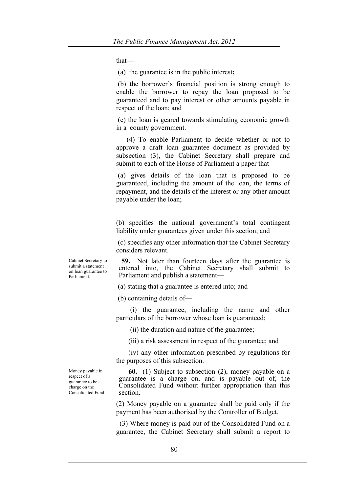that—

(a) the guarantee is in the public interest**;**

(b) the borrower's financial position is strong enough to enable the borrower to repay the loan proposed to be guaranteed and to pay interest or other amounts payable in respect of the loan; and

(c) the loan is geared towards stimulating economic growth in a county government.

 (4) To enable Parliament to decide whether or not to approve a draft loan guarantee document as provided by subsection (3), the Cabinet Secretary shall prepare and submit to each of the House of Parliament a paper that-

(a) gives details of the loan that is proposed to be guaranteed, including the amount of the loan, the terms of repayment, and the details of the interest or any other amount payable under the loan;

(b) specifies the national government's total contingent liability under guarantees given under this section; and

(c) specifies any other information that the Cabinet Secretary considers relevant.

**59.** Not later than fourteen days after the guarantee is entered into, the Cabinet Secretary shall submit to Parliament and publish a statement—

(a) stating that a guarantee is entered into; and

(b) containing details of—

 (i) the guarantee, including the name and other particulars of the borrower whose loan is guaranteed;

(ii) the duration and nature of the guarantee;

(iii) a risk assessment in respect of the guarantee; and

 (iv) any other information prescribed by regulations for the purposes of this subsection.

 **60.** (1) Subject to subsection (2), money payable on a guarantee is a charge on, and is payable out of, the Consolidated Fund without further appropriation than this section.

(2) Money payable on a guarantee shall be paid only if the payment has been authorised by the Controller of Budget.

 (3) Where money is paid out of the Consolidated Fund on a guarantee, the Cabinet Secretary shall submit a report to

Cabinet Secretary to submit a statement on loan guarantee to Parliament.

Money payable in respect of a guarantee to be a charge on the Consolidated Fund.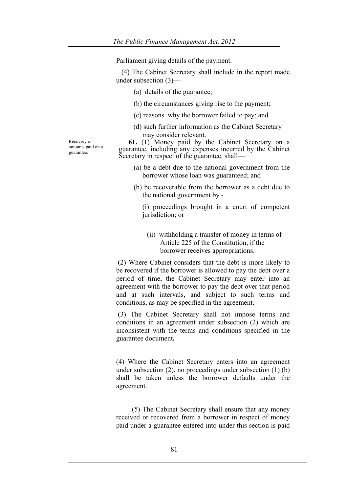Parliament giving details of the payment.

 (4) The Cabinet Secretary shall include in the report made under subsection (3)—

- (a) details of the guarantee;
- (b) the circumstances giving rise to the payment;
- (c) reasons why the borrower failed to pay; and
- (d) such further information as the Cabinet Secretary may consider relevant.

 **61.** (1) Money paid by the Cabinet Secretary on a guarantee, including any expenses incurred by the Cabinet Secretary in respect of the guarantee, shall—

- (a) be a debt due to the national government from the borrower whose loan was guaranteed; and
- (b) be recoverable from the borrower as a debt due to the national government by -

 (i) proceedings brought in a court of competent jurisdiction; or

(ii) withholding a transfer of money in terms of Article 225 of the Constitution, if the borrower receives appropriations.

(2) Where Cabinet considers that the debt is more likely to be recovered if the borrower is allowed to pay the debt over a period of time, the Cabinet Secretary may enter into an agreement with the borrower to pay the debt over that period and at such intervals, and subject to such terms and conditions, as may be specified in the agreement**.**

(3) The Cabinet Secretary shall not impose terms and conditions in an agreement under subsection (2) which are inconsistent with the terms and conditions specified in the guarantee document**.**

(4) Where the Cabinet Secretary enters into an agreement under subsection (2), no proceedings under subsection (1) (b) shall be taken unless the borrower defaults under the agreement.

 (5) The Cabinet Secretary shall ensure that any money received or recovered from a borrower in respect of money paid under a guarantee entered into under this section is paid

Recovery of amounts paid on a guarantee.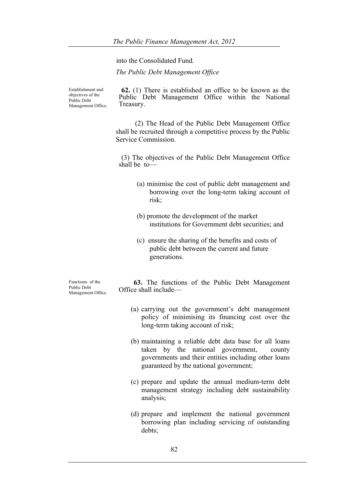into the Consolidated Fund.

*The Public Debt Management Office*

Establishment and objectives of the Public Debt Management Office.

**62.** (1) There is established an office to be known as the Public Debt Management Office within the National Treasury.

(2) The Head of the Public Debt Management Office shall be recruited through a competitive process by the Public Service Commission.

(3) The objectives of the Public Debt Management Office shall be to—

- (a) minimise the cost of public debt management and borrowing over the long-term taking account of risk;
- (b) promote the development of the market institutions for Government debt securities; and
- (c) ensure the sharing of the benefits and costs of public debt between the current and future generations.

Functions of the Public Debt Management Office

 **63.** The functions of the Public Debt Management Office shall include—

- (a) carrying out the government's debt management policy of minimising its financing cost over the long-term taking account of risk;
- (b) maintaining a reliable debt data base for all loans taken by the national government, county governments and their entities including other loans guaranteed by the national government;
- (c) prepare and update the annual medium-term debt management strategy including debt sustainability analysis;
- (d) prepare and implement the national government borrowing plan including servicing of outstanding debts;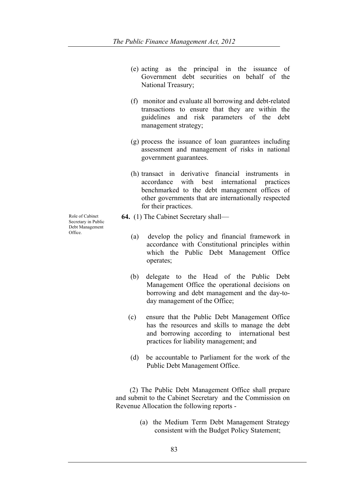- (e) acting as the principal in the issuance of Government debt securities on behalf of the National Treasury;
- (f) monitor and evaluate all borrowing and debt-related transactions to ensure that they are within the guidelines and risk parameters of the debt management strategy;
- (g) process the issuance of loan guarantees including assessment and management of risks in national government guarantees.
- (h) transact in derivative financial instruments in accordance with best international practices benchmarked to the debt management offices of other governments that are internationally respected for their practices.
- **64.** (1) The Cabinet Secretary shall—
	- (a) develop the policy and financial framework in accordance with Constitutional principles within which the Public Debt Management Office operates;
	- (b) delegate to the Head of the Public Debt Management Office the operational decisions on borrowing and debt management and the day-today management of the Office;
	- (c) ensure that the Public Debt Management Office has the resources and skills to manage the debt and borrowing according to international best practices for liability management; and
	- (d) be accountable to Parliament for the work of the Public Debt Management Office.

 (2) The Public Debt Management Office shall prepare and submit to the Cabinet Secretary and the Commission on Revenue Allocation the following reports -

> (a) the Medium Term Debt Management Strategy consistent with the Budget Policy Statement;

Role of Cabinet Secretary in Public Debt Management Office.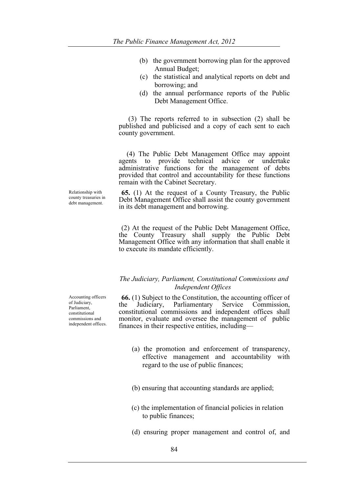- (b) the government borrowing plan for the approved Annual Budget;
- (c) the statistical and analytical reports on debt and borrowing; and
- (d) the annual performance reports of the Public Debt Management Office.

 (3) The reports referred to in subsection (2) shall be published and publicised and a copy of each sent to each county government.

 (4) The Public Debt Management Office may appoint agents to provide technical advice or undertake administrative functions for the management of debts provided that control and accountability for these functions remain with the Cabinet Secretary.

**65.** (1) At the request of a County Treasury, the Public Debt Management Office shall assist the county government in its debt management and borrowing.

(2) At the request of the Public Debt Management Office, the County Treasury shall supply the Public Debt Management Office with any information that shall enable it to execute its mandate efficiently.

## *The Judiciary, Parliament, Constitutional Commissions and Independent Offices*

**66.** (1) Subject to the Constitution, the accounting officer of the Judiciary, Parliamentary Service Commission,  $the$  Judiciary, Parliamentary constitutional commissions and independent offices shall monitor, evaluate and oversee the management of public finances in their respective entities, including—

- (a) the promotion and enforcement of transparency, effective management and accountability with regard to the use of public finances;
- (b) ensuring that accounting standards are applied;
- (c) the implementation of financial policies in relation to public finances;
- (d) ensuring proper management and control of, and

Relationship with county treasuries in debt management.

Accounting officers of Judiciary, Parliament, constitutional commissions and independent offices.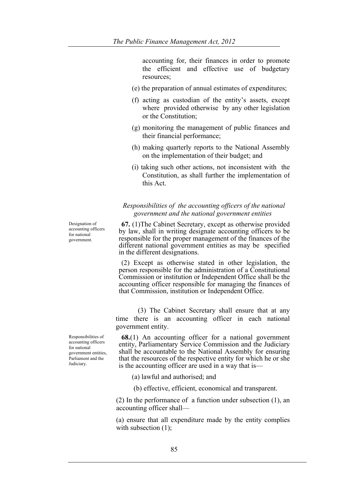accounting for, their finances in order to promote the efficient and effective use of budgetary resources;

- (e) the preparation of annual estimates of expenditures;
- (f) acting as custodian of the entity's assets, except where provided otherwise by any other legislation or the Constitution;
- (g) monitoring the management of public finances and their financial performance;
- (h) making quarterly reports to the National Assembly on the implementation of their budget; and
- (i) taking such other actions, not inconsistent with the Constitution, as shall further the implementation of this Act.

## *Responsibilities of the accounting officers of the national government and the national government entities*

**67.** (1)The Cabinet Secretary, except as otherwise provided by law, shall in writing designate accounting officers to be responsible for the proper management of the finances of the different national government entities as may be specified in the different designations.

(2) Except as otherwise stated in other legislation, the person responsible for the administration of a Constitutional Commission or institution or Independent Office shall be the accounting officer responsible for managing the finances of that Commission, institution or Independent Office.

 (3) The Cabinet Secretary shall ensure that at any time there is an accounting officer in each national government entity.

**68.**(1) An accounting officer for a national government entity, Parliamentary Service Commission and the Judiciary shall be accountable to the National Assembly for ensuring that the resources of the respective entity for which he or she is the accounting officer are used in a way that is—

(a) lawful and authorised; and

(b) effective, efficient, economical and transparent.

(2) In the performance of a function under subsection (1), an accounting officer shall—

(a) ensure that all expenditure made by the entity complies with subsection  $(1)$ ;

Designation of accounting officers for national government.

Responsibilities of accounting officers for national government entities, Parliament and the Judiciary.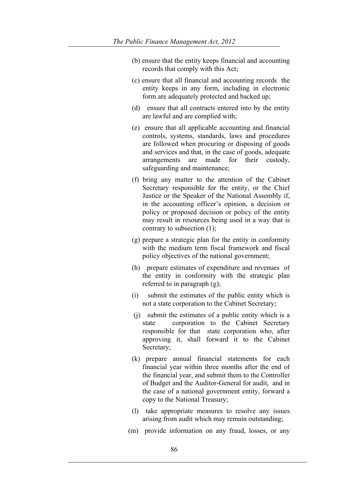- (b) ensure that the entity keeps financial and accounting records that comply with this Act;
- (c) ensure that all financial and accounting records the entity keeps in any form, including in electronic form are adequately protected and backed up;
- (d) ensure that all contracts entered into by the entity are lawful and are complied with;
- (e) ensure that all applicable accounting and financial controls, systems, standards, laws and procedures are followed when procuring or disposing of goods and services and that, in the case of goods, adequate arrangements are made for their custody, safeguarding and maintenance;
- (f) bring any matter to the attention of the Cabinet Secretary responsible for the entity, or the Chief Justice or the Speaker of the National Assembly if, in the accounting officer's opinion, a decision or policy or proposed decision or policy of the entity may result in resources being used in a way that is contrary to subsection (1);
- (g) prepare a strategic plan for the entity in conformity with the medium term fiscal framework and fiscal policy objectives of the national government;
- (h) prepare estimates of expenditure and revenues of the entity in conformity with the strategic plan referred to in paragraph (g);
- (i) submit the estimates of the public entity which is not a state corporation to the Cabinet Secretary;
- (j) submit the estimates of a public entity which is a state corporation to the Cabinet Secretary responsible for that state corporation who, after approving it, shall forward it to the Cabinet Secretary;
- (k) prepare annual financial statements for each financial year within three months after the end of the financial year, and submit them to the Controller of Budget and the Auditor-General for audit, and in the case of a national government entity, forward a copy to the National Treasury;
- (l) take appropriate measures to resolve any issues arising from audit which may remain outstanding;
- (m) provide information on any fraud, losses, or any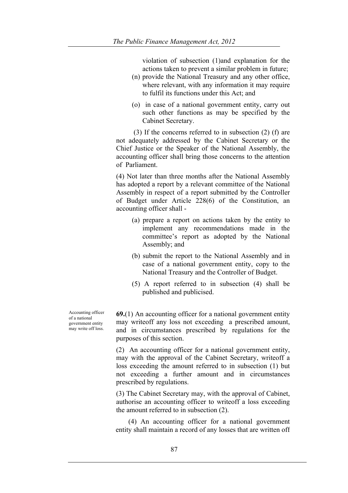violation of subsection (1)and explanation for the actions taken to prevent a similar problem in future;

- (n) provide the National Treasury and any other office, where relevant, with any information it may require to fulfil its functions under this Act; and
- (o) in case of a national government entity, carry out such other functions as may be specified by the Cabinet Secretary.

 (3) If the concerns referred to in subsection (2) (f) are not adequately addressed by the Cabinet Secretary or the Chief Justice or the Speaker of the National Assembly, the accounting officer shall bring those concerns to the attention of Parliament.

(4) Not later than three months after the National Assembly has adopted a report by a relevant committee of the National Assembly in respect of a report submitted by the Controller of Budget under Article 228(6) of the Constitution, an accounting officer shall -

- (a) prepare a report on actions taken by the entity to implement any recommendations made in the committee's report as adopted by the National Assembly; and
- (b) submit the report to the National Assembly and in case of a national government entity, copy to the National Treasury and the Controller of Budget.
- (5) A report referred to in subsection (4) shall be published and publicised.

**69.**(1) An accounting officer for a national government entity may writeoff any loss not exceeding a prescribed amount, and in circumstances prescribed by regulations for the purposes of this section.

(2) An accounting officer for a national government entity, may with the approval of the Cabinet Secretary, writeoff a loss exceeding the amount referred to in subsection (1) but not exceeding a further amount and in circumstances prescribed by regulations.

(3) The Cabinet Secretary may, with the approval of Cabinet, authorise an accounting officer to writeoff a loss exceeding the amount referred to in subsection (2).

 (4) An accounting officer for a national government entity shall maintain a record of any losses that are written off

Accounting officer of a national government entity may write off loss.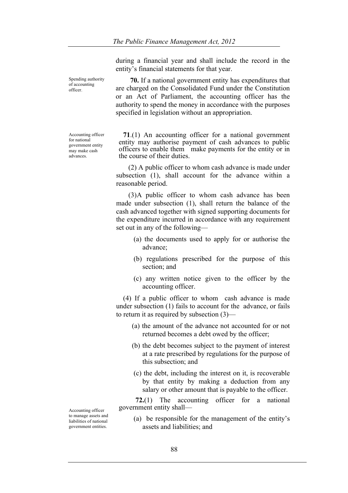during a financial year and shall include the record in the entity's financial statements for that year.

 **70.** If a national government entity has expenditures that are charged on the Consolidated Fund under the Constitution or an Act of Parliament, the accounting officer has the authority to spend the money in accordance with the purposes specified in legislation without an appropriation.

**71**.(1) An accounting officer for a national government entity may authorise payment of cash advances to public officers to enable them make payments for the entity or in the course of their duties.

 (2) A public officer to whom cash advance is made under subsection (1), shall account for the advance within a reasonable period.

 (3)A public officer to whom cash advance has been made under subsection (1), shall return the balance of the cash advanced together with signed supporting documents for the expenditure incurred in accordance with any requirement set out in any of the following—

- (a) the documents used to apply for or authorise the advance;
- (b) regulations prescribed for the purpose of this section; and
- (c) any written notice given to the officer by the accounting officer.

 (4) If a public officer to whom cash advance is made under subsection (1) fails to account for the advance, or fails to return it as required by subsection (3)—

- (a) the amount of the advance not accounted for or not returned becomes a debt owed by the officer;
- (b) the debt becomes subject to the payment of interest at a rate prescribed by regulations for the purpose of this subsection; and
- (c) the debt, including the interest on it, is recoverable by that entity by making a deduction from any salary or other amount that is payable to the officer.

 **72.**(1) The accounting officer for a national government entity shall—

(a) be responsible for the management of the entity's assets and liabilities; and

Accounting officer to manage assets and liabilities of national government entities.

Spending authority of accounting officer.

Accounting officer for national government entity may make cash advances.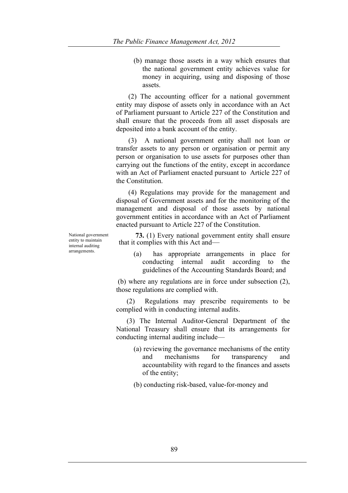(b) manage those assets in a way which ensures that the national government entity achieves value for money in acquiring, using and disposing of those assets.

 (2) The accounting officer for a national government entity may dispose of assets only in accordance with an Act of Parliament pursuant to Article 227 of the Constitution and shall ensure that the proceeds from all asset disposals are deposited into a bank account of the entity.

 (3) A national government entity shall not loan or transfer assets to any person or organisation or permit any person or organisation to use assets for purposes other than carrying out the functions of the entity, except in accordance with an Act of Parliament enacted pursuant to Article 227 of the Constitution.

 (4) Regulations may provide for the management and disposal of Government assets and for the monitoring of the management and disposal of those assets by national government entities in accordance with an Act of Parliament enacted pursuant to Article 227 of the Constitution.

National government entity to maintain internal auditing arrangements.

 **73.** (1) Every national government entity shall ensure that it complies with this Act and—

(a) has appropriate arrangements in place for conducting internal audit according to the guidelines of the Accounting Standards Board; and

(b) where any regulations are in force under subsection (2), those regulations are complied with.

 (2) Regulations may prescribe requirements to be complied with in conducting internal audits.

 (3) The Internal Auditor-General Department of the National Treasury shall ensure that its arrangements for conducting internal auditing include—

(a) reviewing the governance mechanisms of the entity and mechanisms for transparency and accountability with regard to the finances and assets of the entity;

(b) conducting risk-based, value-for-money and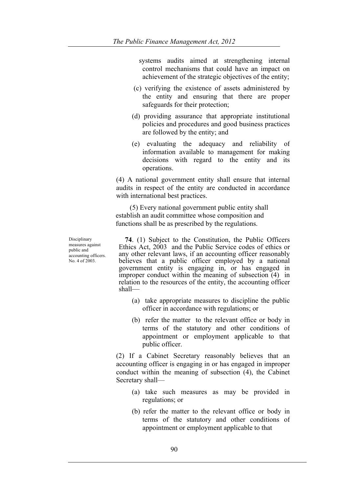systems audits aimed at strengthening internal control mechanisms that could have an impact on achievement of the strategic objectives of the entity;

- (c) verifying the existence of assets administered by the entity and ensuring that there are proper safeguards for their protection;
- (d) providing assurance that appropriate institutional policies and procedures and good business practices are followed by the entity; and
- (e) evaluating the adequacy and reliability of information available to management for making decisions with regard to the entity and its operations.

(4) A national government entity shall ensure that internal audits in respect of the entity are conducted in accordance with international best practices.

 (5) Every national government public entity shall establish an audit committee whose composition and functions shall be as prescribed by the regulations.

Disciplinary measures against public and accounting officers. No. 4 of 2003.

 **74**. (1) Subject to the Constitution, the Public Officers Ethics Act, 2003 and the Public Service codes of ethics or any other relevant laws, if an accounting officer reasonably believes that a public officer employed by a national government entity is engaging in, or has engaged in improper conduct within the meaning of subsection (4) in relation to the resources of the entity, the accounting officer shall—

- (a) take appropriate measures to discipline the public officer in accordance with regulations; or
- (b) refer the matter to the relevant office or body in terms of the statutory and other conditions of appointment or employment applicable to that public officer.

(2) If a Cabinet Secretary reasonably believes that an accounting officer is engaging in or has engaged in improper conduct within the meaning of subsection (4), the Cabinet Secretary shall—

- (a) take such measures as may be provided in regulations; or
- (b) refer the matter to the relevant office or body in terms of the statutory and other conditions of appointment or employment applicable to that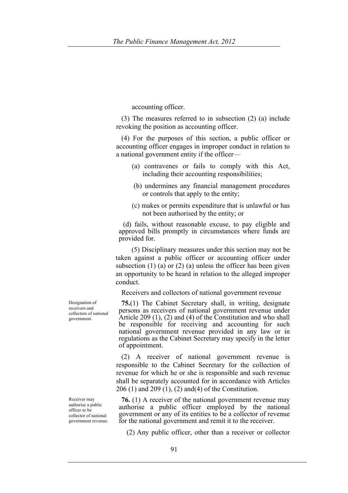accounting officer.

 (3) The measures referred to in subsection (2) (a) include revoking the position as accounting officer.

 (4) For the purposes of this section, a public officer or accounting officer engages in improper conduct in relation to a national government entity if the officer—

- (a) contravenes or fails to comply with this Act, including their accounting responsibilities;
- (b) undermines any financial management procedures or controls that apply to the entity;
- (c) makes or permits expenditure that is unlawful or has not been authorised by the entity; or

(d) fails, without reasonable excuse, to pay eligible and approved bills promptly in circumstances where funds are provided for.

 (5) Disciplinary measures under this section may not be taken against a public officer or accounting officer under subsection (1) (a) or (2) (a) unless the officer has been given an opportunity to be heard in relation to the alleged improper conduct.

Receivers and collectors of national government revenue

**75.**(1) The Cabinet Secretary shall, in writing, designate persons as receivers of national government revenue under Article 209 (1), (2) and (4) of the Constitution and who shall be responsible for receiving and accounting for such national government revenue provided in any law or in regulations as the Cabinet Secretary may specify in the letter of appointment.

 (2) A receiver of national government revenue is responsible to the Cabinet Secretary for the collection of revenue for which he or she is responsible and such revenue shall be separately accounted for in accordance with Articles 206 (1) and 209 (1), (2) and(4) of the Constitution.

**76.** (1) A receiver of the national government revenue may authorise a public officer employed by the national government or any of its entities to be a collector of revenue for the national government and remit it to the receiver.

(2) Any public officer, other than a receiver or collector

Designation of receivers and collectors of national government.

Receiver may authorise a public officer to be collector of national government revenue.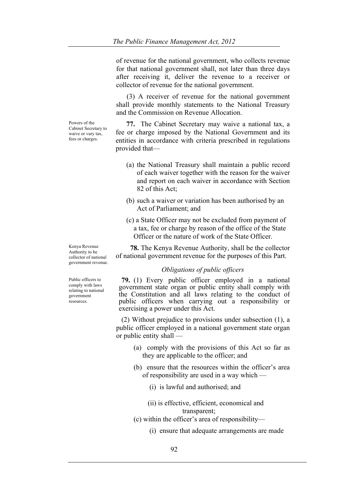of revenue for the national government, who collects revenue for that national government shall, not later than three days after receiving it, deliver the revenue to a receiver or collector of revenue for the national government.

 (3) A receiver of revenue for the national government shall provide monthly statements to the National Treasury and the Commission on Revenue Allocation.

 **77.** The Cabinet Secretary may waive a national tax, a fee or charge imposed by the National Government and its entities in accordance with criteria prescribed in regulations provided that—

- (a) the National Treasury shall maintain a public record of each waiver together with the reason for the waiver and report on each waiver in accordance with Section 82 of this Act;
- (b) such a waiver or variation has been authorised by an Act of Parliament; and
- (c) a State Officer may not be excluded from payment of a tax, fee or charge by reason of the office of the State Officer or the nature of work of the State Officer.

 **78.** The Kenya Revenue Authority, shall be the collector of national government revenue for the purposes of this Part.

# *Obligations of public officers*

**79.** (1) Every public officer employed in a national government state organ or public entity shall comply with the Constitution and all laws relating to the conduct of public officers when carrying out a responsibility or exercising a power under this Act.

 (2) Without prejudice to provisions under subsection (1), a public officer employed in a national government state organ or public entity shall —

- (a) comply with the provisions of this Act so far as they are applicable to the officer; and
- (b) ensure that the resources within the officer's area of responsibility are used in a way which —
	- (i) is lawful and authorised; and
	- (ii) is effective, efficient, economical and transparent;
- (c) within the officer's area of responsibility—
	- (i) ensure that adequate arrangements are made

Powers of the Cabinet Secretary to waive or vary tax fees or charges.

Kenya Revenue Authority to be collector of national government revenue.

Public officers to comply with laws relating to national government resources.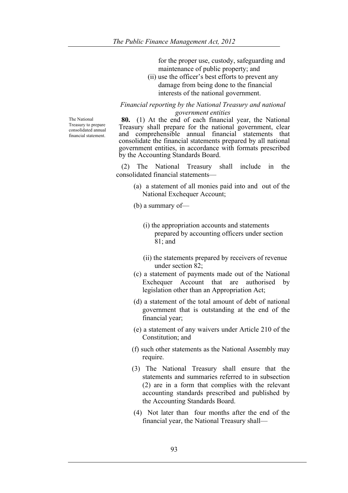for the proper use, custody, safeguarding and maintenance of public property; and

(ii) use the officer's best efforts to prevent any damage from being done to the financial interests of the national government.

*Financial reporting by the National Treasury and national government entities*

The National Treasury to prepare consolidated annual financial statement.

**80.** (1) At the end of each financial year, the National Treasury shall prepare for the national government, clear and comprehensible annual financial statements that consolidate the financial statements prepared by all national government entities, in accordance with formats prescribed by the Accounting Standards Board.

 (2) The National Treasury shall include in the consolidated financial statements—

> (a) a statement of all monies paid into and out of the National Exchequer Account;

(b) a summary of—

- (i) the appropriation accounts and statements prepared by accounting officers under section 81; and
- (ii) the statements prepared by receivers of revenue under section 82;
- (c) a statement of payments made out of the National Exchequer Account that are authorised by legislation other than an Appropriation Act;
- (d) a statement of the total amount of debt of national government that is outstanding at the end of the financial year;
- (e) a statement of any waivers under Article 210 of the Constitution; and
- (f) such other statements as the National Assembly may require.
- (3) The National Treasury shall ensure that the statements and summaries referred to in subsection (2) are in a form that complies with the relevant accounting standards prescribed and published by the Accounting Standards Board.
- (4) Not later than four months after the end of the financial year, the National Treasury shall—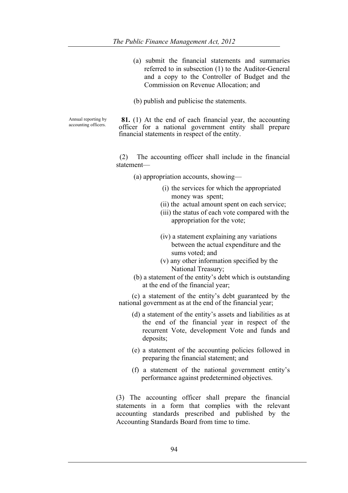(a) submit the financial statements and summaries referred to in subsection (1) to the Auditor-General and a copy to the Controller of Budget and the Commission on Revenue Allocation; and (b) publish and publicise the statements. Annual reporting by **81.** (1) At the end of each financial year, the accounting officer for a national government entity shall prepare financial statements in respect of the entity. (2) The accounting officer shall include in the financial statement— (a) appropriation accounts, showing— (i) the services for which the appropriated money was spent; (ii) the actual amount spent on each service; (iii) the status of each vote compared with the appropriation for the vote; (iv) a statement explaining any variations between the actual expenditure and the sums voted; and (v) any other information specified by the National Treasury; (b) a statement of the entity's debt which is outstanding at the end of the financial year; (c) a statement of the entity's debt guaranteed by the national government as at the end of the financial year; (d) a statement of the entity's assets and liabilities as at deposits; (e) a statement of the accounting policies followed in preparing the financial statement; and (f) a statement of the national government entity's performance against predetermined objectives. (3) The accounting officer shall prepare the financial

accounting officers.

- the end of the financial year in respect of the recurrent Vote, development Vote and funds and
- 

statements in a form that complies with the relevant accounting standards prescribed and published by the Accounting Standards Board from time to time.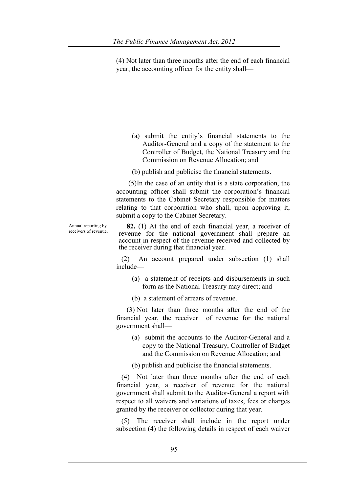(4) Not later than three months after the end of each financial year, the accounting officer for the entity shall—

(a) submit the entity's financial statements to the Auditor-General and a copy of the statement to the Controller of Budget, the National Treasury and the Commission on Revenue Allocation; and

(b) publish and publicise the financial statements.

 (5)In the case of an entity that is a state corporation, the accounting officer shall submit the corporation's financial statements to the Cabinet Secretary responsible for matters relating to that corporation who shall, upon approving it, submit a copy to the Cabinet Secretary.

Annual reporting by

Annual reporting by **82.** (1) At the end of each financial year, a receiver of receivers of revenue. revenue for the national government shall prepare an account in respect of the revenue received and collected by the receiver during that financial year.

> (2) An account prepared under subsection (1) shall include—

(a) a statement of receipts and disbursements in such form as the National Treasury may direct; and

(b) a statement of arrears of revenue.

 (3) Not later than three months after the end of the financial year, the receiver of revenue for the national government shall—

(a) submit the accounts to the Auditor-General and a copy to the National Treasury, Controller of Budget and the Commission on Revenue Allocation; and

(b) publish and publicise the financial statements.

 (4) Not later than three months after the end of each financial year, a receiver of revenue for the national government shall submit to the Auditor-General a report with respect to all waivers and variations of taxes, fees or charges granted by the receiver or collector during that year.

 (5) The receiver shall include in the report under subsection (4) the following details in respect of each waiver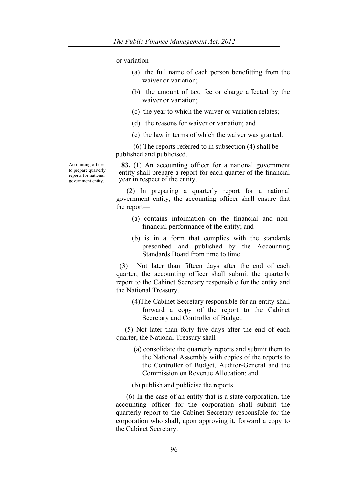or variation—

- (a) the full name of each person benefitting from the waiver or variation;
- (b) the amount of tax, fee or charge affected by the waiver or variation;
- (c) the year to which the waiver or variation relates;
- (d) the reasons for waiver or variation; and
- (e) the law in terms of which the waiver was granted.

 (6) The reports referred to in subsection (4) shall be published and publicised.

**83.** (1) An accounting officer for a national government entity shall prepare a report for each quarter of the financial year in respect of the entity.

 (2) In preparing a quarterly report for a national government entity, the accounting officer shall ensure that the report—

- (a) contains information on the financial and nonfinancial performance of the entity; and
- (b) is in a form that complies with the standards prescribed and published by the Accounting Standards Board from time to time.

 (3) Not later than fifteen days after the end of each quarter, the accounting officer shall submit the quarterly report to the Cabinet Secretary responsible for the entity and the National Treasury.

(4)The Cabinet Secretary responsible for an entity shall forward a copy of the report to the Cabinet Secretary and Controller of Budget.

 (5) Not later than forty five days after the end of each quarter, the National Treasury shall—

- (a) consolidate the quarterly reports and submit them to the National Assembly with copies of the reports to the Controller of Budget, Auditor-General and the Commission on Revenue Allocation; and
- (b) publish and publicise the reports.

 (6) In the case of an entity that is a state corporation, the accounting officer for the corporation shall submit the quarterly report to the Cabinet Secretary responsible for the corporation who shall, upon approving it, forward a copy to the Cabinet Secretary.

Accounting officer to prepare quarterly reports for national government entity.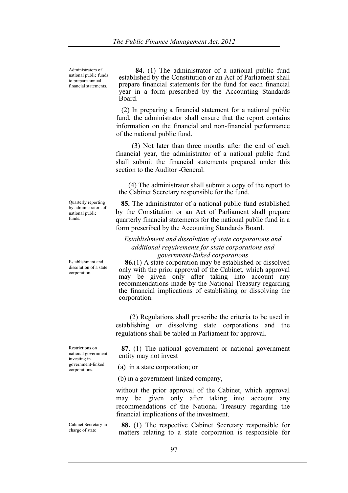Administrators of national public funds to prepare annual financial statements.

 **84.** (1) The administrator of a national public fund established by the Constitution or an Act of Parliament shall prepare financial statements for the fund for each financial year in a form prescribed by the Accounting Standards Board.

 (2) In preparing a financial statement for a national public fund, the administrator shall ensure that the report contains information on the financial and non-financial performance of the national public fund.

(3) Not later than three months after the end of each financial year, the administrator of a national public fund shall submit the financial statements prepared under this section to the Auditor -General.

 (4) The administrator shall submit a copy of the report to the Cabinet Secretary responsible for the fund.

 **85.** The administrator of a national public fund established by the Constitution or an Act of Parliament shall prepare quarterly financial statements for the national public fund in a form prescribed by the Accounting Standards Board.

# *Establishment and dissolution of state corporations and additional requirements for state corporations and government-linked corporations*

**86.**(1) A state corporation may be established or dissolved only with the prior approval of the Cabinet, which approval may be given only after taking into account any recommendations made by the National Treasury regarding the financial implications of establishing or dissolving the corporation.

 (2) Regulations shall prescribe the criteria to be used in establishing or dissolving state corporations and the regulations shall be tabled in Parliament for approval.

**87.** (1) The national government or national government entity may not invest—

(a) in a state corporation; or

(b) in a government-linked company,

without the prior approval of the Cabinet, which approval may be given only after taking into account any recommendations of the National Treasury regarding the financial implications of the investment.

**88.** (1) The respective Cabinet Secretary responsible for matters relating to a state corporation is responsible for

Quarterly reporting by administrators of national public funds.

Establishment and dissolution of a state corporation.

Restrictions on national government investing in government-linked corporations.

Cabinet Secretary in charge of state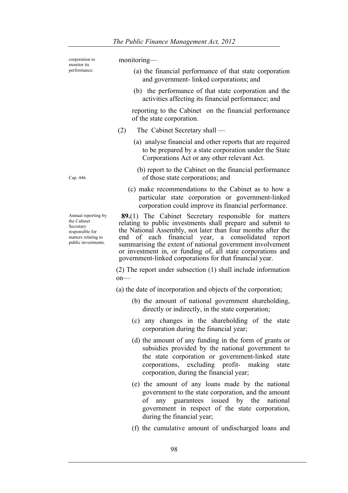corporation to monitor its performance.

#### monitoring—

- (a) the financial performance of that state corporation and government- linked corporations; and
- (b) the performance of that state corporation and the activities affecting its financial performance; and

reporting to the Cabinet on the financial performance of the state corporation.

- (2) The Cabinet Secretary shall
	- (a) analyse financial and other reports that are required to be prepared by a state corporation under the State Corporations Act or any other relevant Act.
		- (b) report to the Cabinet on the financial performance of those state corporations; and
	- (c) make recommendations to the Cabinet as to how a particular state corporation or government-linked corporation could improve its financial performance.

**89.**(1) The Cabinet Secretary responsible for matters relating to public investments shall prepare and submit to the National Assembly, not later than four months after the end of each financial year, a consolidated report summarising the extent of national government involvement or investment in, or funding of, all state corporations and government-linked corporations for that financial year.

(2) The report under subsection (1) shall include information on—

(a) the date of incorporation and objects of the corporation;

- (b) the amount of national government shareholding, directly or indirectly, in the state corporation;
- (c) any changes in the shareholding of the state corporation during the financial year;
- (d) the amount of any funding in the form of grants or subsidies provided by the national government to the state corporation or government-linked state corporations, excluding profit- making state corporation, during the financial year;
- (e) the amount of any loans made by the national government to the state corporation, and the amount of any guarantees issued by the national government in respect of the state corporation, during the financial year;
- (f) the cumulative amount of undischarged loans and

Cap. 446.

Annual reporting by the Cabinet Secretary responsible for matters relating to public investments.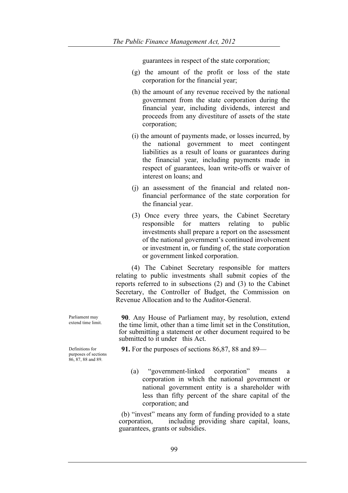guarantees in respect of the state corporation;

- (g) the amount of the profit or loss of the state corporation for the financial year;
- (h) the amount of any revenue received by the national government from the state corporation during the financial year, including dividends, interest and proceeds from any divestiture of assets of the state corporation;
- (i) the amount of payments made, or losses incurred, by the national government to meet contingent liabilities as a result of loans or guarantees during the financial year, including payments made in respect of guarantees, loan write-offs or waiver of interest on loans; and
- (j) an assessment of the financial and related nonfinancial performance of the state corporation for the financial year.
- (3) Once every three years, the Cabinet Secretary responsible for matters relating to public investments shall prepare a report on the assessment of the national government's continued involvement or investment in, or funding of, the state corporation or government linked corporation.

 (4) The Cabinet Secretary responsible for matters relating to public investments shall submit copies of the reports referred to in subsections (2) and (3) to the Cabinet Secretary, the Controller of Budget, the Commission on Revenue Allocation and to the Auditor-General.

**90**. Any House of Parliament may, by resolution, extend the time limit, other than a time limit set in the Constitution, for submitting a statement or other document required to be submitted to it under this Act.

**91.** For the purposes of sections 86,87, 88 and 89—

(a) "government-linked corporation" means a corporation in which the national government or national government entity is a shareholder with less than fifty percent of the share capital of the corporation; and

(b) "invest" means any form of funding provided to a state corporation, including providing share capital, loans, guarantees, grants or subsidies.

Definitions for purposes of sections

86, 87, 88 and 89.

Parliament may extend time limit.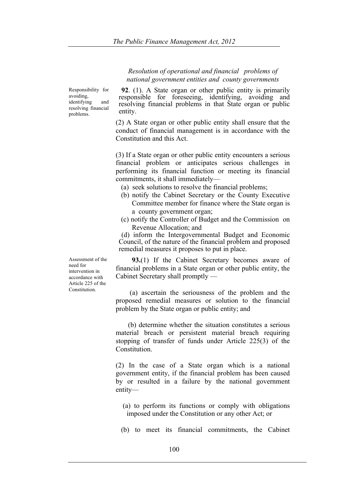*Resolution of operational and financial problems of national government entities and county governments*

Responsibility for avoiding, identifying and resolving financial problems.

**92**. (1). A State organ or other public entity is primarily responsible for foreseeing, identifying, avoiding and resolving financial problems in that State organ or public entity.

(2) A State organ or other public entity shall ensure that the conduct of financial management is in accordance with the Constitution and this Act.

(3) If a State organ or other public entity encounters a serious financial problem or anticipates serious challenges in performing its financial function or meeting its financial commitments, it shall immediately—

- (a) seek solutions to resolve the financial problems;
- (b) notify the Cabinet Secretary or the County Executive Committee member for finance where the State organ is a county government organ;
- (c) notify the Controller of Budget and the Commission on Revenue Allocation; and

(d) inform the Intergovernmental Budget and Economic Council, of the nature of the financial problem and proposed remedial measures it proposes to put in place.

**93.**(1) If the Cabinet Secretary becomes aware of financial problems in a State organ or other public entity, the Cabinet Secretary shall promptly —

 (a) ascertain the seriousness of the problem and the proposed remedial measures or solution to the financial problem by the State organ or public entity; and

 (b) determine whether the situation constitutes a serious material breach or persistent material breach requiring stopping of transfer of funds under Article 225(3) of the **Constitution** 

(2) In the case of a State organ which is a national government entity, if the financial problem has been caused by or resulted in a failure by the national government entity—

- (a) to perform its functions or comply with obligations imposed under the Constitution or any other Act; or
- (b) to meet its financial commitments, the Cabinet

Assessment of the need for intervention in accordance with Article 225 of the Constitution.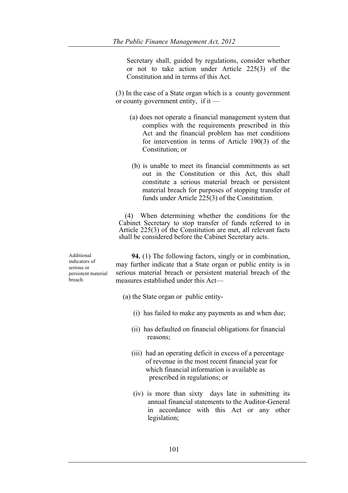Secretary shall, guided by regulations, consider whether or not to take action under Article 225(3) of the Constitution and in terms of this Act.

(3) In the case of a State organ which is a county government or county government entity, if it —

- (a) does not operate a financial management system that complies with the requirements prescribed in this Act and the financial problem has met conditions for intervention in terms of Article 190(3) of the Constitution; or
- (b) is unable to meet its financial commitments as set out in the Constitution or this Act, this shall constitute a serious material breach or persistent material breach for purposes of stopping transfer of funds under Article 225(3) of the Constitution.

 (4) When determining whether the conditions for the Cabinet Secretary to stop transfer of funds referred to in Article 225(3) of the Constitution are met, all relevant facts shall be considered before the Cabinet Secretary acts.

Additional indicators of serious or persistent material breach.

 **94.** (1) The following factors, singly or in combination, may further indicate that a State organ or public entity is in serious material breach or persistent material breach of the measures established under this Act—

- (a) the State organ or public entity-
	- (i) has failed to make any payments as and when due;
	- (ii) has defaulted on financial obligations for financial reasons;
	- (iii) had an operating deficit in excess of a percentage of revenue in the most recent financial year for which financial information is available as prescribed in regulations; or
	- (iv) is more than sixty days late in submitting its annual financial statements to the Auditor-General in accordance with this Act or any other legislation;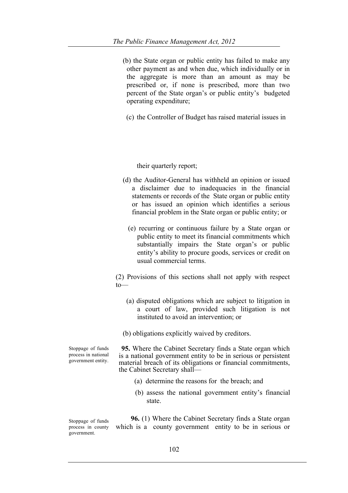(b) the State organ or public entity has failed to make any other payment as and when due, which individually or in the aggregate is more than an amount as may be prescribed or, if none is prescribed, more than two percent of the State organ's or public entity's budgeted operating expenditure;

(c) the Controller of Budget has raised material issues in

their quarterly report;

- (d) the Auditor-General has withheld an opinion or issued a disclaimer due to inadequacies in the financial statements or records of the State organ or public entity or has issued an opinion which identifies a serious financial problem in the State organ or public entity; or
	- (e) recurring or continuous failure by a State organ or public entity to meet its financial commitments which substantially impairs the State organ's or public entity's ability to procure goods, services or credit on usual commercial terms.

(2) Provisions of this sections shall not apply with respect to—

 (a) disputed obligations which are subject to litigation in a court of law, provided such litigation is not instituted to avoid an intervention; or

(b) obligations explicitly waived by creditors.

Stoppage of funds process in national government entity.

**95.** Where the Cabinet Secretary finds a State organ which is a national government entity to be in serious or persistent material breach of its obligations or financial commitments, the Cabinet Secretary shall—

- (a) determine the reasons for the breach; and
- (b) assess the national government entity's financial state.

Stoppage of funds process in county government.

**96.** (1) Where the Cabinet Secretary finds a State organ which is a county government entity to be in serious or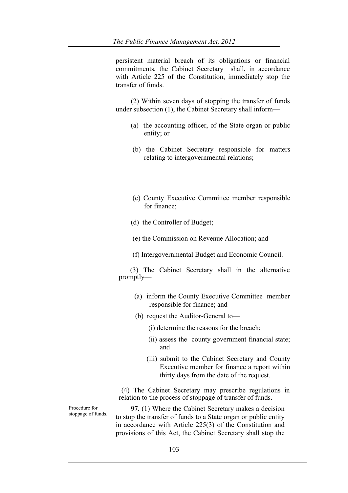persistent material breach of its obligations or financial commitments, the Cabinet Secretary shall, in accordance with Article 225 of the Constitution, immediately stop the transfer of funds.

(2) Within seven days of stopping the transfer of funds under subsection (1), the Cabinet Secretary shall inform—

- (a) the accounting officer, of the State organ or public entity; or
- (b) the Cabinet Secretary responsible for matters relating to intergovernmental relations;
- (c) County Executive Committee member responsible for finance;
- (d) the Controller of Budget;
- (e) the Commission on Revenue Allocation; and
- (f) Intergovernmental Budget and Economic Council.

 (3) The Cabinet Secretary shall in the alternative promptly—

- (a) inform the County Executive Committee member responsible for finance; and
- (b) request the Auditor-General to—
	- (i) determine the reasons for the breach;
	- (ii) assess the county government financial state; and
	- (iii) submit to the Cabinet Secretary and County Executive member for finance a report within thirty days from the date of the request.

(4) The Cabinet Secretary may prescribe regulations in relation to the process of stoppage of transfer of funds.

**97.** (1) Where the Cabinet Secretary makes a decision to stop the transfer of funds to a State organ or public entity in accordance with Article 225(3) of the Constitution and provisions of this Act, the Cabinet Secretary shall stop the

Procedure for stoppage of funds.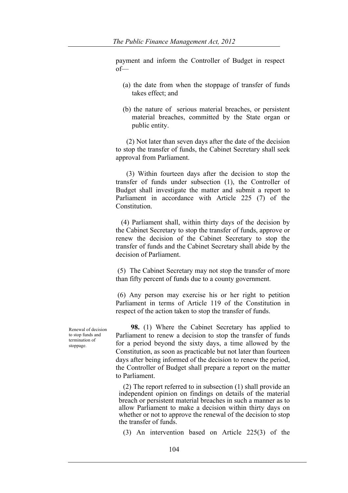payment and inform the Controller of Budget in respect of—

- (a) the date from when the stoppage of transfer of funds takes effect; and
- (b) the nature of serious material breaches, or persistent material breaches, committed by the State organ or public entity.

 (2) Not later than seven days after the date of the decision to stop the transfer of funds, the Cabinet Secretary shall seek approval from Parliament.

 (3) Within fourteen days after the decision to stop the transfer of funds under subsection (1), the Controller of Budget shall investigate the matter and submit a report to Parliament in accordance with Article 225 (7) of the Constitution.

 (4) Parliament shall, within thirty days of the decision by the Cabinet Secretary to stop the transfer of funds, approve or renew the decision of the Cabinet Secretary to stop the transfer of funds and the Cabinet Secretary shall abide by the decision of Parliament.

(5) The Cabinet Secretary may not stop the transfer of more than fifty percent of funds due to a county government.

(6) Any person may exercise his or her right to petition Parliament in terms of Article 119 of the Constitution in respect of the action taken to stop the transfer of funds.

Renewal of decision to stop funds and termination of stoppage.

**98.** (1) Where the Cabinet Secretary has applied to Parliament to renew a decision to stop the transfer of funds for a period beyond the sixty days, a time allowed by the Constitution, as soon as practicable but not later than fourteen days after being informed of the decision to renew the period, the Controller of Budget shall prepare a report on the matter to Parliament.

(2) The report referred to in subsection (1) shall provide an independent opinion on findings on details of the material breach or persistent material breaches in such a manner as to allow Parliament to make a decision within thirty days on whether or not to approve the renewal of the decision to stop the transfer of funds.

(3) An intervention based on Article 225(3) of the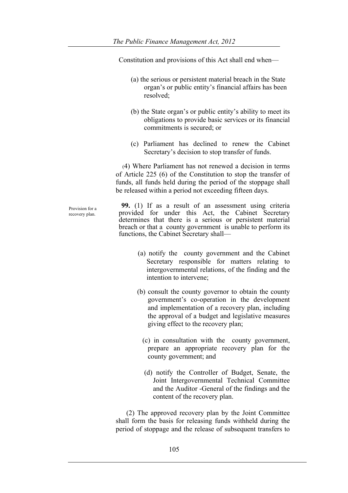Constitution and provisions of this Act shall end when—

- (a) the serious or persistent material breach in the State organ's or public entity's financial affairs has been resolved;
- (b) the State organ's or public entity's ability to meet its obligations to provide basic services or its financial commitments is secured; or
- (c) Parliament has declined to renew the Cabinet Secretary's decision to stop transfer of funds.

 (4) Where Parliament has not renewed a decision in terms of Article 225 (6) of the Constitution to stop the transfer of funds, all funds held during the period of the stoppage shall be released within a period not exceeding fifteen days.

Provision for a recovery plan.

**99.** (1) If as a result of an assessment using criteria provided for under this Act, the Cabinet Secretary determines that there is a serious or persistent material breach or that a county government is unable to perform its functions, the Cabinet Secretary shall—

- (a) notify the county government and the Cabinet Secretary responsible for matters relating to intergovernmental relations, of the finding and the intention to intervene;
- (b) consult the county governor to obtain the county government's co-operation in the development and implementation of a recovery plan, including the approval of a budget and legislative measures giving effect to the recovery plan;
	- (c) in consultation with the county government, prepare an appropriate recovery plan for the county government; and
	- (d) notify the Controller of Budget, Senate, the Joint Intergovernmental Technical Committee and the Auditor -General of the findings and the content of the recovery plan.

 (2) The approved recovery plan by the Joint Committee shall form the basis for releasing funds withheld during the period of stoppage and the release of subsequent transfers to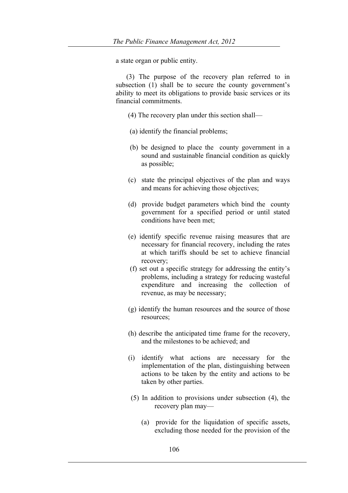a state organ or public entity.

 (3) The purpose of the recovery plan referred to in subsection (1) shall be to secure the county government's ability to meet its obligations to provide basic services or its financial commitments.

- (4) The recovery plan under this section shall—
- (a) identify the financial problems;
- (b) be designed to place the county government in a sound and sustainable financial condition as quickly as possible;
- (c) state the principal objectives of the plan and ways and means for achieving those objectives;
- (d) provide budget parameters which bind the county government for a specified period or until stated conditions have been met;
- (e) identify specific revenue raising measures that are necessary for financial recovery, including the rates at which tariffs should be set to achieve financial recovery;
- (f) set out a specific strategy for addressing the entity's problems, including a strategy for reducing wasteful expenditure and increasing the collection of revenue, as may be necessary;
- (g) identify the human resources and the source of those resources;
- (h) describe the anticipated time frame for the recovery, and the milestones to be achieved; and
- (i) identify what actions are necessary for the implementation of the plan, distinguishing between actions to be taken by the entity and actions to be taken by other parties.
- (5) In addition to provisions under subsection (4), the recovery plan may—
	- (a) provide for the liquidation of specific assets, excluding those needed for the provision of the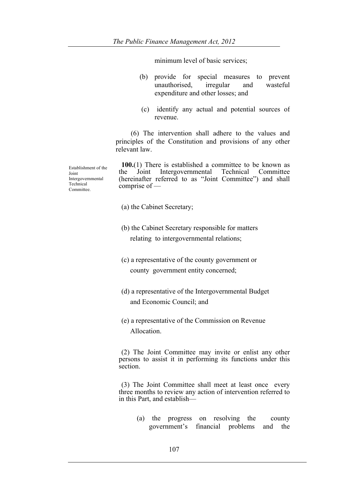minimum level of basic services;

- (b) provide for special measures to prevent unauthorised, irregular and wasteful expenditure and other losses; and
- (c) identify any actual and potential sources of revenue.

(6) The intervention shall adhere to the values and principles of the Constitution and provisions of any other relevant law.

**100.**(1) There is established a committee to be known as the Joint Intergovernmental Technical Committee (hereinafter referred to as "Joint Committee") and shall comprise of —

- (a) the Cabinet Secretary;
- (b) the Cabinet Secretary responsible for matters relating to intergovernmental relations;
- (c) a representative of the county government or county government entity concerned;
- (d) a representative of the Intergovernmental Budget and Economic Council; and
- (e) a representative of the Commission on Revenue Allocation.

(2) The Joint Committee may invite or enlist any other persons to assist it in performing its functions under this section.

(3) The Joint Committee shall meet at least once every three months to review any action of intervention referred to in this Part, and establish—

> (a) the progress on resolving the county government's financial problems and the

Establishment of the Joint Intergovernmental Technical Committee.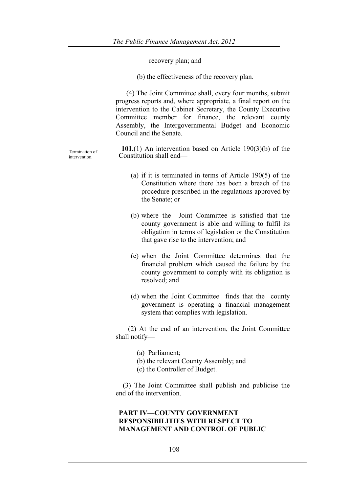recovery plan; and

(b) the effectiveness of the recovery plan.

 (4) The Joint Committee shall, every four months, submit progress reports and, where appropriate, a final report on the intervention to the Cabinet Secretary, the County Executive Committee member for finance, the relevant county Assembly, the Intergovernmental Budget and Economic Council and the Senate.

**101.**(1) An intervention based on Article 190(3)(b) of the Constitution shall end—

- (a) if it is terminated in terms of Article 190(5) of the Constitution where there has been a breach of the procedure prescribed in the regulations approved by the Senate; or
- (b) where the Joint Committee is satisfied that the county government is able and willing to fulfil its obligation in terms of legislation or the Constitution that gave rise to the intervention; and
- (c) when the Joint Committee determines that the financial problem which caused the failure by the county government to comply with its obligation is resolved; and
- (d) when the Joint Committee finds that the county government is operating a financial management system that complies with legislation.

 (2) At the end of an intervention, the Joint Committee shall notify—

(a) Parliament;

- (b) the relevant County Assembly; and
- (c) the Controller of Budget.

 (3) The Joint Committee shall publish and publicise the end of the intervention.

# **PART IV—COUNTY GOVERNMENT RESPONSIBILITIES WITH RESPECT TO MANAGEMENT AND CONTROL OF PUBLIC**

Termination of intervention.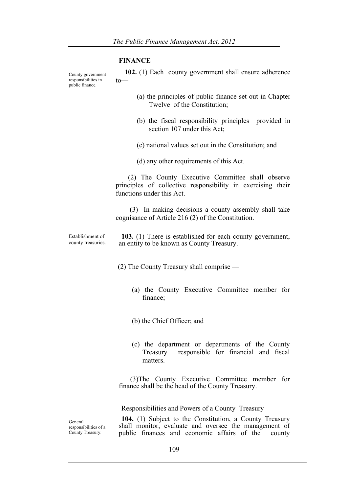### **FINANCE**

public finance.

County government responsibilities in  **102.** (1) Each county government shall ensure adherence to—

- (a) the principles of public finance set out in Chapter Twelve of the Constitution;
- (b) the fiscal responsibility principles provided in section 107 under this Act;
- (c) national values set out in the Constitution; and
- (d) any other requirements of this Act.

 (2) The County Executive Committee shall observe principles of collective responsibility in exercising their functions under this Act.

 (3) In making decisions a county assembly shall take cognisance of Article 216 (2) of the Constitution.

Establishment of county treasuries. **103.** (1) There is established for each county government, an entity to be known as County Treasury.

(2) The County Treasury shall comprise —

- (a) the County Executive Committee member for finance;
- (b) the Chief Officer; and
- (c) the department or departments of the County Treasury responsible for financial and fiscal matters.

 (3)The County Executive Committee member for finance shall be the head of the County Treasury.

Responsibilities and Powers of a County Treasury

General responsibilities of a County Treasury.

**104.** (1) Subject to the Constitution, a County Treasury shall monitor, evaluate and oversee the management of public finances and economic affairs of the county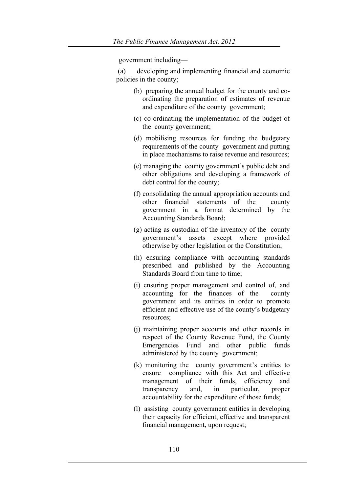government including—

(a) developing and implementing financial and economic policies in the county;

- (b) preparing the annual budget for the county and coordinating the preparation of estimates of revenue and expenditure of the county government;
- (c) co-ordinating the implementation of the budget of the county government;
- (d) mobilising resources for funding the budgetary requirements of the county government and putting in place mechanisms to raise revenue and resources;
- (e) managing the county government's public debt and other obligations and developing a framework of debt control for the county;
- (f) consolidating the annual appropriation accounts and other financial statements of the county government in a format determined by the Accounting Standards Board;
- (g) acting as custodian of the inventory of the county government's assets except where provided otherwise by other legislation or the Constitution;
- (h) ensuring compliance with accounting standards prescribed and published by the Accounting Standards Board from time to time;
- (i) ensuring proper management and control of, and accounting for the finances of the county government and its entities in order to promote efficient and effective use of the county's budgetary resources;
- (j) maintaining proper accounts and other records in respect of the County Revenue Fund, the County Emergencies Fund and other public funds administered by the county government;
- (k) monitoring the county government's entities to ensure compliance with this Act and effective management of their funds, efficiency and transparency and, in particular, proper accountability for the expenditure of those funds;
- (l) assisting county government entities in developing their capacity for efficient, effective and transparent financial management, upon request;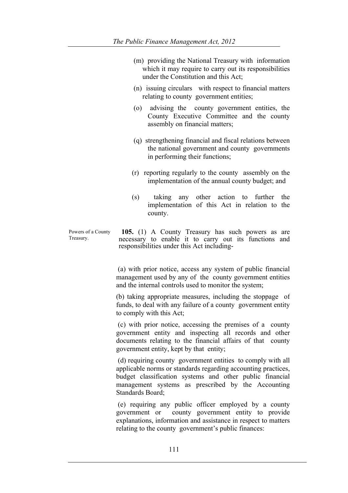| (m) providing the National Treasury with information   |
|--------------------------------------------------------|
| which it may require to carry out its responsibilities |
| under the Constitution and this Act;                   |

- (n) issuing circulars with respect to financial matters relating to county government entities;
- (o) advising the county government entities, the County Executive Committee and the county assembly on financial matters;
- (q) strengthening financial and fiscal relations between the national government and county governments in performing their functions;
- (r) reporting regularly to the county assembly on the implementation of the annual county budget; and
- (s) taking any other action to further the implementation of this Act in relation to the county.
- Powers of a County Treasury. **105.** (1) A County Treasury has such powers as are necessary to enable it to carry out its functions and responsibilities under this Act including-

(a) with prior notice, access any system of public financial management used by any of the county government entities and the internal controls used to monitor the system;

(b) taking appropriate measures, including the stoppage of funds, to deal with any failure of a county government entity to comply with this Act;

(c) with prior notice, accessing the premises of a county government entity and inspecting all records and other documents relating to the financial affairs of that county government entity, kept by that entity;

(d) requiring county government entities to comply with all applicable norms or standards regarding accounting practices, budget classification systems and other public financial management systems as prescribed by the Accounting Standards Board;

(e) requiring any public officer employed by a county government or county government entity to provide explanations, information and assistance in respect to matters relating to the county government's public finances: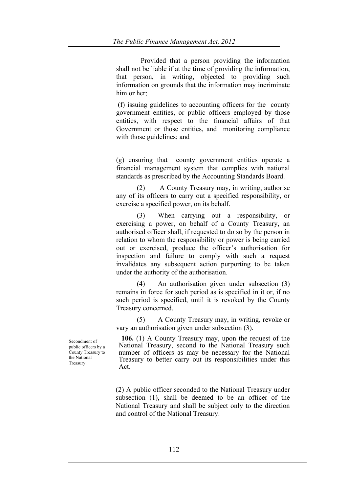Provided that a person providing the information shall not be liable if at the time of providing the information, that person, in writing, objected to providing such information on grounds that the information may incriminate him or her;

(f) issuing guidelines to accounting officers for the county government entities, or public officers employed by those entities, with respect to the financial affairs of that Government or those entities, and monitoring compliance with those guidelines; and

(g) ensuring that county government entities operate a financial management system that complies with national standards as prescribed by the Accounting Standards Board.

(2) A County Treasury may, in writing, authorise any of its officers to carry out a specified responsibility, or exercise a specified power, on its behalf.

(3) When carrying out a responsibility, or exercising a power, on behalf of a County Treasury, an authorised officer shall, if requested to do so by the person in relation to whom the responsibility or power is being carried out or exercised, produce the officer's authorisation for inspection and failure to comply with such a request invalidates any subsequent action purporting to be taken under the authority of the authorisation.

(4) An authorisation given under subsection (3) remains in force for such period as is specified in it or, if no such period is specified, until it is revoked by the County Treasury concerned.

(5) A County Treasury may, in writing, revoke or vary an authorisation given under subsection (3).

**106.** (1) A County Treasury may, upon the request of the National Treasury, second to the National Treasury such number of officers as may be necessary for the National Treasury to better carry out its responsibilities under this Act.

(2) A public officer seconded to the National Treasury under subsection (1), shall be deemed to be an officer of the National Treasury and shall be subject only to the direction and control of the National Treasury.

Secondment of public officers by a County Treasury to the National Treasury.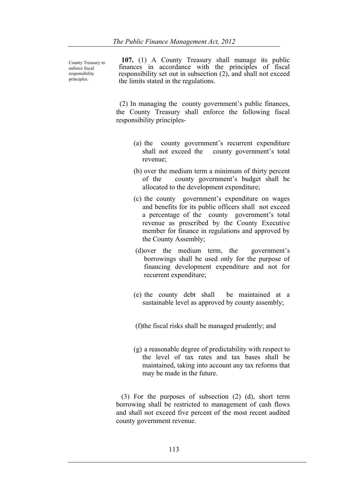County Treasury to enforce fiscal responsibility principles.

**107.** (1) A County Treasury shall manage its public finances in accordance with the principles of fiscal responsibility set out in subsection (2), and shall not exceed the limits stated in the regulations.

 (2) In managing the county government's public finances, the County Treasury shall enforce the following fiscal responsibility principles-

- (a) the county government's recurrent expenditure shall not exceed the county government's total revenue;
- (b) over the medium term a minimum of thirty percent of the county government's budget shall be allocated to the development expenditure;
- (c) the county government's expenditure on wages and benefits for its public officers shall not exceed a percentage of the county government's total revenue as prescribed by the County Executive member for finance in regulations and approved by the County Assembly;
- (d)over the medium term, the government's borrowings shall be used only for the purpose of financing development expenditure and not for recurrent expenditure;
- (e) the county debt shall be maintained at a sustainable level as approved by county assembly;
- (f)the fiscal risks shall be managed prudently; and
- (g) a reasonable degree of predictability with respect to the level of tax rates and tax bases shall be maintained, taking into account any tax reforms that may be made in the future.

 (3) For the purposes of subsection (2) (d), short term borrowing shall be restricted to management of cash flows and shall not exceed five percent of the most recent audited county government revenue.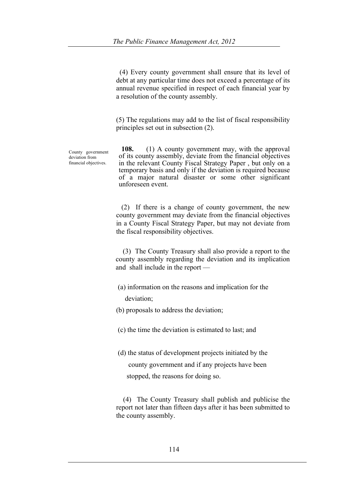(4) Every county government shall ensure that its level of debt at any particular time does not exceed a percentage of its annual revenue specified in respect of each financial year by a resolution of the county assembly.

(5) The regulations may add to the list of fiscal responsibility principles set out in subsection (2).

County government deviation from financial objectives.

**108.** (1) A county government may, with the approval of its county assembly, deviate from the financial objectives in the relevant County Fiscal Strategy Paper , but only on a temporary basis and only if the deviation is required because of a major natural disaster or some other significant unforeseen event.

 (2) If there is a change of county government, the new county government may deviate from the financial objectives in a County Fiscal Strategy Paper, but may not deviate from the fiscal responsibility objectives.

 (3) The County Treasury shall also provide a report to the county assembly regarding the deviation and its implication and shall include in the report —

- (a) information on the reasons and implication for the deviation;
- (b) proposals to address the deviation;

(c) the time the deviation is estimated to last; and

(d) the status of development projects initiated by the county government and if any projects have been

stopped, the reasons for doing so.

 (4) The County Treasury shall publish and publicise the report not later than fifteen days after it has been submitted to the county assembly.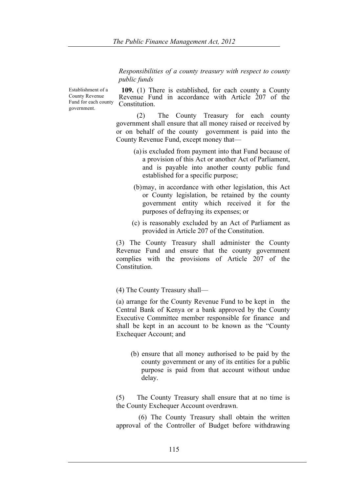*Responsibilities of a county treasury with respect to county public funds*

Establishment of a County Revenue Fund for each county government.

**109.** (1) There is established, for each county a County Revenue Fund in accordance with Article 207 of the **Constitution** 

(2) The County Treasury for each county government shall ensure that all money raised or received by or on behalf of the county government is paid into the County Revenue Fund, except money that—

- (a)is excluded from payment into that Fund because of a provision of this Act or another Act of Parliament, and is payable into another county public fund established for a specific purpose;
- (b)may, in accordance with other legislation, this Act or County legislation, be retained by the county government entity which received it for the purposes of defraying its expenses; or
- (c) is reasonably excluded by an Act of Parliament as provided in Article 207 of the Constitution.

(3) The County Treasury shall administer the County Revenue Fund and ensure that the county government complies with the provisions of Article 207 of the **Constitution** 

(4) The County Treasury shall—

(a) arrange for the County Revenue Fund to be kept in the Central Bank of Kenya or a bank approved by the County Executive Committee member responsible for finance and shall be kept in an account to be known as the "County Exchequer Account; and

(b) ensure that all money authorised to be paid by the county government or any of its entities for a public purpose is paid from that account without undue delay.

(5) The County Treasury shall ensure that at no time is the County Exchequer Account overdrawn.

(6) The County Treasury shall obtain the written approval of the Controller of Budget before withdrawing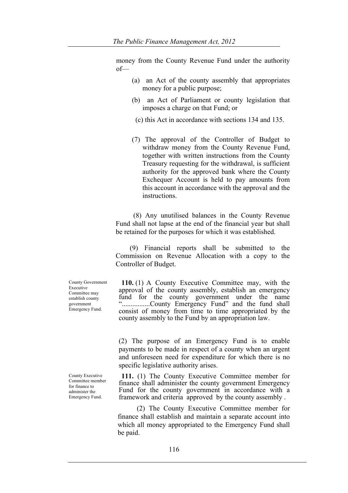money from the County Revenue Fund under the authority of—

- (a) an Act of the county assembly that appropriates money for a public purpose;
- (b) an Act of Parliament or county legislation that imposes a charge on that Fund; or
- (c) this Act in accordance with sections 134 and 135.
- (7) The approval of the Controller of Budget to withdraw money from the County Revenue Fund, together with written instructions from the County Treasury requesting for the withdrawal, is sufficient authority for the approved bank where the County Exchequer Account is held to pay amounts from this account in accordance with the approval and the instructions.

 (8) Any unutilised balances in the County Revenue Fund shall not lapse at the end of the financial year but shall be retained for the purposes for which it was established.

 (9) Financial reports shall be submitted to the Commission on Revenue Allocation with a copy to the Controller of Budget.

**110.** (1) A County Executive Committee may, with the approval of the county assembly, establish an emergency fund for the county government under the name "................County Emergency Fund" and the fund shall consist of money from time to time appropriated by the county assembly to the Fund by an appropriation law.

(2) The purpose of an Emergency Fund is to enable payments to be made in respect of a county when an urgent and unforeseen need for expenditure for which there is no specific legislative authority arises.

**111.** (1) The County Executive Committee member for finance shall administer the county government Emergency Fund for the county government in accordance with a framework and criteria approved by the county assembly .

(2) The County Executive Committee member for finance shall establish and maintain a separate account into which all money appropriated to the Emergency Fund shall be paid.

County Government Executive Committee may establish county government Emergency Fund.

County Executive Committee member for finance to administer the Emergency Fund.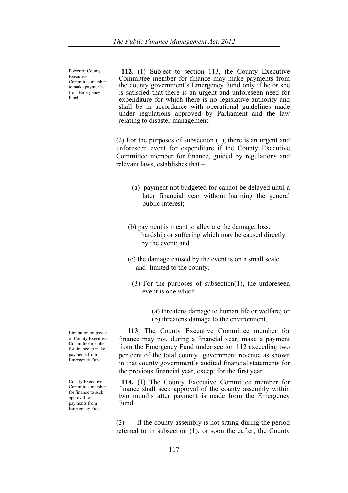Power of County Executive Committee member to make payments from Emergency Fund.

**112.** (1) Subject to section 113, the County Executive Committee member for finance may make payments from the county government's Emergency Fund only if he or she is satisfied that there is an urgent and unforeseen need for expenditure for which there is no legislative authority and shall be in accordance with operational guidelines made under regulations approved by Parliament and the law relating to disaster management.

(2) For the purposes of subsection (1), there is an urgent and unforeseen event for expenditure if the County Executive Committee member for finance, guided by regulations and relevant laws, establishes that –

- (a) payment not budgeted for cannot be delayed until a later financial year without harming the general public interest;
- (b) payment is meant to alleviate the damage, loss, hardship or suffering which may be caused directly by the event; and
- (c) the damage caused by the event is on a small scale and limited to the county.
	- (3) For the purposes of subsection(1), the unforeseen event is one which –
		- (a) threatens damage to human life or welfare; or (b) threatens damage to the environment.

 **113**. The County Executive Committee member for finance may not, during a financial year, make a payment from the Emergency Fund under section 112 exceeding two per cent of the total county government revenue as shown in that county government's audited financial statements for the previous financial year, except for the first year.

**114.** (1) The County Executive Committee member for finance shall seek approval of the county assembly within two months after payment is made from the Emergency Fund.

(2) If the county assembly is not sitting during the period referred to in subsection (1), or soon thereafter, the County

Limitation on power of County Executive Committee member for finance to make payments from Emergency Fund.

County Executive Committee member for finance to seek approval for payments from Emergency Fund.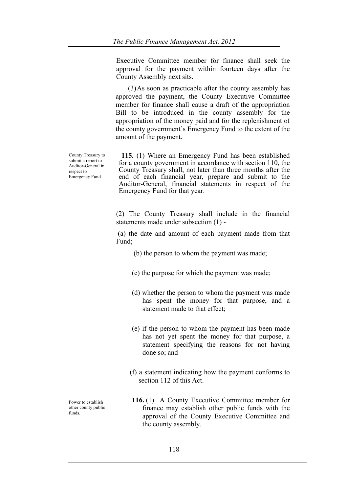Executive Committee member for finance shall seek the approval for the payment within fourteen days after the County Assembly next sits.

 (3)As soon as practicable after the county assembly has approved the payment, the County Executive Committee member for finance shall cause a draft of the appropriation Bill to be introduced in the county assembly for the appropriation of the money paid and for the replenishment of the county government's Emergency Fund to the extent of the amount of the payment.

**115.** (1) Where an Emergency Fund has been established for a county government in accordance with section 110, the County Treasury shall, not later than three months after the end of each financial year, prepare and submit to the Auditor-General, financial statements in respect of the Emergency Fund for that year.

(2) The County Treasury shall include in the financial statements made under subsection (1) -

(a) the date and amount of each payment made from that Fund;

- (b) the person to whom the payment was made;
- (c) the purpose for which the payment was made;
- (d) whether the person to whom the payment was made has spent the money for that purpose, and a statement made to that effect;
- (e) if the person to whom the payment has been made has not yet spent the money for that purpose, a statement specifying the reasons for not having done so; and
- (f) a statement indicating how the payment conforms to section 112 of this Act.
- **116.** (1) A County Executive Committee member for finance may establish other public funds with the approval of the County Executive Committee and the county assembly.

County Treasury to submit a report to Auditor-General in respect to Emergency Fund.

Power to establish other county public funds.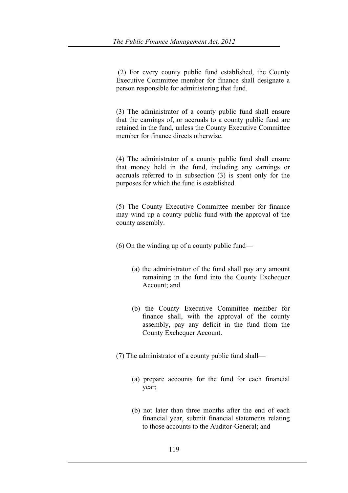(2) For every county public fund established, the County Executive Committee member for finance shall designate a person responsible for administering that fund.

(3) The administrator of a county public fund shall ensure that the earnings of, or accruals to a county public fund are retained in the fund, unless the County Executive Committee member for finance directs otherwise.

(4) The administrator of a county public fund shall ensure that money held in the fund, including any earnings or accruals referred to in subsection (3) is spent only for the purposes for which the fund is established.

(5) The County Executive Committee member for finance may wind up a county public fund with the approval of the county assembly.

(6) On the winding up of a county public fund—

- (a) the administrator of the fund shall pay any amount remaining in the fund into the County Exchequer Account; and
- (b) the County Executive Committee member for finance shall, with the approval of the county assembly, pay any deficit in the fund from the County Exchequer Account.

(7) The administrator of a county public fund shall—

- (a) prepare accounts for the fund for each financial year;
- (b) not later than three months after the end of each financial year, submit financial statements relating to those accounts to the Auditor-General; and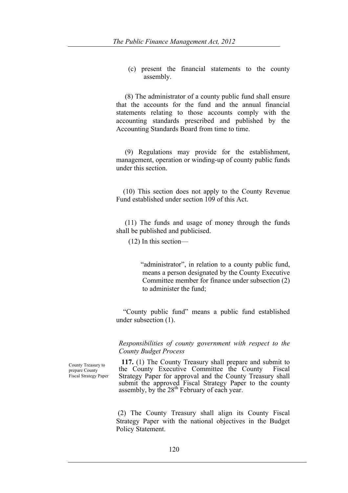(c) present the financial statements to the county assembly.

 (8) The administrator of a county public fund shall ensure that the accounts for the fund and the annual financial statements relating to those accounts comply with the accounting standards prescribed and published by the Accounting Standards Board from time to time.

 (9) Regulations may provide for the establishment, management, operation or winding-up of county public funds under this section.

 (10) This section does not apply to the County Revenue Fund established under section 109 of this Act.

 (11) The funds and usage of money through the funds shall be published and publicised.

(12) In this section—

 "administrator", in relation to a county public fund, means a person designated by the County Executive Committee member for finance under subsection (2) to administer the fund;

 "County public fund" means a public fund established under subsection (1).

*Responsibilities of county government with respect to the County Budget Process*

**117.** (1) The County Treasury shall prepare and submit to the County Executive Committee the County Fiscal Strategy Paper for approval and the County Treasury shall submit the approved Fiscal Strategy Paper to the county assembly, by the  $28<sup>th</sup>$  February of each year.

(2) The County Treasury shall align its County Fiscal Strategy Paper with the national objectives in the Budget Policy Statement.

County Treasury to prepare County Fiscal Strategy Paper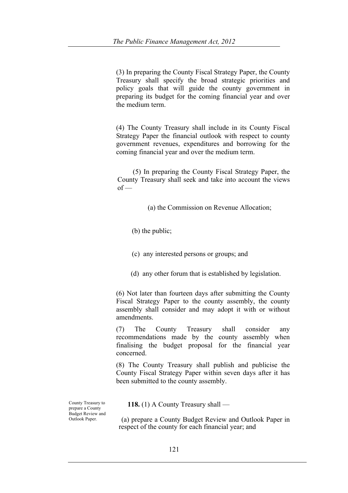(3) In preparing the County Fiscal Strategy Paper, the County Treasury shall specify the broad strategic priorities and policy goals that will guide the county government in preparing its budget for the coming financial year and over the medium term.

(4) The County Treasury shall include in its County Fiscal Strategy Paper the financial outlook with respect to county government revenues, expenditures and borrowing for the coming financial year and over the medium term.

 (5) In preparing the County Fiscal Strategy Paper, the County Treasury shall seek and take into account the views  $of$  —

(a) the Commission on Revenue Allocation;

(b) the public;

- (c) any interested persons or groups; and
- (d) any other forum that is established by legislation.

(6) Not later than fourteen days after submitting the County Fiscal Strategy Paper to the county assembly, the county assembly shall consider and may adopt it with or without amendments.

(7) The County Treasury shall consider any recommendations made by the county assembly when finalising the budget proposal for the financial year concerned.

(8) The County Treasury shall publish and publicise the County Fiscal Strategy Paper within seven days after it has been submitted to the county assembly.

County Treasury to prepare a County Budget Review and Outlook Paper.

 **118.** (1) A County Treasury shall —

(a) prepare a County Budget Review and Outlook Paper in respect of the county for each financial year; and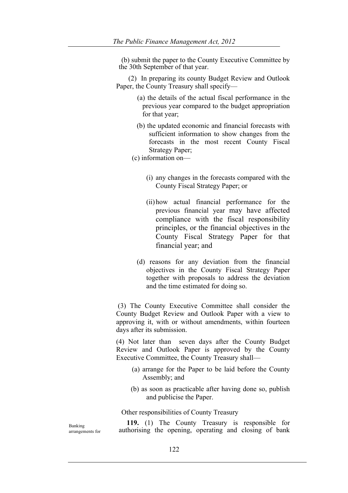(b) submit the paper to the County Executive Committee by the 30th September of that year.

 (2) In preparing its county Budget Review and Outlook Paper, the County Treasury shall specify—

- (a) the details of the actual fiscal performance in the previous year compared to the budget appropriation for that year;
- (b) the updated economic and financial forecasts with sufficient information to show changes from the forecasts in the most recent County Fiscal Strategy Paper;
- (c) information on—
	- (i) any changes in the forecasts compared with the County Fiscal Strategy Paper; or
	- (ii)how actual financial performance for the previous financial year may have affected compliance with the fiscal responsibility principles, or the financial objectives in the County Fiscal Strategy Paper for that financial year; and
	- (d) reasons for any deviation from the financial objectives in the County Fiscal Strategy Paper together with proposals to address the deviation and the time estimated for doing so.

(3) The County Executive Committee shall consider the County Budget Review and Outlook Paper with a view to approving it, with or without amendments, within fourteen days after its submission.

(4) Not later than seven days after the County Budget Review and Outlook Paper is approved by the County Executive Committee, the County Treasury shall—

- (a) arrange for the Paper to be laid before the County Assembly; and
- (b) as soon as practicable after having done so, publish and publicise the Paper.

# Other responsibilities of County Treasury

 **119.** (1) The County Treasury is responsible for authorising the opening, operating and closing of bank

Banking arrangements for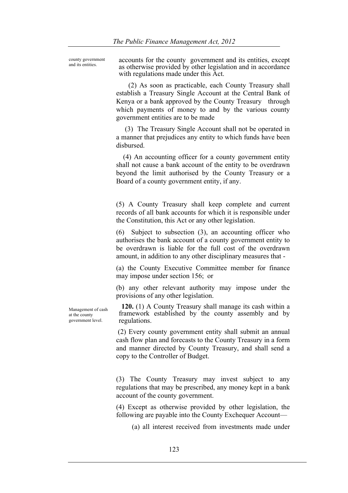county government

and its entities. accounts for the county government and its entities, except as otherwise provided by other legislation and in accordance with regulations made under this Act.

> (2) As soon as practicable, each County Treasury shall establish a Treasury Single Account at the Central Bank of Kenya or a bank approved by the County Treasury through which payments of money to and by the various county government entities are to be made

> (3) The Treasury Single Account shall not be operated in a manner that prejudices any entity to which funds have been disbursed.

> (4) An accounting officer for a county government entity shall not cause a bank account of the entity to be overdrawn beyond the limit authorised by the County Treasury or a Board of a county government entity, if any.

> (5) A County Treasury shall keep complete and current records of all bank accounts for which it is responsible under the Constitution, this Act or any other legislation.

> (6) Subject to subsection (3), an accounting officer who authorises the bank account of a county government entity to be overdrawn is liable for the full cost of the overdrawn amount, in addition to any other disciplinary measures that -

> (a) the County Executive Committee member for finance may impose under section 156; or

> (b) any other relevant authority may impose under the provisions of any other legislation.

Management of cash at the county government level.

**120.** (1) A County Treasury shall manage its cash within a framework established by the county assembly and by regulations.

(2) Every county government entity shall submit an annual cash flow plan and forecasts to the County Treasury in a form and manner directed by County Treasury, and shall send a copy to the Controller of Budget.

(3) The County Treasury may invest subject to any regulations that may be prescribed, any money kept in a bank account of the county government.

(4) Except as otherwise provided by other legislation, the following are payable into the County Exchequer Account—

(a) all interest received from investments made under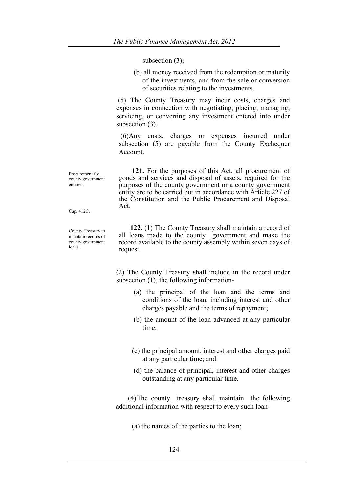subsection (3);

(b) all money received from the redemption or maturity of the investments, and from the sale or conversion of securities relating to the investments.

(5) The County Treasury may incur costs, charges and expenses in connection with negotiating, placing, managing, servicing, or converting any investment entered into under subsection  $(3)$ .

(6)Any costs, charges or expenses incurred under subsection (5) are payable from the County Exchequer Account.

 **121.** For the purposes of this Act, all procurement of goods and services and disposal of assets, required for the purposes of the county government or a county government entity are to be carried out in accordance with Article 227 of the Constitution and the Public Procurement and Disposal Act.

Cap. 412C.

entities.

Procurement for county government

County Treasury to maintain records of county government loans.

 **122.** (1) The County Treasury shall maintain a record of all loans made to the county government and make the record available to the county assembly within seven days of request.

(2) The County Treasury shall include in the record under subsection (1), the following information-

- (a) the principal of the loan and the terms and conditions of the loan, including interest and other charges payable and the terms of repayment;
- (b) the amount of the loan advanced at any particular time;
- (c) the principal amount, interest and other charges paid at any particular time; and
- (d) the balance of principal, interest and other charges outstanding at any particular time.

 (4)The county treasury shall maintain the following additional information with respect to every such loan-

(a) the names of the parties to the loan;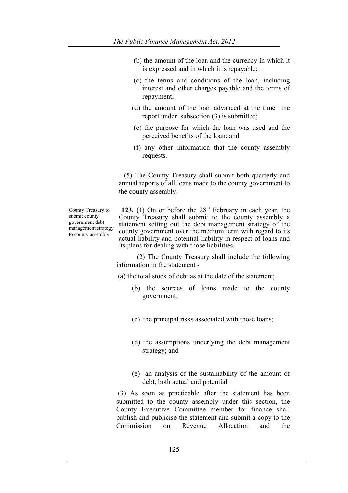- (b) the amount of the loan and the currency in which it is expressed and in which it is repayable;
- (c) the terms and conditions of the loan, including interest and other charges payable and the terms of repayment;
- (d) the amount of the loan advanced at the time the report under subsection (3) is submitted;
- (e) the purpose for which the loan was used and the perceived benefits of the loan; and
- (f) any other information that the county assembly requests.

 (5) The County Treasury shall submit both quarterly and annual reports of all loans made to the county government to the county assembly.

County Treasury to submit county government debt management strategy to county assembly.

**123.** (1) On or before the  $28<sup>th</sup>$  February in each year, the County Treasury shall submit to the county assembly a statement setting out the debt management strategy of the county government over the medium term with regard to its actual liability and potential liability in respect of loans and its plans for dealing with those liabilities.

(2) The County Treasury shall include the following information in the statement -

(a) the total stock of debt as at the date of the statement;

- (b) the sources of loans made to the county government;
- (c) the principal risks associated with those loans;
- (d) the assumptions underlying the debt management strategy; and
- (e) an analysis of the sustainability of the amount of debt, both actual and potential.

(3) As soon as practicable after the statement has been submitted to the county assembly under this section, the County Executive Committee member for finance shall publish and publicise the statement and submit a copy to the Commission on Revenue Allocation and the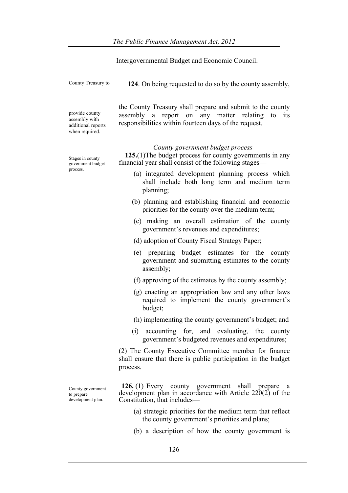|                                                                         | Intergovernmental Budget and Economic Council.                                                                                                                               |
|-------------------------------------------------------------------------|------------------------------------------------------------------------------------------------------------------------------------------------------------------------------|
| County Treasury to                                                      | 124. On being requested to do so by the county assembly,                                                                                                                     |
| provide county<br>assembly with<br>additional reports<br>when required. | the County Treasury shall prepare and submit to the county<br>assembly a report on any matter relating<br>to<br>its<br>responsibilities within fourteen days of the request. |
| Stages in county<br>government budget<br>process.                       | County government budget process<br>125.(1) The budget process for county governments in any<br>financial year shall consist of the following stages—                        |
|                                                                         | (a) integrated development planning process which<br>shall include both long term and medium term<br>planning;                                                               |
|                                                                         | (b) planning and establishing financial and economic<br>priorities for the county over the medium term;                                                                      |
|                                                                         | (c) making an overall estimation of the county<br>government's revenues and expenditures;                                                                                    |
|                                                                         | (d) adoption of County Fiscal Strategy Paper;                                                                                                                                |
|                                                                         | (e) preparing budget estimates for the county<br>government and submitting estimates to the county<br>assembly;                                                              |
|                                                                         | (f) approving of the estimates by the county assembly;                                                                                                                       |
|                                                                         | (g) enacting an appropriation law and any other laws<br>required to implement the county government's<br>budget;                                                             |
|                                                                         | (h) implementing the county government's budget; and                                                                                                                         |
|                                                                         | (i)<br>accounting for, and evaluating, the county<br>government's budgeted revenues and expenditures;                                                                        |
|                                                                         | (2) The County Executive Committee member for finance<br>shall ensure that there is public participation in the budget<br>process.                                           |
| County government<br>to prepare<br>development plan.                    | <b>126.</b> (1) Every county government shall prepare<br><sub>a</sub><br>development plan in accordance with Article $220(2)$ of the<br>Constitution, that includes—         |

- (a) strategic priorities for the medium term that reflect the county government's priorities and plans;
- (b) a description of how the county government is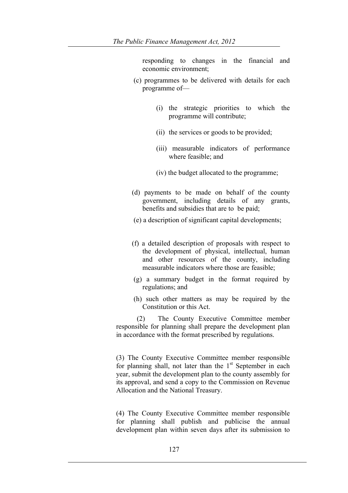responding to changes in the financial and economic environment;

- (c) programmes to be delivered with details for each programme of—
	- (i) the strategic priorities to which the programme will contribute;
	- (ii) the services or goods to be provided;
	- (iii) measurable indicators of performance where feasible; and
	- (iv) the budget allocated to the programme;
- (d) payments to be made on behalf of the county government, including details of any grants, benefits and subsidies that are to be paid;
- (e) a description of significant capital developments;
- (f) a detailed description of proposals with respect to the development of physical, intellectual, human and other resources of the county, including measurable indicators where those are feasible;
- (g) a summary budget in the format required by regulations; and
- (h) such other matters as may be required by the Constitution or this Act.

(2) The County Executive Committee member responsible for planning shall prepare the development plan in accordance with the format prescribed by regulations.

(3) The County Executive Committee member responsible for planning shall, not later than the  $1<sup>st</sup>$  September in each year, submit the development plan to the county assembly for its approval, and send a copy to the Commission on Revenue Allocation and the National Treasury.

(4) The County Executive Committee member responsible for planning shall publish and publicise the annual development plan within seven days after its submission to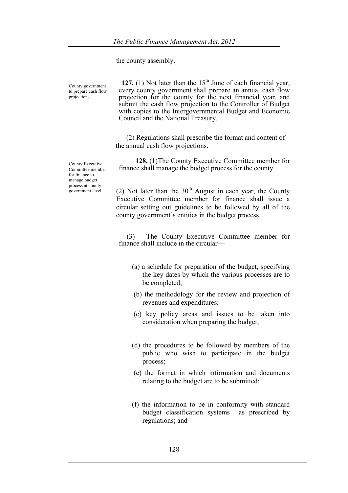the county assembly.

County government to prepare cash flow projections.

**127.** (1) Not later than the  $15<sup>th</sup>$  June of each financial year, every county government shall prepare an annual cash flow projection for the county for the next financial year, and submit the cash flow projection to the Controller of Budget with copies to the Intergovernmental Budget and Economic Council and the National Treasury.

 (2) Regulations shall prescribe the format and content of the annual cash flow projections.

 **128.** (1)The County Executive Committee member for finance shall manage the budget process for the county.

(2) Not later than the  $30<sup>th</sup>$  August in each year, the County Executive Committee member for finance shall issue a circular setting out guidelines to be followed by all of the county government's entities in the budget process.

 (3) The County Executive Committee member for finance shall include in the circular—

- (a) a schedule for preparation of the budget, specifying the key dates by which the various processes are to be completed;
- (b) the methodology for the review and projection of revenues and expenditures;
- (c) key policy areas and issues to be taken into consideration when preparing the budget;
- (d) the procedures to be followed by members of the public who wish to participate in the budget process;
- (e) the format in which information and documents relating to the budget are to be submitted;
- (f) the information to be in conformity with standard budget classification systems as prescribed by regulations; and

County Executive Committee member for finance to manage budget process at county government level.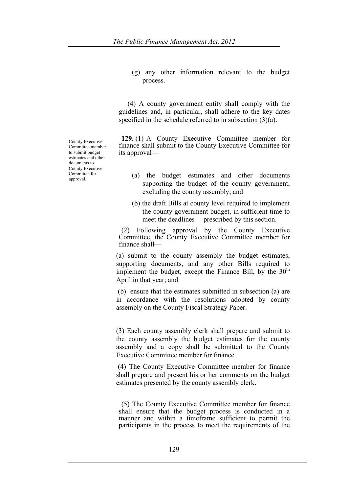(g) any other information relevant to the budget process.

 (4) A county government entity shall comply with the guidelines and, in particular, shall adhere to the key dates specified in the schedule referred to in subsection (3)(a).

**129.** (1) A County Executive Committee member for finance shall submit to the County Executive Committee for its approval—

- (a) the budget estimates and other documents supporting the budget of the county government, excluding the county assembly; and
- (b) the draft Bills at county level required to implement the county government budget, in sufficient time to meet the deadlines prescribed by this section.

(2) Following approval by the County Executive Committee, the County Executive Committee member for finance shall—

(a) submit to the county assembly the budget estimates, supporting documents, and any other Bills required to implement the budget, except the Finance Bill, by the  $30<sup>th</sup>$ April in that year; and

(b) ensure that the estimates submitted in subsection (a) are in accordance with the resolutions adopted by county assembly on the County Fiscal Strategy Paper.

(3) Each county assembly clerk shall prepare and submit to the county assembly the budget estimates for the county assembly and a copy shall be submitted to the County Executive Committee member for finance.

(4) The County Executive Committee member for finance shall prepare and present his or her comments on the budget estimates presented by the county assembly clerk.

(5) The County Executive Committee member for finance shall ensure that the budget process is conducted in a manner and within a timeframe sufficient to permit the participants in the process to meet the requirements of the

County Executive Committee member to submit budget estimates and other documents to County Executive Committee for approval.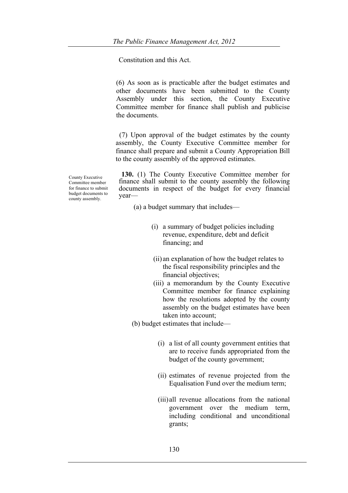Constitution and this Act.

(6) As soon as is practicable after the budget estimates and other documents have been submitted to the County Assembly under this section, the County Executive Committee member for finance shall publish and publicise the documents.

(7) Upon approval of the budget estimates by the county assembly, the County Executive Committee member for finance shall prepare and submit a County Appropriation Bill to the county assembly of the approved estimates.

County Executive Committee member for finance to submit budget documents to county assembly.

**130.** (1) The County Executive Committee member for finance shall submit to the county assembly the following documents in respect of the budget for every financial year—

(a) a budget summary that includes—

- (i) a summary of budget policies including revenue, expenditure, debt and deficit financing; and
- (ii) an explanation of how the budget relates to the fiscal responsibility principles and the financial objectives;
- (iii) a memorandum by the County Executive Committee member for finance explaining how the resolutions adopted by the county assembly on the budget estimates have been taken into account;

(b) budget estimates that include—

- (i) a list of all county government entities that are to receive funds appropriated from the budget of the county government;
- (ii) estimates of revenue projected from the Equalisation Fund over the medium term;
- (iii)all revenue allocations from the national government over the medium term, including conditional and unconditional grants;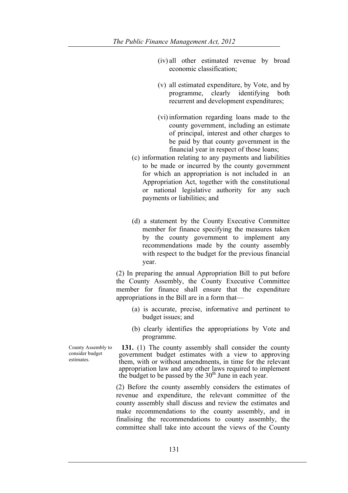- (iv) all other estimated revenue by broad economic classification;
- (v) all estimated expenditure, by Vote, and by programme, clearly identifying both recurrent and development expenditures;
- (vi)information regarding loans made to the county government, including an estimate of principal, interest and other charges to be paid by that county government in the financial year in respect of those loans;
- (c) information relating to any payments and liabilities to be made or incurred by the county government for which an appropriation is not included in an Appropriation Act, together with the constitutional or national legislative authority for any such payments or liabilities; and
- (d) a statement by the County Executive Committee member for finance specifying the measures taken by the county government to implement any recommendations made by the county assembly with respect to the budget for the previous financial year.

(2) In preparing the annual Appropriation Bill to put before the County Assembly, the County Executive Committee member for finance shall ensure that the expenditure appropriations in the Bill are in a form that—

- (a) is accurate, precise, informative and pertinent to budget issues; and
- (b) clearly identifies the appropriations by Vote and programme.

**131.** (1) The county assembly shall consider the county government budget estimates with a view to approving them, with or without amendments, in time for the relevant appropriation law and any other laws required to implement the budget to be passed by the  $30<sup>th</sup>$  June in each year.

(2) Before the county assembly considers the estimates of revenue and expenditure, the relevant committee of the county assembly shall discuss and review the estimates and make recommendations to the county assembly, and in finalising the recommendations to county assembly, the committee shall take into account the views of the County

County Assembly to consider budget estimates.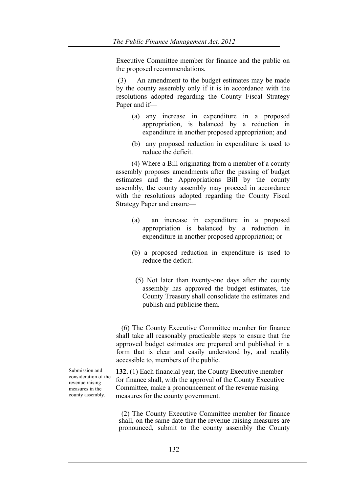Executive Committee member for finance and the public on the proposed recommendations.

(3) An amendment to the budget estimates may be made by the county assembly only if it is in accordance with the resolutions adopted regarding the County Fiscal Strategy Paper and if—

- (a) any increase in expenditure in a proposed appropriation, is balanced by a reduction in expenditure in another proposed appropriation; and
- (b) any proposed reduction in expenditure is used to reduce the deficit.

(4) Where a Bill originating from a member of a county assembly proposes amendments after the passing of budget estimates and the Appropriations Bill by the county assembly, the county assembly may proceed in accordance with the resolutions adopted regarding the County Fiscal Strategy Paper and ensure—

- (a) an increase in expenditure in a proposed appropriation is balanced by a reduction in expenditure in another proposed appropriation; or
- (b) a proposed reduction in expenditure is used to reduce the deficit.
- (5) Not later than twenty-one days after the county assembly has approved the budget estimates, the County Treasury shall consolidate the estimates and publish and publicise them.

 (6) The County Executive Committee member for finance shall take all reasonably practicable steps to ensure that the approved budget estimates are prepared and published in a form that is clear and easily understood by, and readily accessible to, members of the public.

**132.** (1) Each financial year, the County Executive member for finance shall, with the approval of the County Executive Committee, make a pronouncement of the revenue raising measures for the county government.

(2) The County Executive Committee member for finance shall, on the same date that the revenue raising measures are pronounced, submit to the county assembly the County

Submission and consideration of the revenue raising measures in the county assembly.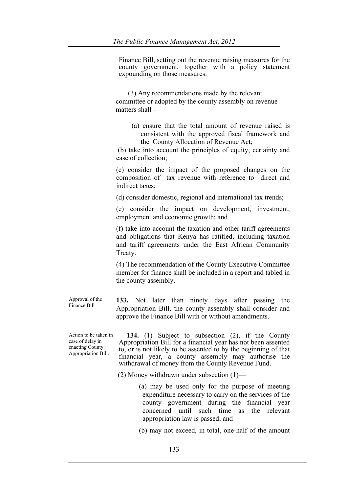Finance Bill, setting out the revenue raising measures for the county government, together with a policy statement expounding on those measures.

 (3) Any recommendations made by the relevant committee or adopted by the county assembly on revenue matters shall –

 (a) ensure that the total amount of revenue raised is consistent with the approved fiscal framework and the County Allocation of Revenue Act;

(b) take into account the principles of equity, certainty and ease of collection;

(c) consider the impact of the proposed changes on the composition of tax revenue with reference to direct and indirect taxes;

(d) consider domestic, regional and international tax trends;

(e) consider the impact on development, investment, employment and economic growth; and

(f) take into account the taxation and other tariff agreements and obligations that Kenya has ratified, including taxation and tariff agreements under the East African Community Treaty.

(4) The recommendation of the County Executive Committee member for finance shall be included in a report and tabled in the county assembly.

Approval of the **133.** Not later than ninety days after passing the Appropriation Bill, the county assembly shall consider and approve the Finance Bill with or without amendments.

Action to be taken in case of delay in enacting County Appropriation Bill.

Finance Bill

 **134.** (1) Subject to subsection (2), if the County Appropriation Bill for a financial year has not been assented to, or is not likely to be assented to by the beginning of that financial year, a county assembly may authorise the withdrawal of money from the County Revenue Fund.

(2) Money withdrawn under subsection (1)—

 (a) may be used only for the purpose of meeting expenditure necessary to carry on the services of the county government during the financial year concerned until such time as the relevant appropriation law is passed; and

(b) may not exceed, in total, one-half of the amount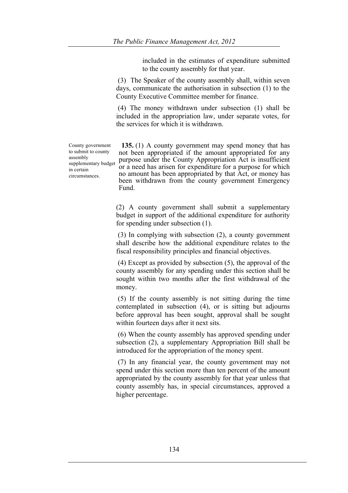included in the estimates of expenditure submitted to the county assembly for that year.

(3) The Speaker of the county assembly shall, within seven days, communicate the authorisation in subsection (1) to the County Executive Committee member for finance.

(4) The money withdrawn under subsection (1) shall be included in the appropriation law, under separate votes, for the services for which it is withdrawn.

County government to submit to county assembly supplementary budget in certain circumstances.

**135.** (1) A county government may spend money that has not been appropriated if the amount appropriated for any purpose under the County Appropriation Act is insufficient or a need has arisen for expenditure for a purpose for which no amount has been appropriated by that Act, or money has been withdrawn from the county government Emergency Fund.

(2) A county government shall submit a supplementary budget in support of the additional expenditure for authority for spending under subsection (1).

(3) In complying with subsection (2), a county government shall describe how the additional expenditure relates to the fiscal responsibility principles and financial objectives.

(4) Except as provided by subsection (5), the approval of the county assembly for any spending under this section shall be sought within two months after the first withdrawal of the money.

(5) If the county assembly is not sitting during the time contemplated in subsection (4), or is sitting but adjourns before approval has been sought, approval shall be sought within fourteen days after it next sits.

(6) When the county assembly has approved spending under subsection (2), a supplementary Appropriation Bill shall be introduced for the appropriation of the money spent.

(7) In any financial year, the county government may not spend under this section more than ten percent of the amount appropriated by the county assembly for that year unless that county assembly has, in special circumstances, approved a higher percentage.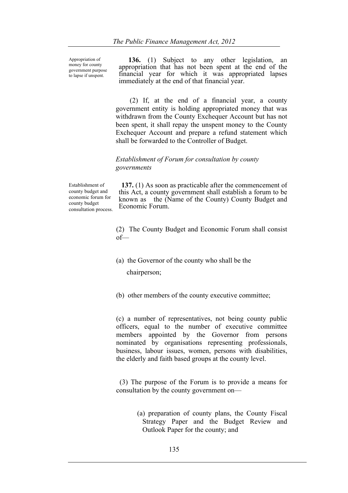Appropriation of money for county government purpose to lapse if unspent.

 **136.** (1) Subject to any other legislation, an appropriation that has not been spent at the end of the financial year for which it was appropriated lapses immediately at the end of that financial year.

 (2) If, at the end of a financial year, a county government entity is holding appropriated money that was withdrawn from the County Exchequer Account but has not been spent, it shall repay the unspent money to the County Exchequer Account and prepare a refund statement which shall be forwarded to the Controller of Budget.

## *Establishment of Forum for consultation by county governments*

Establishment of county budget and economic forum for county budget consultation process.

**137.** (1) As soon as practicable after the commencement of this Act, a county government shall establish a forum to be known as the (Name of the County) County Budget and Economic Forum.

(2) The County Budget and Economic Forum shall consist of—

- (a) the Governor of the county who shall be the chairperson;
- (b) other members of the county executive committee;

(c) a number of representatives, not being county public officers, equal to the number of executive committee members appointed by the Governor from persons nominated by organisations representing professionals, business, labour issues, women, persons with disabilities, the elderly and faith based groups at the county level.

 (3) The purpose of the Forum is to provide a means for consultation by the county government on—

> (a) preparation of county plans, the County Fiscal Strategy Paper and the Budget Review and Outlook Paper for the county; and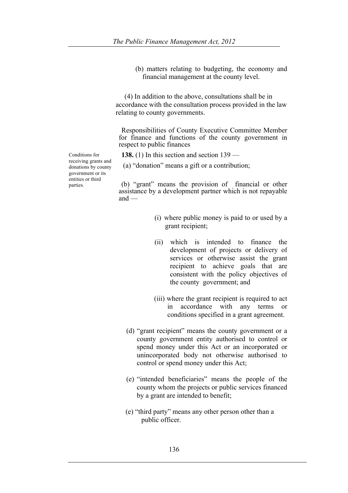(b) matters relating to budgeting, the economy and financial management at the county level.

 (4) In addition to the above, consultations shall be in accordance with the consultation process provided in the law relating to county governments.

Responsibilities of County Executive Committee Member for finance and functions of the county government in respect to public finances

**138.** (1) In this section and section 139 —

(a) "donation" means a gift or a contribution;

(b) "grant" means the provision of financial or other assistance by a development partner which is not repayable  $and$  —

- (i) where public money is paid to or used by a grant recipient;
- (ii) which is intended to finance the development of projects or delivery of services or otherwise assist the grant recipient to achieve goals that are consistent with the policy objectives of the county government; and
- (iii) where the grant recipient is required to act in accordance with any terms or conditions specified in a grant agreement.
- (d) "grant recipient" means the county government or a county government entity authorised to control or spend money under this Act or an incorporated or unincorporated body not otherwise authorised to control or spend money under this Act;
- (e) "intended beneficiaries" means the people of the county whom the projects or public services financed by a grant are intended to benefit;
- (e) "third party" means any other person other than a public officer.

Conditions for receiving grants and donations by county government or its entities or third parties.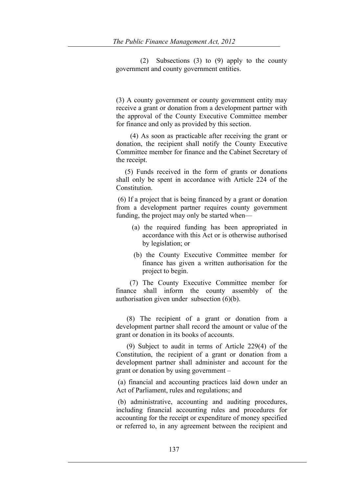(2) Subsections (3) to (9) apply to the county government and county government entities.

(3) A county government or county government entity may receive a grant or donation from a development partner with the approval of the County Executive Committee member for finance and only as provided by this section.

 (4) As soon as practicable after receiving the grant or donation, the recipient shall notify the County Executive Committee member for finance and the Cabinet Secretary of the receipt.

 (5) Funds received in the form of grants or donations shall only be spent in accordance with Article 224 of the **Constitution** 

(6) If a project that is being financed by a grant or donation from a development partner requires county government funding, the project may only be started when—

- (a) the required funding has been appropriated in accordance with this Act or is otherwise authorised by legislation; or
- (b) the County Executive Committee member for finance has given a written authorisation for the project to begin.

 (7) The County Executive Committee member for finance shall inform the county assembly of the authorisation given under subsection (6)(b).

 (8) The recipient of a grant or donation from a development partner shall record the amount or value of the grant or donation in its books of accounts.

 (9) Subject to audit in terms of Article 229(4) of the Constitution, the recipient of a grant or donation from a development partner shall administer and account for the grant or donation by using government –

(a) financial and accounting practices laid down under an Act of Parliament, rules and regulations; and

(b) administrative, accounting and auditing procedures, including financial accounting rules and procedures for accounting for the receipt or expenditure of money specified or referred to, in any agreement between the recipient and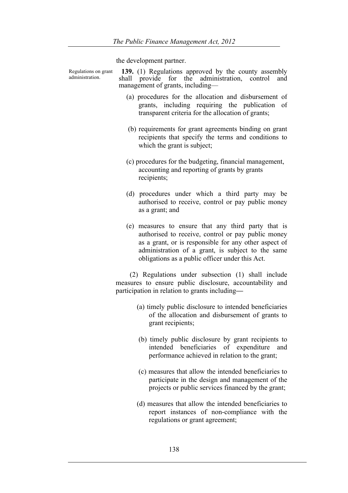the development partner.

Regulations on grant administration. **139.** (1) Regulations approved by the county assembly shall provide for the administration, control and management of grants, including— (a) procedures for the allocation and disbursement of grants, including requiring the publication of transparent criteria for the allocation of grants; (b) requirements for grant agreements binding on grant recipients that specify the terms and conditions to which the grant is subject; (c) procedures for the budgeting, financial management, accounting and reporting of grants by grants recipients; (d) procedures under which a third party may be authorised to receive, control or pay public money as a grant; and (e) measures to ensure that any third party that is authorised to receive, control or pay public money as a grant, or is responsible for any other aspect of administration of a grant, is subject to the same obligations as a public officer under this Act. (2) Regulations under subsection (1) shall include measures to ensure public disclosure, accountability and participation in relation to grants including**—** (a) timely public disclosure to intended beneficiaries of the allocation and disbursement of grants to grant recipients; (b) timely public disclosure by grant recipients to intended beneficiaries of expenditure and performance achieved in relation to the grant; (c) measures that allow the intended beneficiaries to participate in the design and management of the

> (d) measures that allow the intended beneficiaries to report instances of non-compliance with the regulations or grant agreement;

projects or public services financed by the grant;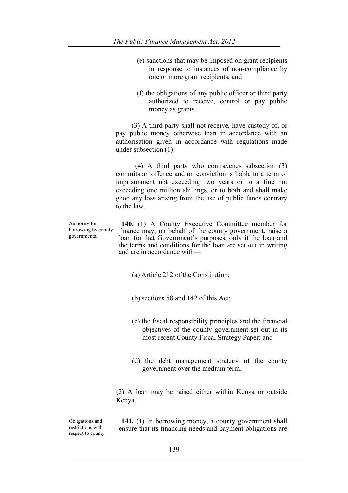- (e) sanctions that may be imposed on grant recipients in response to instances of non-compliance by one or more grant recipients; and
- (f) the obligations of any public officer or third party authorized to receive, control or pay public money as grants.

 (3) A third party shall not receive, have custody of, or pay public money otherwise than in accordance with an authorisation given in accordance with regulations made under subsection (1).

 (4) A third party who contravenes subsection (3) commits an offence and on conviction is liable to a term of imprisonment not exceeding two years or to a fine not exceeding one million shillings, or to both and shall make good any loss arising from the use of public funds contrary to the law.

Authority for borrowing by county governments.

**140.** (1) A County Executive Committee member for finance may, on behalf of the county government, raise a loan for that Government's purposes, only if the loan and the terms and conditions for the loan are set out in writing and are in accordance with—

- (a) Article 212 of the Constitution;
- (b) sections 58 and 142 of this Act;
- (c) the fiscal responsibility principles and the financial objectives of the county government set out in its most recent County Fiscal Strategy Paper; and
- (d) the debt management strategy of the county government over the medium term.

(2) A loan may be raised either within Kenya or outside Kenya.

Obligations and restrictions with respect to county

**141.** (1) In borrowing money, a county government shall ensure that its financing needs and payment obligations are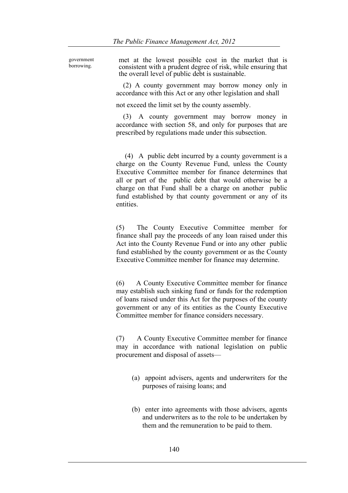government borrowing.

met at the lowest possible cost in the market that is consistent with a prudent degree of risk, while ensuring that the overall level of public debt is sustainable.

 (2) A county government may borrow money only in accordance with this Act or any other legislation and shall

not exceed the limit set by the county assembly.

 (3) A county government may borrow money in accordance with section 58, and only for purposes that are prescribed by regulations made under this subsection.

 (4) A public debt incurred by a county government is a charge on the County Revenue Fund, unless the County Executive Committee member for finance determines that all or part of the public debt that would otherwise be a charge on that Fund shall be a charge on another public fund established by that county government or any of its entities.

(5) The County Executive Committee member for finance shall pay the proceeds of any loan raised under this Act into the County Revenue Fund or into any other public fund established by the county government or as the County Executive Committee member for finance may determine.

(6) A County Executive Committee member for finance may establish such sinking fund or funds for the redemption of loans raised under this Act for the purposes of the county government or any of its entities as the County Executive Committee member for finance considers necessary.

(7) A County Executive Committee member for finance may in accordance with national legislation on public procurement and disposal of assets—

- (a) appoint advisers, agents and underwriters for the purposes of raising loans; and
- (b) enter into agreements with those advisers, agents and underwriters as to the role to be undertaken by them and the remuneration to be paid to them.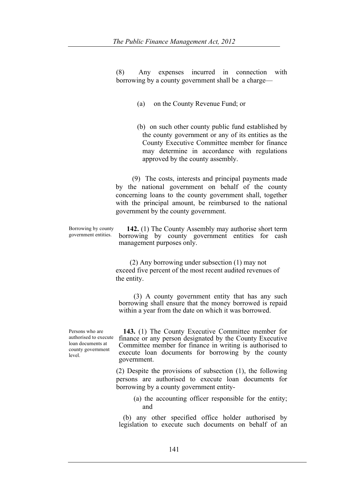(8) Any expenses incurred in connection with borrowing by a county government shall be a charge—

- (a) on the County Revenue Fund; or
- (b) on such other county public fund established by the county government or any of its entities as the County Executive Committee member for finance may determine in accordance with regulations approved by the county assembly.

(9) The costs, interests and principal payments made by the national government on behalf of the county concerning loans to the county government shall, together with the principal amount, be reimbursed to the national government by the county government.

Borrowing by county government entities. **142.** (1) The County Assembly may authorise short term borrowing by county government entities for cash management purposes only.

> (2) Any borrowing under subsection (1) may not exceed five percent of the most recent audited revenues of the entity.

 (3) A county government entity that has any such borrowing shall ensure that the money borrowed is repaid within a year from the date on which it was borrowed.

Persons who are authorised to execute loan documents at county government level.

**143.** (1) The County Executive Committee member for finance or any person designated by the County Executive Committee member for finance in writing is authorised to execute loan documents for borrowing by the county government.

(2) Despite the provisions of subsection (1), the following persons are authorised to execute loan documents for borrowing by a county government entity-

(a) the accounting officer responsible for the entity; and

(b) any other specified office holder authorised by legislation to execute such documents on behalf of an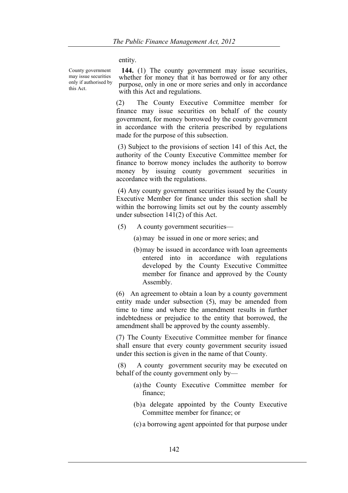entity.

County government may issue securities only if authorised by this Act.

**144.** (1) The county government may issue securities, whether for money that it has borrowed or for any other purpose, only in one or more series and only in accordance with this Act and regulations.

(2) The County Executive Committee member for finance may issue securities on behalf of the county government, for money borrowed by the county government in accordance with the criteria prescribed by regulations made for the purpose of this subsection.

(3) Subject to the provisions of section 141 of this Act, the authority of the County Executive Committee member for finance to borrow money includes the authority to borrow money by issuing county government securities in accordance with the regulations.

(4) Any county government securities issued by the County Executive Member for finance under this section shall be within the borrowing limits set out by the county assembly under subsection 141(2) of this Act.

(5) A county government securities—

(a)may be issued in one or more series; and

(b)may be issued in accordance with loan agreements entered into in accordance with regulations developed by the County Executive Committee member for finance and approved by the County Assembly.

(6) An agreement to obtain a loan by a county government entity made under subsection (5), may be amended from time to time and where the amendment results in further indebtedness or prejudice to the entity that borrowed, the amendment shall be approved by the county assembly.

(7) The County Executive Committee member for finance shall ensure that every county government security issued under this section is given in the name of that County.

(8) A county government security may be executed on behalf of the county government only by—

- (a)the County Executive Committee member for finance;
- (b)a delegate appointed by the County Executive Committee member for finance; or
- (c) a borrowing agent appointed for that purpose under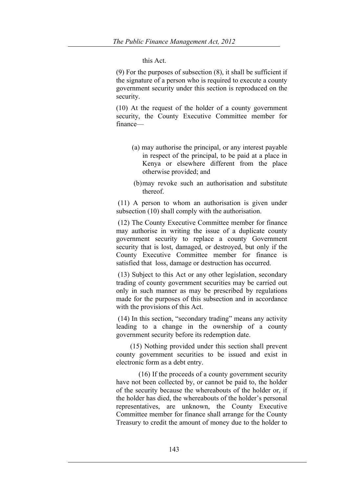## this Act.

(9) For the purposes of subsection (8), it shall be sufficient if the signature of a person who is required to execute a county government security under this section is reproduced on the security.

(10) At the request of the holder of a county government security, the County Executive Committee member for finance—

- (a) may authorise the principal, or any interest payable in respect of the principal, to be paid at a place in Kenya or elsewhere different from the place otherwise provided; and
- (b)may revoke such an authorisation and substitute thereof.

(11) A person to whom an authorisation is given under subsection (10) shall comply with the authorisation.

(12) The County Executive Committee member for finance may authorise in writing the issue of a duplicate county government security to replace a county Government security that is lost, damaged, or destroyed, but only if the County Executive Committee member for finance is satisfied that loss, damage or destruction has occurred.

(13) Subject to this Act or any other legislation, secondary trading of county government securities may be carried out only in such manner as may be prescribed by regulations made for the purposes of this subsection and in accordance with the provisions of this Act.

(14) In this section, "secondary trading" means any activity leading to a change in the ownership of a county government security before its redemption date.

 (15) Nothing provided under this section shall prevent county government securities to be issued and exist in electronic form as a debt entry.

(16) If the proceeds of a county government security have not been collected by, or cannot be paid to, the holder of the security because the whereabouts of the holder or, if the holder has died, the whereabouts of the holder's personal representatives, are unknown, the County Executive Committee member for finance shall arrange for the County Treasury to credit the amount of money due to the holder to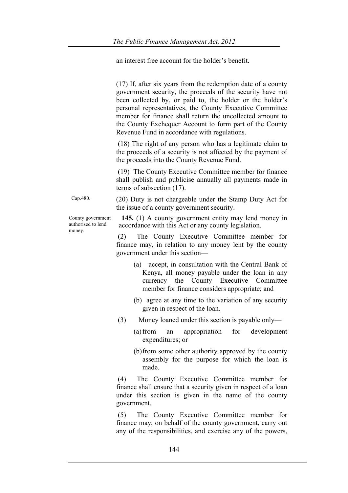an interest free account for the holder's benefit.

|                                                   | (17) If, after six years from the redemption date of a county<br>government security, the proceeds of the security have not<br>been collected by, or paid to, the holder or the holder's<br>personal representatives, the County Executive Committee<br>member for finance shall return the uncollected amount to<br>the County Exchequer Account to form part of the County<br>Revenue Fund in accordance with regulations. |
|---------------------------------------------------|------------------------------------------------------------------------------------------------------------------------------------------------------------------------------------------------------------------------------------------------------------------------------------------------------------------------------------------------------------------------------------------------------------------------------|
|                                                   | (18) The right of any person who has a legitimate claim to<br>the proceeds of a security is not affected by the payment of<br>the proceeds into the County Revenue Fund.                                                                                                                                                                                                                                                     |
|                                                   | (19) The County Executive Committee member for finance<br>shall publish and publicise annually all payments made in<br>terms of subsection $(17)$ .                                                                                                                                                                                                                                                                          |
| Cap.480.                                          | (20) Duty is not chargeable under the Stamp Duty Act for<br>the issue of a county government security.                                                                                                                                                                                                                                                                                                                       |
| County government<br>authorised to lend<br>money. | 145. (1) A county government entity may lend money in<br>accordance with this Act or any county legislation.                                                                                                                                                                                                                                                                                                                 |
|                                                   | The County Executive Committee member for<br>(2)<br>finance may, in relation to any money lent by the county<br>government under this section—                                                                                                                                                                                                                                                                               |
|                                                   | (a) accept, in consultation with the Central Bank of<br>Kenya, all money payable under the loan in any<br>currency the County Executive Committee<br>member for finance considers appropriate; and                                                                                                                                                                                                                           |
|                                                   | (b) agree at any time to the variation of any security<br>given in respect of the loan.                                                                                                                                                                                                                                                                                                                                      |
|                                                   | (3)<br>Money loaned under this section is payable only—                                                                                                                                                                                                                                                                                                                                                                      |
|                                                   | $(a)$ from<br>appropriation<br>for<br>development<br>an<br>expenditures; or                                                                                                                                                                                                                                                                                                                                                  |
|                                                   | (b) from some other authority approved by the county<br>assembly for the purpose for which the loan is                                                                                                                                                                                                                                                                                                                       |

(4) The County Executive Committee member for finance shall ensure that a security given in respect of a loan under this section is given in the name of the county government.

(5) The County Executive Committee member for finance may, on behalf of the county government, carry out any of the responsibilities, and exercise any of the powers,

made.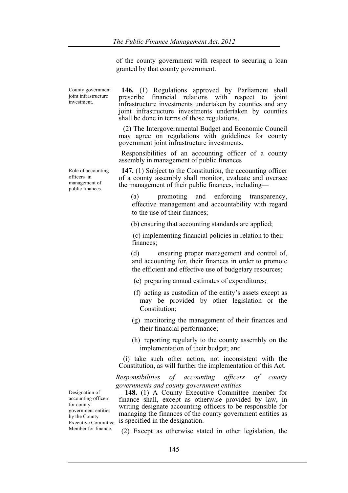of the county government with respect to securing a loan granted by that county government.

County government joint infrastructure investment.

Role of accounting officers in management of public finances.

**146.** (1) Regulations approved by Parliament shall prescribe financial relations with respect to joint infrastructure investments undertaken by counties and any joint infrastructure investments undertaken by counties shall be done in terms of those regulations.

(2) The Intergovernmental Budget and Economic Council may agree on regulations with guidelines for county government joint infrastructure investments.

Responsibilities of an accounting officer of a county assembly in management of public finances

**147.** (1) Subject to the Constitution, the accounting officer of a county assembly shall monitor, evaluate and oversee the management of their public finances, including—

 (a) promoting and enforcing transparency, effective management and accountability with regard to the use of their finances;

(b) ensuring that accounting standards are applied;

 (c) implementing financial policies in relation to their finances;

 (d) ensuring proper management and control of, and accounting for, their finances in order to promote the efficient and effective use of budgetary resources;

- (e) preparing annual estimates of expenditures;
- (f) acting as custodian of the entity's assets except as may be provided by other legislation or the Constitution;
- (g) monitoring the management of their finances and their financial performance;
- (h) reporting regularly to the county assembly on the implementation of their budget; and

(i) take such other action, not inconsistent with the Constitution, as will further the implementation of this Act.

*Responsibilities of accounting officers of county governments and county government entities*

 **148.** (1) A County Executive Committee member for finance shall, except as otherwise provided by law, in writing designate accounting officers to be responsible for managing the finances of the county government entities as is specified in the designation.

(2) Except as otherwise stated in other legislation, the

Designation of accounting officers for county government entities by the County Executive Committee Member for finance.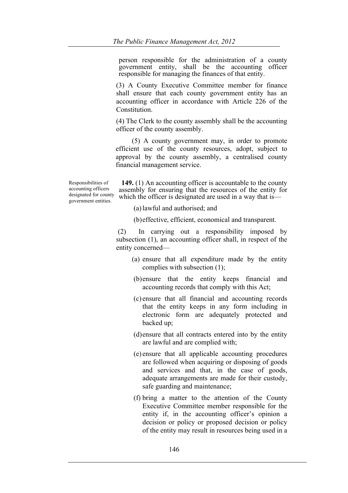person responsible for the administration of a county government entity, shall be the accounting officer responsible for managing the finances of that entity.

(3) A County Executive Committee member for finance shall ensure that each county government entity has an accounting officer in accordance with Article 226 of the Constitution.

(4) The Clerk to the county assembly shall be the accounting officer of the county assembly.

(5) A county government may, in order to promote efficient use of the county resources, adopt, subject to approval by the county assembly, a centralised county financial management service.

Responsibilities of accounting officers designated for county government entities.

**149.** (1) An accounting officer is accountable to the county assembly for ensuring that the resources of the entity for which the officer is designated are used in a way that is—

(a)lawful and authorised; and

(b)effective, efficient, economical and transparent.

(2) In carrying out a responsibility imposed by subsection (1), an accounting officer shall, in respect of the entity concerned—

- (a) ensure that all expenditure made by the entity complies with subsection (1);
- (b)ensure that the entity keeps financial and accounting records that comply with this Act;
- (c) ensure that all financial and accounting records that the entity keeps in any form including in electronic form are adequately protected and backed up;
- (d)ensure that all contracts entered into by the entity are lawful and are complied with;
- (e) ensure that all applicable accounting procedures are followed when acquiring or disposing of goods and services and that, in the case of goods, adequate arrangements are made for their custody, safe guarding and maintenance;
- (f) bring a matter to the attention of the County Executive Committee member responsible for the entity if, in the accounting officer's opinion a decision or policy or proposed decision or policy of the entity may result in resources being used in a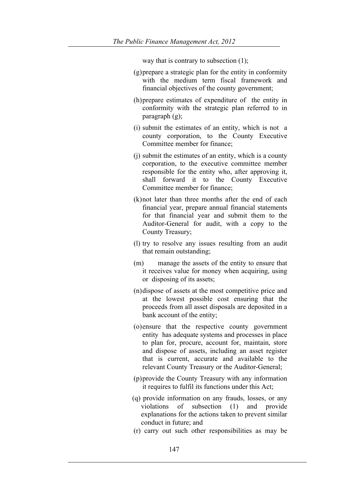way that is contrary to subsection (1);

- (g)prepare a strategic plan for the entity in conformity with the medium term fiscal framework and financial objectives of the county government;
- (h)prepare estimates of expenditure of the entity in conformity with the strategic plan referred to in paragraph (g);
- (i) submit the estimates of an entity, which is not a county corporation, to the County Executive Committee member for finance;
- (j) submit the estimates of an entity, which is a county corporation, to the executive committee member responsible for the entity who, after approving it, shall forward it to the County Executive Committee member for finance;
- (k)not later than three months after the end of each financial year, prepare annual financial statements for that financial year and submit them to the Auditor-General for audit, with a copy to the County Treasury;
- (l) try to resolve any issues resulting from an audit that remain outstanding;
- (m) manage the assets of the entity to ensure that it receives value for money when acquiring, using or disposing of its assets;
- (n)dispose of assets at the most competitive price and at the lowest possible cost ensuring that the proceeds from all asset disposals are deposited in a bank account of the entity;
- (o)ensure that the respective county government entity has adequate systems and processes in place to plan for, procure, account for, maintain, store and dispose of assets, including an asset register that is current, accurate and available to the relevant County Treasury or the Auditor-General;
- (p)provide the County Treasury with any information it requires to fulfil its functions under this Act;
- (q) provide information on any frauds, losses, or any violations of subsection (1) and provide explanations for the actions taken to prevent similar conduct in future; and
- (r) carry out such other responsibilities as may be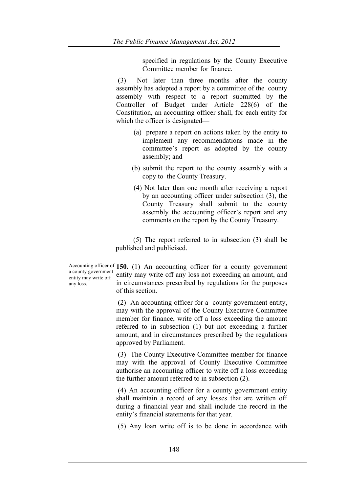specified in regulations by the County Executive Committee member for finance.

(3) Not later than three months after the county assembly has adopted a report by a committee of the county assembly with respect to a report submitted by the Controller of Budget under Article 228(6) of the Constitution, an accounting officer shall, for each entity for which the officer is designated—

- (a) prepare a report on actions taken by the entity to implement any recommendations made in the committee's report as adopted by the county assembly; and
- (b) submit the report to the county assembly with a copy to the County Treasury.
- (4) Not later than one month after receiving a report by an accounting officer under subsection (3), the County Treasury shall submit to the county assembly the accounting officer's report and any comments on the report by the County Treasury.

 (5) The report referred to in subsection (3) shall be published and publicised.

a county government entity may write off any loss.

Accounting officer of **150.** (1) An accounting officer for a county government entity may write off any loss not exceeding an amount, and in circumstances prescribed by regulations for the purposes of this section.

> (2) An accounting officer for a county government entity, may with the approval of the County Executive Committee member for finance, write off a loss exceeding the amount referred to in subsection (1) but not exceeding a further amount, and in circumstances prescribed by the regulations approved by Parliament.

> (3) The County Executive Committee member for finance may with the approval of County Executive Committee authorise an accounting officer to write off a loss exceeding the further amount referred to in subsection (2).

> (4) An accounting officer for a county government entity shall maintain a record of any losses that are written off during a financial year and shall include the record in the entity's financial statements for that year.

> (5) Any loan write off is to be done in accordance with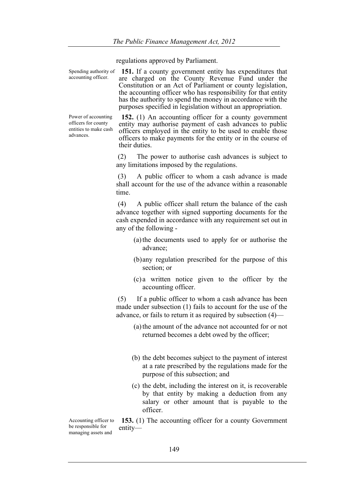regulations approved by Parliament.

Spending authority of accounting officer. **151.** If a county government entity has expenditures that are charged on the County Revenue Fund under the Constitution or an Act of Parliament or county legislation, the accounting officer who has responsibility for that entity has the authority to spend the money in accordance with the purposes specified in legislation without an appropriation.

Power of accounting officers for county entities to make cash advances.

**152.** (1) An accounting officer for a county government entity may authorise payment of cash advances to public officers employed in the entity to be used to enable those officers to make payments for the entity or in the course of their duties.

(2) The power to authorise cash advances is subject to any limitations imposed by the regulations.

(3) A public officer to whom a cash advance is made shall account for the use of the advance within a reasonable time.

(4) A public officer shall return the balance of the cash advance together with signed supporting documents for the cash expended in accordance with any requirement set out in any of the following -

- (a)the documents used to apply for or authorise the advance;
- (b)any regulation prescribed for the purpose of this section; or
- (c) a written notice given to the officer by the accounting officer.

(5) If a public officer to whom a cash advance has been made under subsection (1) fails to account for the use of the advance, or fails to return it as required by subsection (4)—

- (a)the amount of the advance not accounted for or not returned becomes a debt owed by the officer;
- (b) the debt becomes subject to the payment of interest at a rate prescribed by the regulations made for the purpose of this subsection; and
- (c) the debt, including the interest on it, is recoverable by that entity by making a deduction from any salary or other amount that is payable to the officer.

Accounting officer to be responsible for managing assets and

**153.** (1) The accounting officer for a county Government entity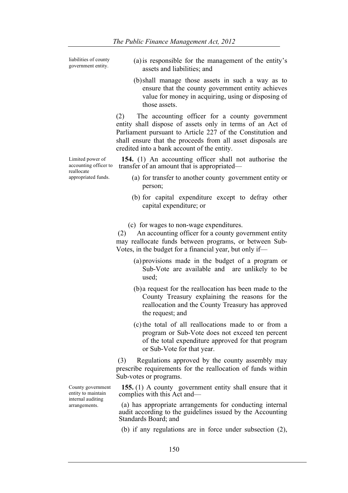liabilities of county

- liabilities of county (a) is responsible for the management of the entity's government entity. assets and liabilities; and
	- (b)shall manage those assets in such a way as to ensure that the county government entity achieves value for money in acquiring, using or disposing of those assets.

(2) The accounting officer for a county government entity shall dispose of assets only in terms of an Act of Parliament pursuant to Article 227 of the Constitution and shall ensure that the proceeds from all asset disposals are credited into a bank account of the entity.

Limited power of accounting officer to **154.** (1) An accounting officer shall not authorise the transfer of an amount that is appropriated—

reallocate appropriated funds.

- (a) for transfer to another county government entity or person;
- (b) for capital expenditure except to defray other capital expenditure; or
- (c) for wages to non-wage expenditures.

(2) An accounting officer for a county government entity may reallocate funds between programs, or between Sub-Votes, in the budget for a financial year, but only if—

- (a) provisions made in the budget of a program or Sub-Vote are available and are unlikely to be used;
- (b)a request for the reallocation has been made to the County Treasury explaining the reasons for the reallocation and the County Treasury has approved the request; and
- (c)the total of all reallocations made to or from a program or Sub-Vote does not exceed ten percent of the total expenditure approved for that program or Sub-Vote for that year.

(3) Regulations approved by the county assembly may prescribe requirements for the reallocation of funds within Sub-votes or programs.

**155.** (1) A county government entity shall ensure that it complies with this Act and—

(a) has appropriate arrangements for conducting internal audit according to the guidelines issued by the Accounting Standards Board; and

(b) if any regulations are in force under subsection (2),

County government entity to maintain internal auditing arrangements.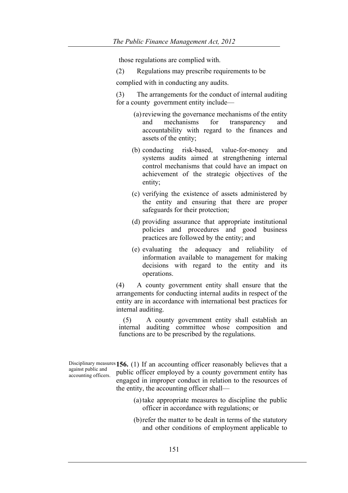those regulations are complied with.

(2) Regulations may prescribe requirements to be

complied with in conducting any audits.

(3) The arrangements for the conduct of internal auditing for a county government entity include—

- (a)reviewing the governance mechanisms of the entity and mechanisms for transparency and accountability with regard to the finances and assets of the entity;
- (b) conducting risk-based, value-for-money and systems audits aimed at strengthening internal control mechanisms that could have an impact on achievement of the strategic objectives of the entity;
- (c) verifying the existence of assets administered by the entity and ensuring that there are proper safeguards for their protection;
- (d) providing assurance that appropriate institutional policies and procedures and good business practices are followed by the entity; and
- (e) evaluating the adequacy and reliability of information available to management for making decisions with regard to the entity and its operations.

(4) A county government entity shall ensure that the arrangements for conducting internal audits in respect of the entity are in accordance with international best practices for internal auditing.

(5) A county government entity shall establish an internal auditing committee whose composition and functions are to be prescribed by the regulations.

against public and accounting officers.

Disciplinary measures **156.** (1) If an accounting officer reasonably believes that a public officer employed by a county government entity has engaged in improper conduct in relation to the resources of the entity, the accounting officer shall—

- (a)take appropriate measures to discipline the public officer in accordance with regulations; or
- (b)refer the matter to be dealt in terms of the statutory and other conditions of employment applicable to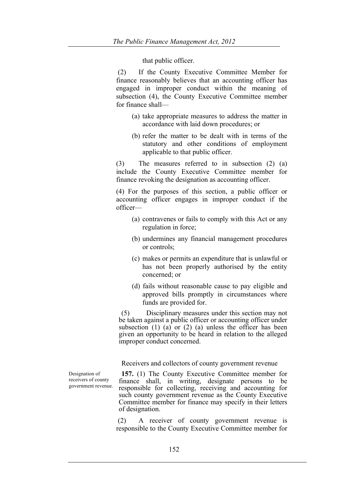that public officer.

(2) If the County Executive Committee Member for finance reasonably believes that an accounting officer has engaged in improper conduct within the meaning of subsection (4), the County Executive Committee member for finance shall—

- (a) take appropriate measures to address the matter in accordance with laid down procedures; or
- (b) refer the matter to be dealt with in terms of the statutory and other conditions of employment applicable to that public officer.

(3) The measures referred to in subsection (2) (a) include the County Executive Committee member for finance revoking the designation as accounting officer.

(4) For the purposes of this section, a public officer or accounting officer engages in improper conduct if the officer—

- (a) contravenes or fails to comply with this Act or any regulation in force;
- (b) undermines any financial management procedures or controls;
- (c) makes or permits an expenditure that is unlawful or has not been properly authorised by the entity concerned; or
- (d) fails without reasonable cause to pay eligible and approved bills promptly in circumstances where funds are provided for.

(5) Disciplinary measures under this section may not be taken against a public officer or accounting officer under subsection  $(1)$   $(a)$  or  $(2)$   $(a)$  unless the officer has been given an opportunity to be heard in relation to the alleged improper conduct concerned.

Receivers and collectors of county government revenue

**157.** (1) The County Executive Committee member for finance shall, in writing, designate persons to be responsible for collecting, receiving and accounting for such county government revenue as the County Executive Committee member for finance may specify in their letters of designation.

(2) A receiver of county government revenue is responsible to the County Executive Committee member for

Designation of receivers of county government revenue.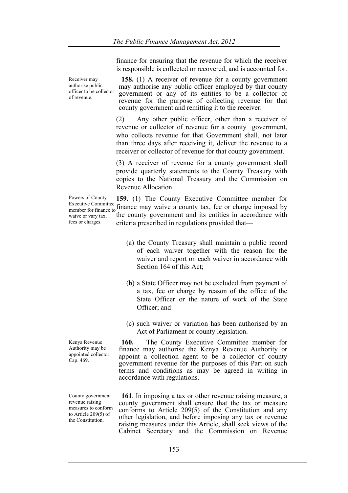finance for ensuring that the revenue for which the receiver is responsible is collected or recovered, and is accounted for.

Receiver may authorise public officer to be collector of revenue.

**158.** (1) A receiver of revenue for a county government may authorise any public officer employed by that county government or any of its entities to be a collector of revenue for the purpose of collecting revenue for that county government and remitting it to the receiver.

(2) Any other public officer, other than a receiver of revenue or collector of revenue for a county government, who collects revenue for that Government shall, not later than three days after receiving it, deliver the revenue to a receiver or collector of revenue for that county government.

(3) A receiver of revenue for a county government shall provide quarterly statements to the County Treasury with copies to the National Treasury and the Commission on Revenue Allocation.

Powers of County Executive Committee Executive Committee finance may waive a county tax, fee or charge imposed by member for finance to finance may waive a county tax, fee or charge imposed by waive or vary tax. fees or charges. **159.** (1) The County Executive Committee member for the county government and its entities in accordance with criteria prescribed in regulations provided that—

- (a) the County Treasury shall maintain a public record of each waiver together with the reason for the waiver and report on each waiver in accordance with Section 164 of this Act;
- (b) a State Officer may not be excluded from payment of a tax, fee or charge by reason of the office of the State Officer or the nature of work of the State Officer; and
- (c) such waiver or variation has been authorised by an Act of Parliament or county legislation.

**160.** The County Executive Committee member for finance may authorise the Kenya Revenue Authority or appoint a collection agent to be a collector of county government revenue for the purposes of this Part on such terms and conditions as may be agreed in writing in accordance with regulations.

**161**. In imposing a tax or other revenue raising measure, a county government shall ensure that the tax or measure conforms to Article 209(5) of the Constitution and any other legislation, and before imposing any tax or revenue raising measures under this Article, shall seek views of the Cabinet Secretary and the Commission on Revenue

Kenya Revenue Authority may be appointed collector. Cap. 469.

County government revenue raising measures to conform to Article 209(5) of the Constitution.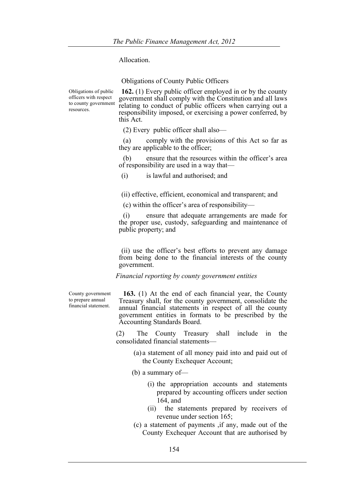Allocation.

Obligations of County Public Officers

Obligations of public officers with respect to county government resources. **162.** (1) Every public officer employed in or by the county government shall comply with the Constitution and all laws relating to conduct of public officers when carrying out a responsibility imposed, or exercising a power conferred, by this Act.

(2) Every public officer shall also—

(a) comply with the provisions of this Act so far as they are applicable to the officer;

(b) ensure that the resources within the officer's area of responsibility are used in a way that—

(i) is lawful and authorised; and

(ii) effective, efficient, economical and transparent; and

(c) within the officer's area of responsibility—

(i) ensure that adequate arrangements are made for the proper use, custody, safeguarding and maintenance of public property; and

(ii) use the officer's best efforts to prevent any damage from being done to the financial interests of the county government.

*Financial reporting by county government entities*

County government to prepare annual financial statement.

**163.** (1) At the end of each financial year, the County Treasury shall, for the county government, consolidate the annual financial statements in respect of all the county government entities in formats to be prescribed by the Accounting Standards Board.

(2) The County Treasury shall include in the consolidated financial statements—

- (a) a statement of all money paid into and paid out of the County Exchequer Account;
- (b) a summary of—
	- (i) the appropriation accounts and statements prepared by accounting officers under section 164, and
	- (ii) the statements prepared by receivers of revenue under section 165;
- (c) a statement of payments ,if any, made out of the County Exchequer Account that are authorised by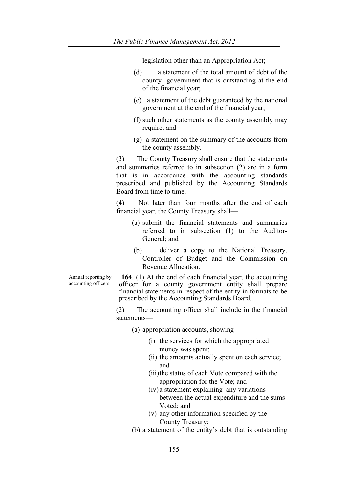legislation other than an Appropriation Act;

- (d) a statement of the total amount of debt of the county government that is outstanding at the end of the financial year;
- (e) a statement of the debt guaranteed by the national government at the end of the financial year;
- (f) such other statements as the county assembly may require; and
- (g) a statement on the summary of the accounts from the county assembly.

(3) The County Treasury shall ensure that the statements and summaries referred to in subsection (2) are in a form that is in accordance with the accounting standards prescribed and published by the Accounting Standards Board from time to time.

(4) Not later than four months after the end of each financial year, the County Treasury shall—

- (a) submit the financial statements and summaries referred to in subsection (1) to the Auditor-General; and
- (b) deliver a copy to the National Treasury, Controller of Budget and the Commission on Revenue Allocation.

**164**. (1) At the end of each financial year, the accounting officer for a county government entity shall prepare financial statements in respect of the entity in formats to be prescribed by the Accounting Standards Board.

(2) The accounting officer shall include in the financial statements—

(a) appropriation accounts, showing—

- (i) the services for which the appropriated money was spent;
- (ii) the amounts actually spent on each service; and
- (iii)the status of each Vote compared with the appropriation for the Vote; and
- (iv) a statement explaining any variations between the actual expenditure and the sums Voted; and
- (v) any other information specified by the County Treasury;
- (b) a statement of the entity's debt that is outstanding

Annual reporting by accounting officers.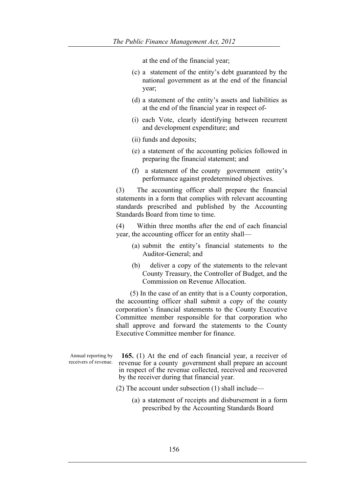at the end of the financial year;

- (c) a statement of the entity's debt guaranteed by the national government as at the end of the financial year;
- (d) a statement of the entity's assets and liabilities as at the end of the financial year in respect of-
- (i) each Vote, clearly identifying between recurrent and development expenditure; and
- (ii) funds and deposits;
- (e) a statement of the accounting policies followed in preparing the financial statement; and
- (f) a statement of the county government entity's performance against predetermined objectives.

(3) The accounting officer shall prepare the financial statements in a form that complies with relevant accounting standards prescribed and published by the Accounting Standards Board from time to time.

(4) Within three months after the end of each financial year, the accounting officer for an entity shall—

- (a) submit the entity's financial statements to the Auditor-General; and
- (b) deliver a copy of the statements to the relevant County Treasury, the Controller of Budget, and the Commission on Revenue Allocation.

(5) In the case of an entity that is a County corporation, the accounting officer shall submit a copy of the county corporation's financial statements to the County Executive Committee member responsible for that corporation who shall approve and forward the statements to the County Executive Committee member for finance.

Annual reporting by receivers of revenue.

**165.** (1) At the end of each financial year, a receiver of revenue for a county government shall prepare an account in respect of the revenue collected, received and recovered by the receiver during that financial year.

- (2) The account under subsection (1) shall include—
	- (a) a statement of receipts and disbursement in a form prescribed by the Accounting Standards Board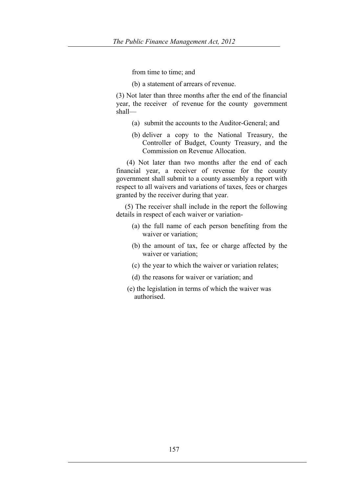from time to time; and

(b) a statement of arrears of revenue.

(3) Not later than three months after the end of the financial year, the receiver of revenue for the county government shall—

- (a) submit the accounts to the Auditor-General; and
- (b) deliver a copy to the National Treasury, the Controller of Budget, County Treasury, and the Commission on Revenue Allocation.

 (4) Not later than two months after the end of each financial year, a receiver of revenue for the county government shall submit to a county assembly a report with respect to all waivers and variations of taxes, fees or charges granted by the receiver during that year.

 (5) The receiver shall include in the report the following details in respect of each waiver or variation-

- (a) the full name of each person benefiting from the waiver or variation;
- (b) the amount of tax, fee or charge affected by the waiver or variation;
- (c) the year to which the waiver or variation relates;
- (d) the reasons for waiver or variation; and
- (e) the legislation in terms of which the waiver was authorised.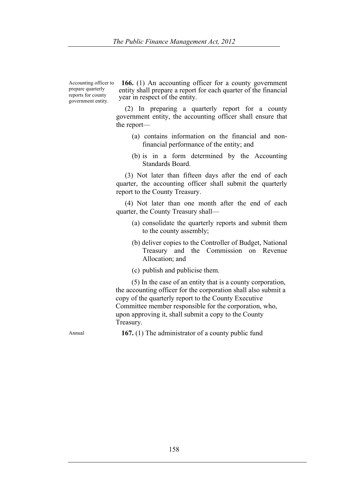Accounting officer to prepare quarterly reports for county government entity.

**166.** (1) An accounting officer for a county government entity shall prepare a report for each quarter of the financial year in respect of the entity.

 (2) In preparing a quarterly report for a county government entity, the accounting officer shall ensure that the report—

- (a) contains information on the financial and nonfinancial performance of the entity; and
- (b) is in a form determined by the Accounting Standards Board.

 (3) Not later than fifteen days after the end of each quarter, the accounting officer shall submit the quarterly report to the County Treasury.

 (4) Not later than one month after the end of each quarter, the County Treasury shall—

- (a) consolidate the quarterly reports and submit them to the county assembly;
- (b) deliver copies to the Controller of Budget, National Treasury and the Commission on Revenue Allocation; and
- (c) publish and publicise them.

 (5) In the case of an entity that is a county corporation, the accounting officer for the corporation shall also submit a copy of the quarterly report to the County Executive Committee member responsible for the corporation, who, upon approving it, shall submit a copy to the County Treasury.

Annual **167.** (1) The administrator of a county public fund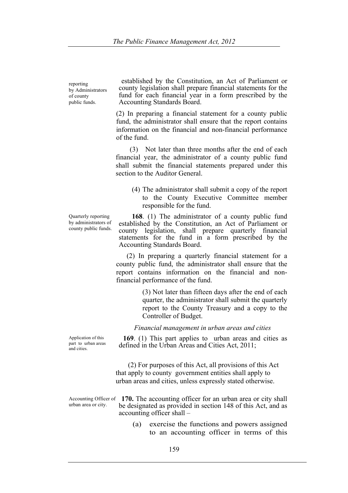reporting by Administrators of county public funds.

established by the Constitution, an Act of Parliament or county legislation shall prepare financial statements for the fund for each financial year in a form prescribed by the Accounting Standards Board.

(2) In preparing a financial statement for a county public fund, the administrator shall ensure that the report contains information on the financial and non-financial performance of the fund.

 (3) Not later than three months after the end of each financial year, the administrator of a county public fund shall submit the financial statements prepared under this section to the Auditor General.

(4) The administrator shall submit a copy of the report to the County Executive Committee member responsible for the fund.

 **168**. (1) The administrator of a county public fund established by the Constitution, an Act of Parliament or county legislation, shall prepare quarterly financial statements for the fund in a form prescribed by the Accounting Standards Board.

 (2) In preparing a quarterly financial statement for a county public fund, the administrator shall ensure that the report contains information on the financial and nonfinancial performance of the fund.

> (3) Not later than fifteen days after the end of each quarter, the administrator shall submit the quarterly report to the County Treasury and a copy to the Controller of Budget.

*Financial management in urban areas and cities*

**169**. (1) This part applies to urban areas and cities as defined in the Urban Areas and Cities Act, 2011;

 (2) For purposes of this Act, all provisions of this Act that apply to county government entities shall apply to urban areas and cities, unless expressly stated otherwise.

- Accounting Officer of **170.** The accounting officer for an urban area or city shall urban area or city. be designated as provided in section 148 of this Act, and as accounting officer shall –
	- (a) exercise the functions and powers assigned to an accounting officer in terms of this

county public funds.

Quarterly reporting by administrators of

Application of this part to urban areas and cities.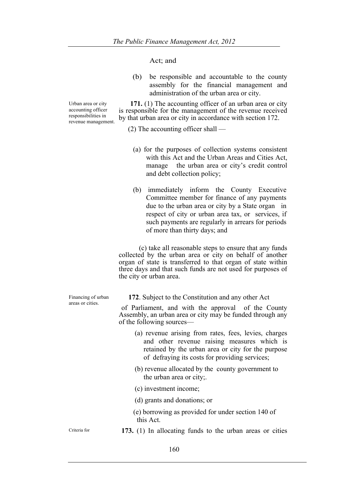Act; and

(b) be responsible and accountable to the county assembly for the financial management and administration of the urban area or city.

 **171.** (1) The accounting officer of an urban area or city is responsible for the management of the revenue received by that urban area or city in accordance with section 172.

(2) The accounting officer shall —

- (a) for the purposes of collection systems consistent with this Act and the Urban Areas and Cities Act. manage the urban area or city's credit control and debt collection policy;
- (b) immediately inform the County Executive Committee member for finance of any payments due to the urban area or city by a State organ in respect of city or urban area tax, or services, if such payments are regularly in arrears for periods of more than thirty days; and

 (c) take all reasonable steps to ensure that any funds collected by the urban area or city on behalf of another organ of state is transferred to that organ of state within three days and that such funds are not used for purposes of the city or urban area.

**172**. Subject to the Constitution and any other Act

of Parliament, and with the approval of the County Assembly, an urban area or city may be funded through any of the following sources—

- (a) revenue arising from rates, fees, levies, charges and other revenue raising measures which is retained by the urban area or city for the purpose of defraying its costs for providing services;
- (b) revenue allocated by the county government to the urban area or city;.
- (c) investment income;
- (d) grants and donations; or
- (e) borrowing as provided for under section 140 of this Act.
- Criteria for **173.** (1) In allocating funds to the urban areas or cities

Urban area or city accounting officer responsibilities in revenue management.

Financing of urban areas or cities.

160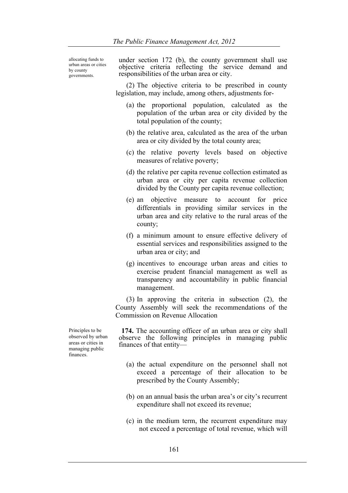allocating funds to urban areas or cities by county governments.

under section 172 (b), the county government shall use objective criteria reflecting the service demand and responsibilities of the urban area or city.

(2) The objective criteria to be prescribed in county legislation, may include, among others, adjustments for-

- (a) the proportional population, calculated as the population of the urban area or city divided by the total population of the county;
- (b) the relative area, calculated as the area of the urban area or city divided by the total county area;
- (c) the relative poverty levels based on objective measures of relative poverty;
- (d) the relative per capita revenue collection estimated as urban area or city per capita revenue collection divided by the County per capita revenue collection;
- (e) an objective measure to account for price differentials in providing similar services in the urban area and city relative to the rural areas of the county;
- (f) a minimum amount to ensure effective delivery of essential services and responsibilities assigned to the urban area or city; and
- (g) incentives to encourage urban areas and cities to exercise prudent financial management as well as transparency and accountability in public financial management.

(3) In approving the criteria in subsection (2), the County Assembly will seek the recommendations of the Commission on Revenue Allocation

**174.** The accounting officer of an urban area or city shall observe the following principles in managing public finances of that entity—

- (a) the actual expenditure on the personnel shall not exceed a percentage of their allocation to be prescribed by the County Assembly;
- (b) on an annual basis the urban area's or city's recurrent expenditure shall not exceed its revenue;
- (c) in the medium term, the recurrent expenditure may not exceed a percentage of total revenue, which will

Principles to be observed by urban areas or cities in managing public finances.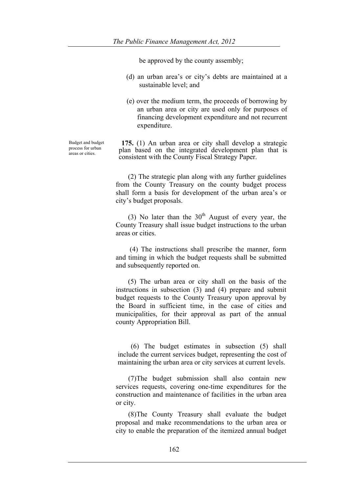be approved by the county assembly;

- (d) an urban area's or city's debts are maintained at a sustainable level; and
- (e) over the medium term, the proceeds of borrowing by an urban area or city are used only for purposes of financing development expenditure and not recurrent expenditure.

Budget and budget process for urban areas or cities.

**175.** (1) An urban area or city shall develop a strategic plan based on the integrated development plan that is consistent with the County Fiscal Strategy Paper.

 (2) The strategic plan along with any further guidelines from the County Treasury on the county budget process shall form a basis for development of the urban area's or city's budget proposals.

(3) No later than the  $30<sup>th</sup>$  August of every year, the County Treasury shall issue budget instructions to the urban areas or cities.

 (4) The instructions shall prescribe the manner, form and timing in which the budget requests shall be submitted and subsequently reported on.

 (5) The urban area or city shall on the basis of the instructions in subsection (3) and (4) prepare and submit budget requests to the County Treasury upon approval by the Board in sufficient time, in the case of cities and municipalities, for their approval as part of the annual county Appropriation Bill.

(6) The budget estimates in subsection (5) shall include the current services budget, representing the cost of maintaining the urban area or city services at current levels.

(7)The budget submission shall also contain new services requests, covering one-time expenditures for the construction and maintenance of facilities in the urban area or city.

(8)The County Treasury shall evaluate the budget proposal and make recommendations to the urban area or city to enable the preparation of the itemized annual budget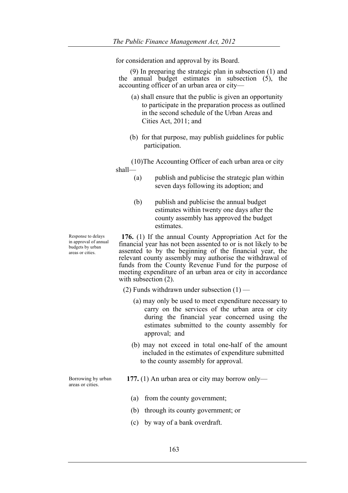for consideration and approval by its Board.

 (9) In preparing the strategic plan in subsection (1) and the annual budget estimates in subsection (5), the accounting officer of an urban area or city—

- (a) shall ensure that the public is given an opportunity to participate in the preparation process as outlined in the second schedule of the Urban Areas and Cities Act, 2011; and
- (b) for that purpose, may publish guidelines for public participation.

(10)The Accounting Officer of each urban area or city shall—

- (a) publish and publicise the strategic plan within seven days following its adoption; and
- (b) publish and publicise the annual budget estimates within twenty one days after the county assembly has approved the budget estimates.

**176.** (1) If the annual County Appropriation Act for the financial year has not been assented to or is not likely to be assented to by the beginning of the financial year, the relevant county assembly may authorise the withdrawal of funds from the County Revenue Fund for the purpose of meeting expenditure of an urban area or city in accordance with subsection (2).

- (2) Funds withdrawn under subsection  $(1)$ 
	- (a) may only be used to meet expenditure necessary to carry on the services of the urban area or city during the financial year concerned using the estimates submitted to the county assembly for approval; and
	- (b) may not exceed in total one-half of the amount included in the estimates of expenditure submitted to the county assembly for approval.
- **177.** (1) An urban area or city may borrow only—
	- (a) from the county government;
	- (b) through its county government; or
	- (c) by way of a bank overdraft.

Response to delays in approval of annual budgets by urban areas or cities.

Borrowing by urban areas or cities.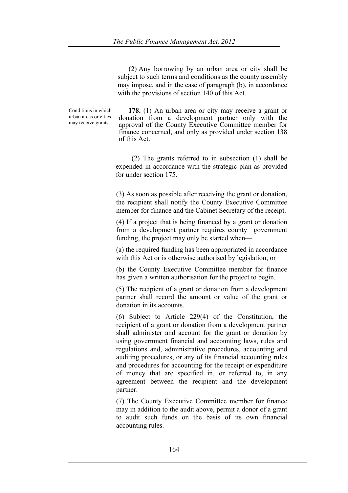(2) Any borrowing by an urban area or city shall be subject to such terms and conditions as the county assembly may impose, and in the case of paragraph (b), in accordance with the provisions of section 140 of this Act.

Conditions in which urban areas or cities may receive grants.

 **178.** (1) An urban area or city may receive a grant or donation from a development partner only with the approval of the County Executive Committee member for finance concerned, and only as provided under section 138 of this Act.

 (2) The grants referred to in subsection (1) shall be expended in accordance with the strategic plan as provided for under section 175.

(3) As soon as possible after receiving the grant or donation, the recipient shall notify the County Executive Committee member for finance and the Cabinet Secretary of the receipt.

(4) If a project that is being financed by a grant or donation from a development partner requires county government funding, the project may only be started when—

(a) the required funding has been appropriated in accordance with this Act or is otherwise authorised by legislation; or

(b) the County Executive Committee member for finance has given a written authorisation for the project to begin.

(5) The recipient of a grant or donation from a development partner shall record the amount or value of the grant or donation in its accounts.

(6) Subject to Article 229(4) of the Constitution, the recipient of a grant or donation from a development partner shall administer and account for the grant or donation by using government financial and accounting laws, rules and regulations and, administrative procedures, accounting and auditing procedures, or any of its financial accounting rules and procedures for accounting for the receipt or expenditure of money that are specified in, or referred to, in any agreement between the recipient and the development partner.

(7) The County Executive Committee member for finance may in addition to the audit above, permit a donor of a grant to audit such funds on the basis of its own financial accounting rules.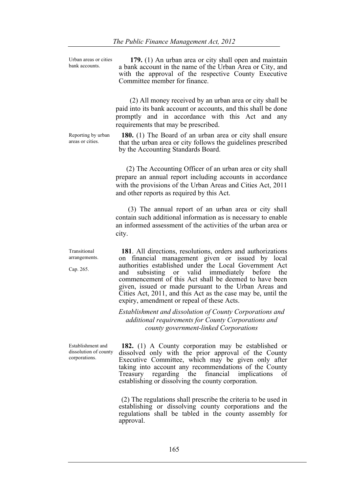Urban areas or cities bank accounts.

 **179.** (1) An urban area or city shall open and maintain a bank account in the name of the Urban Area or City, and with the approval of the respective County Executive Committee member for finance.

 (2) All money received by an urban area or city shall be paid into its bank account or accounts, and this shall be done promptly and in accordance with this Act and any requirements that may be prescribed.

**180.** (1) The Board of an urban area or city shall ensure that the urban area or city follows the guidelines prescribed by the Accounting Standards Board.

 (2) The Accounting Officer of an urban area or city shall prepare an annual report including accounts in accordance with the provisions of the Urban Areas and Cities Act, 2011 and other reports as required by this Act.

 (3) The annual report of an urban area or city shall contain such additional information as is necessary to enable an informed assessment of the activities of the urban area or city.

**181**. All directions, resolutions, orders and authorizations on financial management given or issued by local authorities established under the Local Government Act and subsisting or valid immediately before the commencement of this Act shall be deemed to have been given, issued or made pursuant to the Urban Areas and Cities Act, 2011, and this Act as the case may be, until the expiry, amendment or repeal of these Acts.

*Establishment and dissolution of County Corporations and additional requirements for County Corporations and county government-linked Corporations*

**182.** (1) A County corporation may be established or dissolved only with the prior approval of the County Executive Committee, which may be given only after taking into account any recommendations of the County Treasury regarding the financial implications of establishing or dissolving the county corporation.

(2) The regulations shall prescribe the criteria to be used in establishing or dissolving county corporations and the regulations shall be tabled in the county assembly for approval.

Reporting by urban areas or cities.

Transitional arrangements.

Establishment and dissolution of county corporations.

Cap. 265.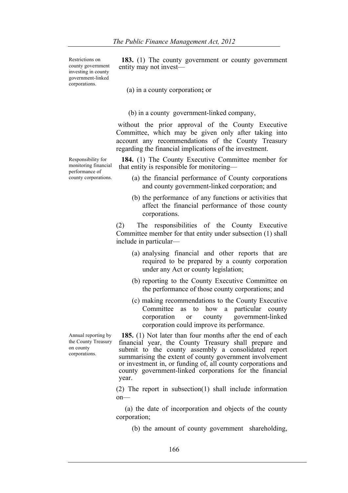Restrictions on county government investing in county government-linked corporations.

**183.** (1) The county government or county government entity may not invest—

(a) in a county corporation**;** or

(b) in a county government-linked company,

without the prior approval of the County Executive Committee, which may be given only after taking into account any recommendations of the County Treasury regarding the financial implications of the investment.

**184.** (1) The County Executive Committee member for that entity is responsible for monitoring—

- (a) the financial performance of County corporations and county government-linked corporation; and
- (b) the performance of any functions or activities that affect the financial performance of those county corporations.

(2) The responsibilities of the County Executive Committee member for that entity under subsection (1) shall include in particular—

- (a) analysing financial and other reports that are required to be prepared by a county corporation under any Act or county legislation;
- (b) reporting to the County Executive Committee on the performance of those county corporations; and
- (c) making recommendations to the County Executive Committee as to how a particular county corporation or county government-linked corporation could improve its performance.

**185.** (1) Not later than four months after the end of each financial year, the County Treasury shall prepare and submit to the county assembly a consolidated report summarising the extent of county government involvement or investment in, or funding of, all county corporations and county government-linked corporations for the financial year.

(2) The report in subsection(1) shall include information on—

 (a) the date of incorporation and objects of the county corporation;

(b) the amount of county government shareholding,

Responsibility for monitoring financial performance of county corporations.

Annual reporting by the County Treasury on county corporations.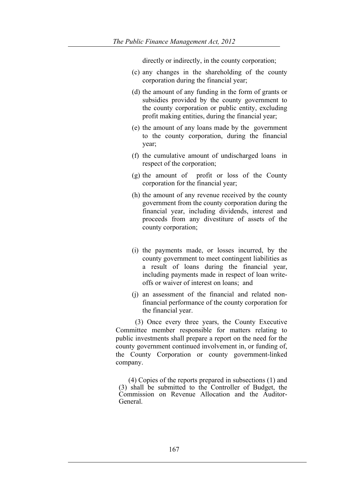directly or indirectly, in the county corporation;

- (c) any changes in the shareholding of the county corporation during the financial year;
- (d) the amount of any funding in the form of grants or subsidies provided by the county government to the county corporation or public entity, excluding profit making entities, during the financial year;
- (e) the amount of any loans made by the government to the county corporation, during the financial year;
- (f) the cumulative amount of undischarged loans in respect of the corporation;
- (g) the amount of profit or loss of the County corporation for the financial year;
- (h) the amount of any revenue received by the county government from the county corporation during the financial year, including dividends, interest and proceeds from any divestiture of assets of the county corporation;
- (i) the payments made, or losses incurred, by the county government to meet contingent liabilities as a result of loans during the financial year, including payments made in respect of loan writeoffs or waiver of interest on loans; and
- (j) an assessment of the financial and related nonfinancial performance of the county corporation for the financial year.

 (3) Once every three years, the County Executive Committee member responsible for matters relating to public investments shall prepare a report on the need for the county government continued involvement in, or funding of, the County Corporation or county government-linked company.

 (4) Copies of the reports prepared in subsections (1) and (3) shall be submitted to the Controller of Budget, the Commission on Revenue Allocation and the Auditor-<br>General.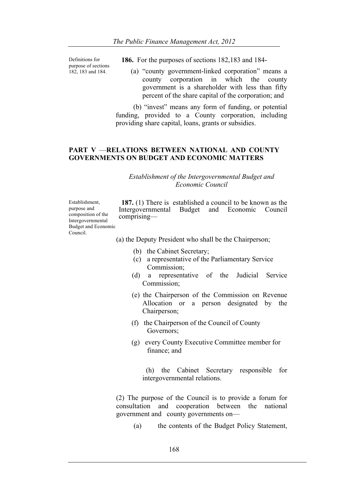Definitions for purpose of sections 182, 183 and 184.

- **186.** For the purposes of sections 182,183 and 184-
	- (a) "county government-linked corporation" means a county corporation in which the county government is a shareholder with less than fifty percent of the share capital of the corporation; and

 (b) "invest" means any form of funding, or potential funding, provided to a County corporation, including providing share capital, loans, grants or subsidies.

### **PART V** —**RELATIONS BETWEEN NATIONAL AND COUNTY GOVERNMENTS ON BUDGET AND ECONOMIC MATTERS**

#### *Establishment of the Intergovernmental Budget and Economic Council*

Establishment, purpose and composition of the Intergovernmental Budget and Economic Council.

**187.** (1) There is established a council to be known as the Intergovernmental Budget and Economic Council comprising—

(a) the Deputy President who shall be the Chairperson;

- (b) the Cabinet Secretary;
- (c) a representative of the Parliamentary Service Commission;
- (d) a representative of the Judicial Service Commission;
- (e) the Chairperson of the Commission on Revenue Allocation or a person designated by the Chairperson;
- (f) the Chairperson of the Council of County Governors;
- (g) every County Executive Committee member for finance; and

 (h) the Cabinet Secretary responsible for intergovernmental relations.

(2) The purpose of the Council is to provide a forum for consultation and cooperation between the national government and county governments on—

(a) the contents of the Budget Policy Statement,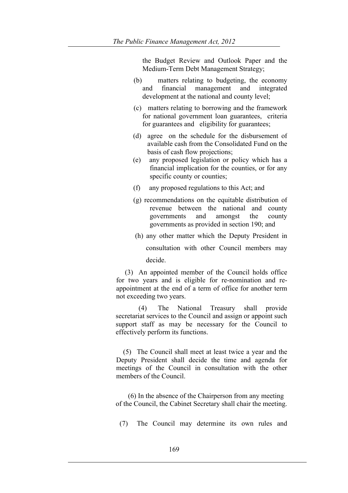the Budget Review and Outlook Paper and the Medium-Term Debt Management Strategy;

- (b) matters relating to budgeting, the economy and financial management and integrated development at the national and county level;
- (c) matters relating to borrowing and the framework for national government loan guarantees, criteria for guarantees and eligibility for guarantees;
- (d) agree on the schedule for the disbursement of available cash from the Consolidated Fund on the basis of cash flow projections;
- (e) any proposed legislation or policy which has a financial implication for the counties, or for any specific county or counties;
- (f) any proposed regulations to this Act; and
- (g) recommendations on the equitable distribution of revenue between the national and county governments and amongst the county governments as provided in section 190; and
- (h) any other matter which the Deputy President in

consultation with other Council members may decide.

 (3) An appointed member of the Council holds office for two years and is eligible for re-nomination and reappointment at the end of a term of office for another term not exceeding two years.

 (4) The National Treasury shall provide secretariat services to the Council and assign or appoint such support staff as may be necessary for the Council to effectively perform its functions.

 (5) The Council shall meet at least twice a year and the Deputy President shall decide the time and agenda for meetings of the Council in consultation with the other members of the Council.

 (6) In the absence of the Chairperson from any meeting of the Council, the Cabinet Secretary shall chair the meeting.

(7) The Council may determine its own rules and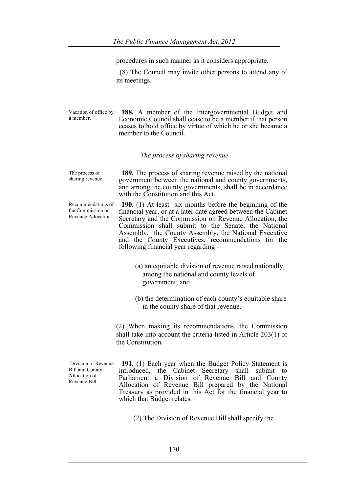| The Public Finance Management Act, 2012<br>procedures in such manner as it considers appropriate.<br>(8) The Council may invite other persons to attend any of<br>its meetings. |                                                                                                                                                                                                                                                                                                                                                                                                     |
|---------------------------------------------------------------------------------------------------------------------------------------------------------------------------------|-----------------------------------------------------------------------------------------------------------------------------------------------------------------------------------------------------------------------------------------------------------------------------------------------------------------------------------------------------------------------------------------------------|
|                                                                                                                                                                                 |                                                                                                                                                                                                                                                                                                                                                                                                     |
|                                                                                                                                                                                 | The process of sharing revenue                                                                                                                                                                                                                                                                                                                                                                      |
| The process of<br>sharing revenue.                                                                                                                                              | <b>189.</b> The process of sharing revenue raised by the national<br>government between the national and county governments,<br>and among the county governments, shall be in accordance<br>with the Constitution and this Act.                                                                                                                                                                     |
| Recommendations of<br>the Commission on<br>Revenue Allocation.                                                                                                                  | 190. $(1)$ At least six months before the beginning of the<br>financial year, or at a later date agreed between the Cabinet<br>Secretary and the Commission on Revenue Allocation, the<br>Commission shall submit to the Senate, the National<br>Assembly, the County Assembly, the National Executive<br>and the County Executives, recommendations for the<br>following financial year regarding— |
|                                                                                                                                                                                 | (a) an equitable division of revenue raised nationally,<br>among the national and county levels of<br>government; and                                                                                                                                                                                                                                                                               |
|                                                                                                                                                                                 | (b) the determination of each county's equitable share<br>in the county share of that revenue.                                                                                                                                                                                                                                                                                                      |
|                                                                                                                                                                                 | (2) When making its recommendations, the Commission<br>shall take into account the criteria listed in Article $203(1)$ of<br>the Constitution.                                                                                                                                                                                                                                                      |
| Division of Revenue<br><b>Bill and County</b><br>Allocation of<br>Revenue Bill.                                                                                                 | 191. (1) Each year when the Budget Policy Statement is<br>introduced, the Cabinet Secretary shall submit to<br>Parliament a Division of Revenue Bill and County<br>Allocation of Revenue Bill prepared by the National<br>Treasury as provided in this Act for the financial year to<br>which that Budget relates.                                                                                  |
|                                                                                                                                                                                 |                                                                                                                                                                                                                                                                                                                                                                                                     |

(2) The Division of Revenue Bill shall specify the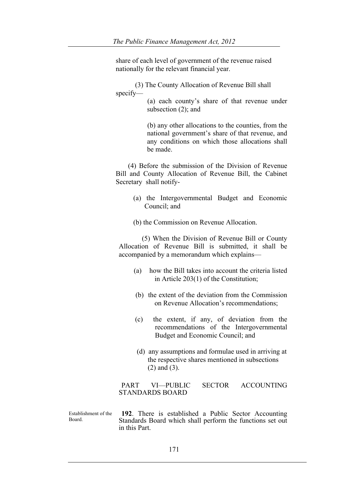share of each level of government of the revenue raised nationally for the relevant financial year.

 (3) The County Allocation of Revenue Bill shall specify—

 (a) each county's share of that revenue under subsection (2); and

 (b) any other allocations to the counties, from the national government's share of that revenue, and any conditions on which those allocations shall be made.

 (4) Before the submission of the Division of Revenue Bill and County Allocation of Revenue Bill, the Cabinet Secretary shall notify-

- (a) the Intergovernmental Budget and Economic Council; and
- (b) the Commission on Revenue Allocation.

 (5) When the Division of Revenue Bill or County Allocation of Revenue Bill is submitted, it shall be accompanied by a memorandum which explains—

- (a) how the Bill takes into account the criteria listed in Article 203(1) of the Constitution;
- (b) the extent of the deviation from the Commission on Revenue Allocation's recommendations;
- (c) the extent, if any, of deviation from the recommendations of the Intergovernmental Budget and Economic Council; and
- (d) any assumptions and formulae used in arriving at the respective shares mentioned in subsections (2) and (3).

PART VI—PUBLIC SECTOR ACCOUNTING STANDARDS BOARD

Establishment of the Board. **192**. There is established a Public Sector Accounting Standards Board which shall perform the functions set out in this Part.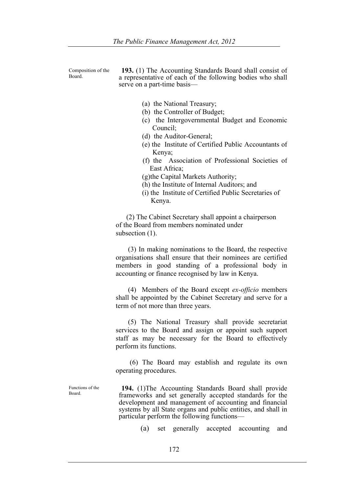Composition of the Board.

**193.** (1) The Accounting Standards Board shall consist of a representative of each of the following bodies who shall serve on a part-time basis—

- (a) the National Treasury;
- (b) the Controller of Budget;
- (c) the Intergovernmental Budget and Economic Council;
- (d) the Auditor-General;
- (e) the Institute of Certified Public Accountants of Kenya;
- (f) the Association of Professional Societies of East Africa;
- (g)the Capital Markets Authority;
- (h) the Institute of Internal Auditors; and
- (i) the Institute of Certified Public Secretaries of Kenya.

 (2) The Cabinet Secretary shall appoint a chairperson of the Board from members nominated under subsection  $(1)$ .

 (3) In making nominations to the Board, the respective organisations shall ensure that their nominees are certified members in good standing of a professional body in accounting or finance recognised by law in Kenya.

 (4) Members of the Board except *ex-officio* members shall be appointed by the Cabinet Secretary and serve for a term of not more than three years.

 (5) The National Treasury shall provide secretariat services to the Board and assign or appoint such support staff as may be necessary for the Board to effectively perform its functions.

 (6) The Board may establish and regulate its own operating procedures.

Functions of the Board.

**194.** (1)The Accounting Standards Board shall provide frameworks and set generally accepted standards for the development and management of accounting and financial systems by all State organs and public entities, and shall in particular perform the following functions—

(a) set generally accepted accounting and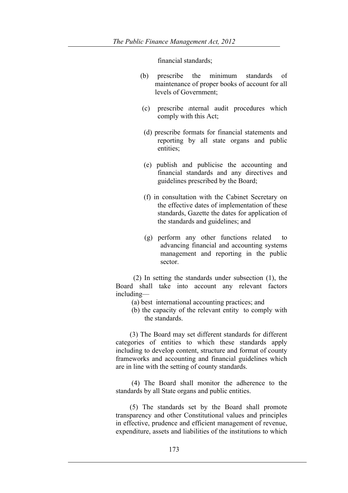financial standards;

- (b) prescribe the minimum standards of maintenance of proper books of account for all levels of Government;
- (c) prescribe internal audit procedures which comply with this Act;
- (d) prescribe formats for financial statements and reporting by all state organs and public entities;
- (e) publish and publicise the accounting and financial standards and any directives and guidelines prescribed by the Board;
- (f) in consultation with the Cabinet Secretary on the effective dates of implementation of these standards, Gazette the dates for application of the standards and guidelines; and
- (g) perform any other functions related to advancing financial and accounting systems management and reporting in the public sector.

 (2) In setting the standards under subsection (1), the Board shall take into account any relevant factors including—

- (a) best international accounting practices; and
- (b) the capacity of the relevant entity to comply with the standards.

 (3) The Board may set different standards for different categories of entities to which these standards apply including to develop content, structure and format of county frameworks and accounting and financial guidelines which are in line with the setting of county standards.

 (4) The Board shall monitor the adherence to the standards by all State organs and public entities.

 (5) The standards set by the Board shall promote transparency and other Constitutional values and principles in effective, prudence and efficient management of revenue, expenditure, assets and liabilities of the institutions to which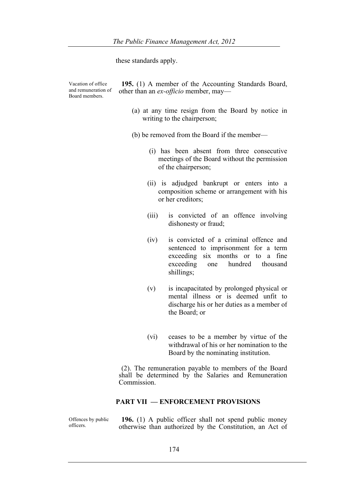these standards apply.

Vacation of office and remuneration of Board members.

officers.

**195.** (1) A member of the Accounting Standards Board, other than an *ex-officio* member, may—

> (a) at any time resign from the Board by notice in writing to the chairperson;

(b) be removed from the Board if the member—

- (i) has been absent from three consecutive meetings of the Board without the permission of the chairperson;
- (ii) is adjudged bankrupt or enters into a composition scheme or arrangement with his or her creditors;
- (iii) is convicted of an offence involving dishonesty or fraud;
- (iv) is convicted of a criminal offence and sentenced to imprisonment for a term exceeding six months or to a fine exceeding one hundred thousand shillings;
- (v) is incapacitated by prolonged physical or mental illness or is deemed unfit to discharge his or her duties as a member of the Board; or
- (vi) ceases to be a member by virtue of the withdrawal of his or her nomination to the Board by the nominating institution.

(2). The remuneration payable to members of the Board shall be determined by the Salaries and Remuneration Commission.

## **PART VII — ENFORCEMENT PROVISIONS**

Offences by public **196.** (1) A public officer shall not spend public money otherwise than authorized by the Constitution, an Act of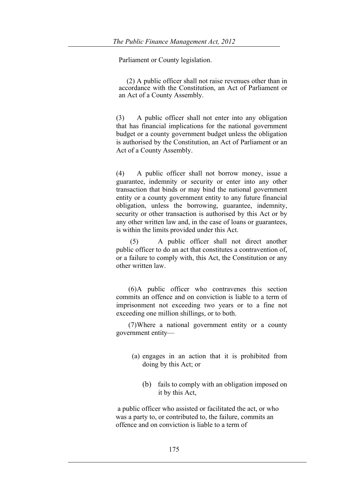Parliament or County legislation.

 (2) A public officer shall not raise revenues other than in accordance with the Constitution, an Act of Parliament or an Act of a County Assembly.

(3) A public officer shall not enter into any obligation that has financial implications for the national government budget or a county government budget unless the obligation is authorised by the Constitution, an Act of Parliament or an Act of a County Assembly.

(4) A public officer shall not borrow money, issue a guarantee, indemnity or security or enter into any other transaction that binds or may bind the national government entity or a county government entity to any future financial obligation, unless the borrowing, guarantee, indemnity, security or other transaction is authorised by this Act or by any other written law and, in the case of loans or guarantees, is within the limits provided under this Act.

 (5) A public officer shall not direct another public officer to do an act that constitutes a contravention of, or a failure to comply with, this Act, the Constitution or any other written law.

 (6)A public officer who contravenes this section commits an offence and on conviction is liable to a term of imprisonment not exceeding two years or to a fine not exceeding one million shillings, or to both.

 (7)Where a national government entity or a county government entity—

- (a) engages in an action that it is prohibited from doing by this Act; or
	- (b) fails to comply with an obligation imposed on it by this Act,

a public officer who assisted or facilitated the act, or who was a party to, or contributed to, the failure, commits an offence and on conviction is liable to a term of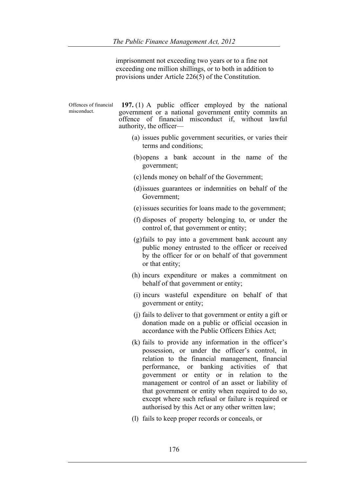imprisonment not exceeding two years or to a fine not exceeding one million shillings, or to both in addition to provisions under Article 226(5) of the Constitution.

Offences of financial misconduct. **197.** (1) A public officer employed by the national government or a national government entity commits an offence of financial misconduct if, without lawful authority, the officer— (a) issues public government securities, or varies their terms and conditions; (b)opens a bank account in the name of the government; (c)lends money on behalf of the Government; (d)issues guarantees or indemnities on behalf of the Government; (e)issues securities for loans made to the government; (f) disposes of property belonging to, or under the control of, that government or entity; (g)fails to pay into a government bank account any public money entrusted to the officer or received by the officer for or on behalf of that government or that entity; (h) incurs expenditure or makes a commitment on behalf of that government or entity; (i) incurs wasteful expenditure on behalf of that government or entity; (j) fails to deliver to that government or entity a gift or donation made on a public or official occasion in accordance with the Public Officers Ethics Act; (k) fails to provide any information in the officer's possession, or under the officer's control, in relation to the financial management, financial performance, or banking activities of that government or entity or in relation to the management or control of an asset or liability of that government or entity when required to do so, except where such refusal or failure is required or authorised by this Act or any other written law;

(l) fails to keep proper records or conceals, or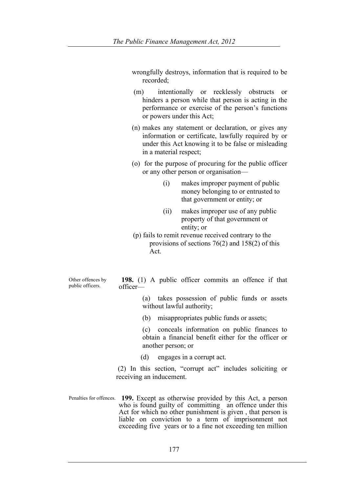wrongfully destroys, information that is required to be recorded;

- (m) intentionally or recklessly obstructs or hinders a person while that person is acting in the performance or exercise of the person's functions or powers under this Act;
- (n) makes any statement or declaration, or gives any information or certificate, lawfully required by or under this Act knowing it to be false or misleading in a material respect;
- (o) for the purpose of procuring for the public officer or any other person or organisation—
	- (i) makes improper payment of public money belonging to or entrusted to that government or entity; or
	- (ii) makes improper use of any public property of that government or entity; or
- (p) fails to remit revenue received contrary to the provisions of sections 76(2) and 158(2) of this Act.

Other offences by public officers.

**198.** (1) A public officer commits an offence if that officer—

> (a) takes possession of public funds or assets without lawful authority;

(b) misappropriates public funds or assets;

 (c) conceals information on public finances to obtain a financial benefit either for the officer or another person; or

(d) engages in a corrupt act.

(2) In this section, "corrupt act" includes soliciting or receiving an inducement.

Penalties for offences. **199.** Except as otherwise provided by this Act, a person who is found guilty of committing an offence under this Act for which no other punishment is given , that person is liable on conviction to a term of imprisonment not exceeding five years or to a fine not exceeding ten million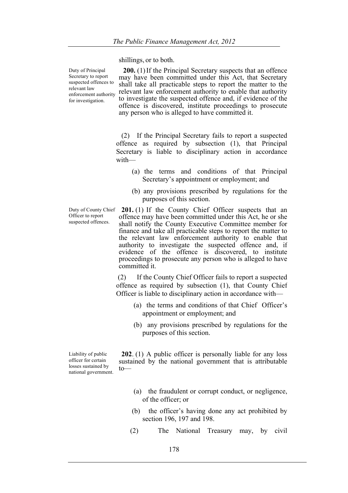shillings, or to both.

Duty of Principal Secretary to report suspected offences to relevant law enforcement authority for investigation.

**200.** (1)If the Principal Secretary suspects that an offence may have been committed under this Act, that Secretary shall take all practicable steps to report the matter to the relevant law enforcement authority to enable that authority to investigate the suspected offence and, if evidence of the offence is discovered, institute proceedings to prosecute any person who is alleged to have committed it.

 (2) If the Principal Secretary fails to report a suspected offence as required by subsection (1), that Principal Secretary is liable to disciplinary action in accordance with—

- (a) the terms and conditions of that Principal Secretary's appointment or employment; and
- (b) any provisions prescribed by regulations for the purposes of this section.

Duty of County Chief Officer to report suspected offences.

**201.** (1) If the County Chief Officer suspects that an offence may have been committed under this Act, he or she shall notify the County Executive Committee member for finance and take all practicable steps to report the matter to the relevant law enforcement authority to enable that authority to investigate the suspected offence and, if evidence of the offence is discovered, to institute proceedings to prosecute any person who is alleged to have committed it.

(2) If the County Chief Officer fails to report a suspected offence as required by subsection (1), that County Chief Officer is liable to disciplinary action in accordance with—

- (a) the terms and conditions of that Chief Officer's appointment or employment; and
- (b) any provisions prescribed by regulations for the purposes of this section.

Liability of public officer for certain losses sustained by national government.

**202**. (1) A public officer is personally liable for any loss sustained by the national government that is attributable to—

- (a) the fraudulent or corrupt conduct, or negligence, of the officer; or
- (b) the officer's having done any act prohibited by section 196, 197 and 198.
- (2) The National Treasury may, by civil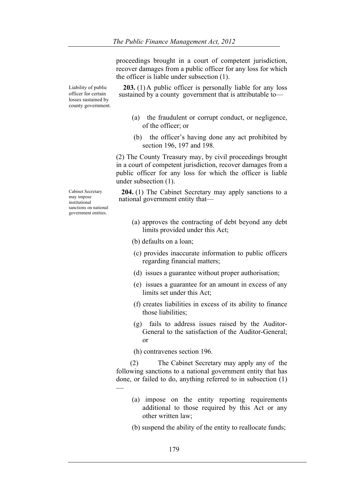proceedings brought in a court of competent jurisdiction, recover damages from a public officer for any loss for which the officer is liable under subsection (1).

Liability of public officer for certain losses sustained by county government.

Cabinet Secretary may impose institutional sanctions on national government entities.

**203.** (1)A public officer is personally liable for any loss sustained by a county government that is attributable to—

- (a) the fraudulent or corrupt conduct, or negligence, of the officer; or
- (b) the officer's having done any act prohibited by section 196, 197 and 198.

(2) The County Treasury may, by civil proceedings brought in a court of competent jurisdiction, recover damages from a public officer for any loss for which the officer is liable under subsection (1).

**204.** (1) The Cabinet Secretary may apply sanctions to a national government entity that—

- (a) approves the contracting of debt beyond any debt limits provided under this Act;
- (b) defaults on a loan;
- (c) provides inaccurate information to public officers regarding financial matters;
- (d) issues a guarantee without proper authorisation;
- (e) issues a guarantee for an amount in excess of any limits set under this Act;
- (f) creates liabilities in excess of its ability to finance those liabilities;
- (g) fails to address issues raised by the Auditor-General to the satisfaction of the Auditor-General; or

(h) contravenes section 196.

—

 (2) The Cabinet Secretary may apply any of the following sanctions to a national government entity that has done, or failed to do, anything referred to in subsection (1)

- (a) impose on the entity reporting requirements additional to those required by this Act or any other written law;
- (b) suspend the ability of the entity to reallocate funds;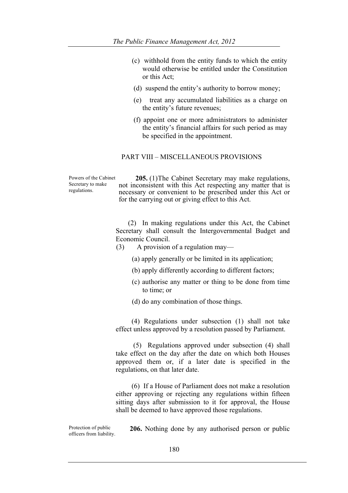- (c) withhold from the entity funds to which the entity would otherwise be entitled under the Constitution or this Act;
- (d) suspend the entity's authority to borrow money;
- (e) treat any accumulated liabilities as a charge on the entity's future revenues;
- (f) appoint one or more administrators to administer the entity's financial affairs for such period as may be specified in the appointment.

### PART VIII – MISCELLANEOUS PROVISIONS

Powers of the Cabinet Secretary to make regulations.

 **205.** (1)The Cabinet Secretary may make regulations, not inconsistent with this Act respecting any matter that is necessary or convenient to be prescribed under this Act or for the carrying out or giving effect to this Act.

 (2) In making regulations under this Act, the Cabinet Secretary shall consult the Intergovernmental Budget and Economic Council.

- (3) A provision of a regulation may—
	- (a) apply generally or be limited in its application;
	- (b) apply differently according to different factors;
	- (c) authorise any matter or thing to be done from time to time; or
	- (d) do any combination of those things.

 (4) Regulations under subsection (1) shall not take effect unless approved by a resolution passed by Parliament.

 (5) Regulations approved under subsection (4) shall take effect on the day after the date on which both Houses approved them or, if a later date is specified in the regulations, on that later date.

 (6) If a House of Parliament does not make a resolution either approving or rejecting any regulations within fifteen sitting days after submission to it for approval, the House shall be deemed to have approved those regulations.

Protection of public Protection of public **206.** Nothing done by any authorised person or public officers from liability.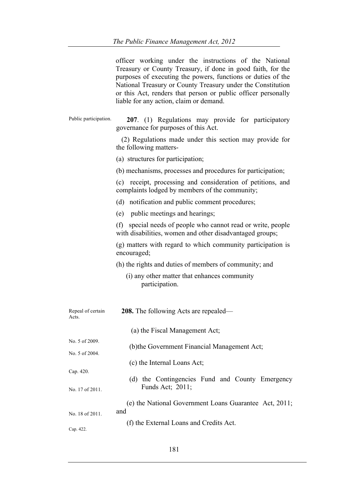|                            | officer working under the instructions of the National<br>Treasury or County Treasury, if done in good faith, for the<br>purposes of executing the powers, functions or duties of the<br>National Treasury or County Treasury under the Constitution<br>or this Act, renders that person or public officer personally<br>liable for any action, claim or demand. |
|----------------------------|------------------------------------------------------------------------------------------------------------------------------------------------------------------------------------------------------------------------------------------------------------------------------------------------------------------------------------------------------------------|
| Public participation.      | 207. (1) Regulations may provide for participatory<br>governance for purposes of this Act.                                                                                                                                                                                                                                                                       |
|                            | (2) Regulations made under this section may provide for<br>the following matters-                                                                                                                                                                                                                                                                                |
|                            | (a) structures for participation;                                                                                                                                                                                                                                                                                                                                |
|                            | (b) mechanisms, processes and procedures for participation;                                                                                                                                                                                                                                                                                                      |
|                            | (c) receipt, processing and consideration of petitions, and<br>complaints lodged by members of the community;                                                                                                                                                                                                                                                    |
|                            | (d) notification and public comment procedures;                                                                                                                                                                                                                                                                                                                  |
|                            | (e) public meetings and hearings;                                                                                                                                                                                                                                                                                                                                |
|                            | (f) special needs of people who cannot read or write, people<br>with disabilities, women and other disadvantaged groups;                                                                                                                                                                                                                                         |
|                            | (g) matters with regard to which community participation is<br>encouraged;                                                                                                                                                                                                                                                                                       |
|                            | (h) the rights and duties of members of community; and                                                                                                                                                                                                                                                                                                           |
|                            | (i) any other matter that enhances community<br>participation.                                                                                                                                                                                                                                                                                                   |
| Repeal of certain<br>Acts. | <b>208.</b> The following Acts are repealed—                                                                                                                                                                                                                                                                                                                     |
|                            | (a) the Fiscal Management Act;                                                                                                                                                                                                                                                                                                                                   |
| No. 5 of 2009.             | (b) the Government Financial Management Act;                                                                                                                                                                                                                                                                                                                     |
| No. 5 of 2004.             |                                                                                                                                                                                                                                                                                                                                                                  |
| Cap. 420.                  | (c) the Internal Loans Act;                                                                                                                                                                                                                                                                                                                                      |
| No. 17 of 2011.            | (d) the Contingencies Fund and County Emergency<br>Funds Act; 2011;                                                                                                                                                                                                                                                                                              |
|                            | (e) the National Government Loans Guarantee Act, 2011;<br>and                                                                                                                                                                                                                                                                                                    |
| No. 18 of 2011.            | (f) the External Loans and Credits Act.                                                                                                                                                                                                                                                                                                                          |
| Cap. 422.                  |                                                                                                                                                                                                                                                                                                                                                                  |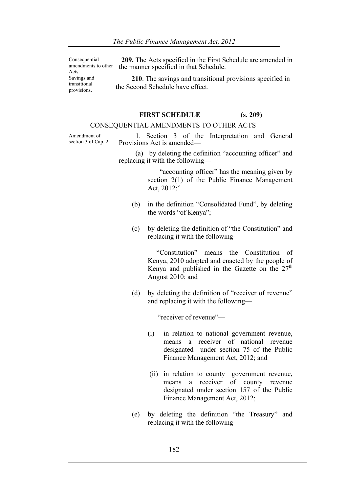Consequential amendments to other Acts. Savings and transitional provisions.

**209.** The Acts specified in the First Schedule are amended in the manner specified in that Schedule.

 **210**. The savings and transitional provisions specified in the Second Schedule have effect.

# **FIRST SCHEDULE (s. 209)**

# CONSEQUENTIAL AMENDMENTS TO OTHER ACTS

Amendment of section 3 of Cap. 2.

 1. Section 3 of the Interpretation and General Provisions Act is amended—

 (a) by deleting the definition "accounting officer" and replacing it with the following—

> "accounting officer" has the meaning given by section 2(1) of the Public Finance Management Act, 2012;"

- (b) in the definition "Consolidated Fund", by deleting the words "of Kenya";
- (c) by deleting the definition of "the Constitution" and replacing it with the following-

 "Constitution" means the Constitution of Kenya, 2010 adopted and enacted by the people of Kenya and published in the Gazette on the  $27<sup>th</sup>$ August 2010; and

(d) by deleting the definition of "receiver of revenue" and replacing it with the following—

"receiver of revenue"—

- (i) in relation to national government revenue, means a receiver of national revenue designated under section 75 of the Public Finance Management Act, 2012; and
- (ii) in relation to county government revenue, means a receiver of county revenue designated under section 157 of the Public Finance Management Act, 2012;
- (e) by deleting the definition "the Treasury" and replacing it with the following—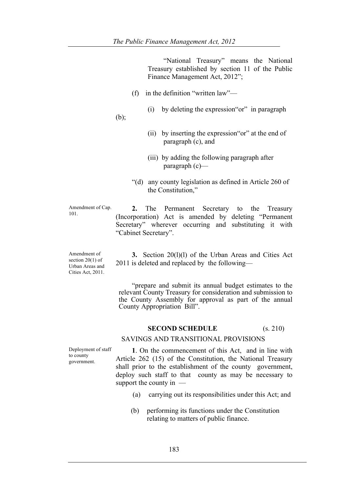"National Treasury" means the National Treasury established by section 11 of the Public Finance Management Act, 2012";

- (f) in the definition "written law"—
	- (i) by deleting the expression"or" in paragraph

(b);

- (ii) by inserting the expression"or" at the end of paragraph (c), and
- (iii) by adding the following paragraph after paragraph (c)—
- "(d) any county legislation as defined in Article 260 of the Constitution,"

Amendment of Cap. 101.

**2.** The Permanent Secretary to the Treasury (Incorporation) Act is amended by deleting "Permanent Secretary" wherever occurring and substituting it with "Cabinet Secretary".

Amendment of section 20(1) of Urban Areas and Cities Act, 2011.

**3.** Section 20(1)(1) of the Urban Areas and Cities Act 2011 is deleted and replaced by the following—

 "prepare and submit its annual budget estimates to the relevant County Treasury for consideration and submission to the County Assembly for approval as part of the annual County Appropriation Bill".

### **SECOND SCHEDULE** (s. 210)

## SAVINGS AND TRANSITIONAL PROVISIONS

Deployment of staff to county government.

**1**. On the commencement of this Act, and in line with Article 262 (15) of the Constitution, the National Treasury shall prior to the establishment of the county government, deploy such staff to that county as may be necessary to support the county in —

- (a) carrying out its responsibilities under this Act; and
- (b) performing its functions under the Constitution relating to matters of public finance.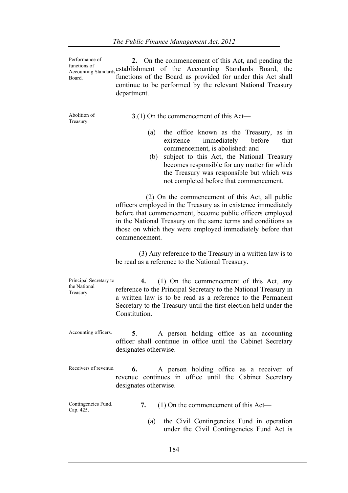Performance of functions of Interions of the Accounting Standards Board, the Accounting Standards Board, the Board. **2.** On the commencement of this Act, and pending the functions of the Board as provided for under this Act shall continue to be performed by the relevant National Treasury department.

Abolition of Treasury.

**3**.(1) On the commencement of this Act—

- (a) the office known as the Treasury, as in existence immediately before that commencement, is abolished: and
- (b) subject to this Act, the National Treasury becomes responsible for any matter for which the Treasury was responsible but which was not completed before that commencement.

 (2) On the commencement of this Act, all public officers employed in the Treasury as in existence immediately before that commencement, become public officers employed in the National Treasury on the same terms and conditions as those on which they were employed immediately before that commencement.

 (3) Any reference to the Treasury in a written law is to be read as a reference to the National Treasury.

Principal Secretary to the National Treasury.  **4.** (1) On the commencement of this Act, any reference to the Principal Secretary to the National Treasury in a written law is to be read as a reference to the Permanent Secretary to the Treasury until the first election held under the **Constitution** 

- Accounting officers. **5**. A person holding office as an accounting officer shall continue in office until the Cabinet Secretary designates otherwise.
- Receivers of revenue. **6.** A person holding office as a receiver of revenue continues in office until the Cabinet Secretary designates otherwise.

Contingencies Fund.<br>Cap. 425. 7. (1) On the commencement of this Act—

> (a) the Civil Contingencies Fund in operation under the Civil Contingencies Fund Act is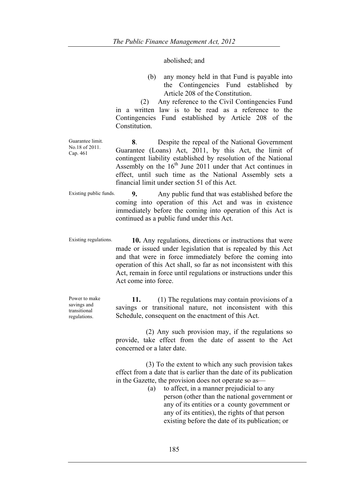### abolished; and

(b) any money held in that Fund is payable into the Contingencies Fund established by Article 208 of the Constitution.

 (2) Any reference to the Civil Contingencies Fund in a written law is to be read as a reference to the Contingencies Fund established by Article 208 of the **Constitution** 

Guarantee limit. No.18 of 2011. Cap. 461

**8**. Despite the repeal of the National Government Guarantee (Loans) Act, 2011, by this Act, the limit of contingent liability established by resolution of the National Assembly on the  $16<sup>th</sup>$  June 2011 under that Act continues in effect, until such time as the National Assembly sets a financial limit under section 51 of this Act.

Existing public funds. **9.** Any public fund that was established before the coming into operation of this Act and was in existence immediately before the coming into operation of this Act is continued as a public fund under this Act.

Existing regulations. **10.** Any regulations, directions or instructions that were made or issued under legislation that is repealed by this Act and that were in force immediately before the coming into operation of this Act shall, so far as not inconsistent with this Act, remain in force until regulations or instructions under this Act come into force.

> **11.** (1) The regulations may contain provisions of a savings or transitional nature, not inconsistent with this Schedule, consequent on the enactment of this Act.

 (2) Any such provision may, if the regulations so provide, take effect from the date of assent to the Act concerned or a later date.

 (3) To the extent to which any such provision takes effect from a date that is earlier than the date of its publication in the Gazette, the provision does not operate so as—

(a) to affect, in a manner prejudicial to any person (other than the national government or any of its entities or a county government or any of its entities), the rights of that person existing before the date of its publication; or

Power to make savings and transitional regulations.